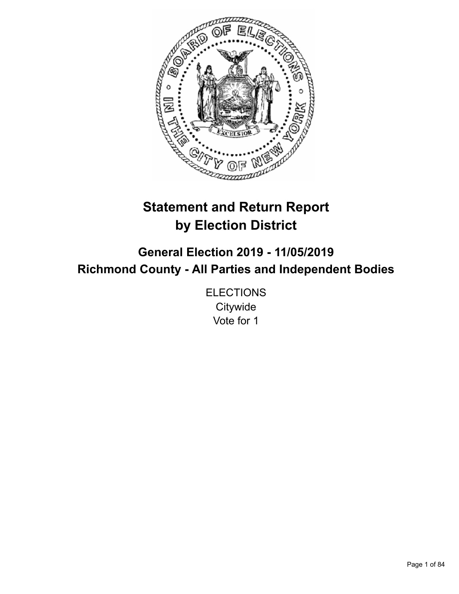

# **Statement and Return Report by Election District**

**General Election 2019 - 11/05/2019 Richmond County - All Parties and Independent Bodies**

> **ELECTIONS Citywide** Vote for 1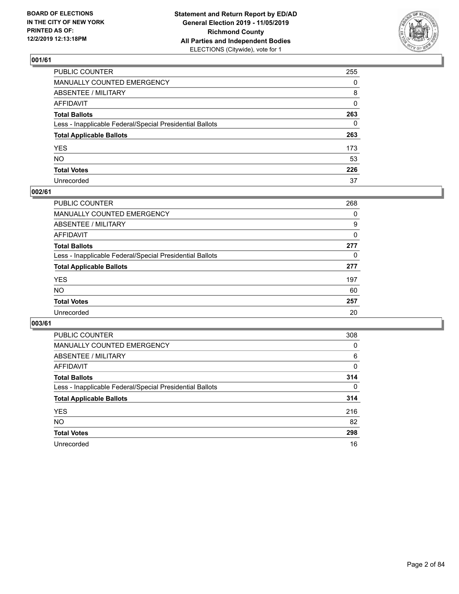

| PUBLIC COUNTER                                           | 255          |
|----------------------------------------------------------|--------------|
| MANUALLY COUNTED EMERGENCY                               | $\Omega$     |
| ABSENTEE / MILITARY                                      | 8            |
| AFFIDAVIT                                                | $\mathbf{0}$ |
| Total Ballots                                            | 263          |
| Less - Inapplicable Federal/Special Presidential Ballots | $\mathbf{0}$ |
| <b>Total Applicable Ballots</b>                          | 263          |
| YES                                                      | 173          |
| NO.                                                      | 53           |
| <b>Total Votes</b>                                       | 226          |
| Unrecorded                                               | 37           |

## **002/61**

| <b>PUBLIC COUNTER</b>                                    | 268 |
|----------------------------------------------------------|-----|
| MANUALLY COUNTED EMERGENCY                               | 0   |
| ABSENTEE / MILITARY                                      | 9   |
| AFFIDAVIT                                                | 0   |
| <b>Total Ballots</b>                                     | 277 |
| Less - Inapplicable Federal/Special Presidential Ballots | 0   |
| <b>Total Applicable Ballots</b>                          | 277 |
| <b>YES</b>                                               | 197 |
| <b>NO</b>                                                | 60  |
| <b>Total Votes</b>                                       | 257 |
| Unrecorded                                               | 20  |

| <b>PUBLIC COUNTER</b>                                    | 308      |
|----------------------------------------------------------|----------|
| <b>MANUALLY COUNTED EMERGENCY</b>                        | 0        |
| ABSENTEE / MILITARY                                      | 6        |
| AFFIDAVIT                                                | 0        |
| <b>Total Ballots</b>                                     | 314      |
| Less - Inapplicable Federal/Special Presidential Ballots | $\Omega$ |
| <b>Total Applicable Ballots</b>                          | 314      |
| <b>YES</b>                                               | 216      |
| <b>NO</b>                                                | 82       |
| <b>Total Votes</b>                                       | 298      |
| Unrecorded                                               | 16       |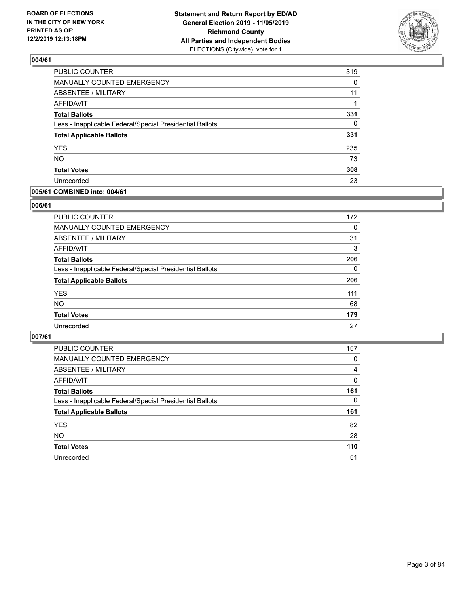

| <b>PUBLIC COUNTER</b>                                    | 319      |
|----------------------------------------------------------|----------|
| MANUALLY COUNTED EMERGENCY                               | 0        |
| ABSENTEE / MILITARY                                      | 11       |
| <b>AFFIDAVIT</b>                                         |          |
| <b>Total Ballots</b>                                     | 331      |
| Less - Inapplicable Federal/Special Presidential Ballots | $\Omega$ |
| <b>Total Applicable Ballots</b>                          | 331      |
| <b>YES</b>                                               | 235      |
| <b>NO</b>                                                | 73       |
| <b>Total Votes</b>                                       | 308      |
| Unrecorded                                               | 23       |

## **005/61 COMBINED into: 004/61**

## **006/61**

| <b>PUBLIC COUNTER</b>                                    | 172      |
|----------------------------------------------------------|----------|
| <b>MANUALLY COUNTED EMERGENCY</b>                        | $\Omega$ |
| ABSENTEE / MILITARY                                      | 31       |
| AFFIDAVIT                                                | 3        |
| <b>Total Ballots</b>                                     | 206      |
| Less - Inapplicable Federal/Special Presidential Ballots | 0        |
| <b>Total Applicable Ballots</b>                          | 206      |
| <b>YES</b>                                               | 111      |
| <b>NO</b>                                                | 68       |
| <b>Total Votes</b>                                       | 179      |
| Unrecorded                                               | 27       |
|                                                          |          |

| <b>PUBLIC COUNTER</b>                                    | 157      |
|----------------------------------------------------------|----------|
| MANUALLY COUNTED EMERGENCY                               | 0        |
| ABSENTEE / MILITARY                                      | 4        |
| AFFIDAVIT                                                | $\Omega$ |
| <b>Total Ballots</b>                                     | 161      |
| Less - Inapplicable Federal/Special Presidential Ballots | $\Omega$ |
| <b>Total Applicable Ballots</b>                          | 161      |
| <b>YES</b>                                               | 82       |
| <b>NO</b>                                                | 28       |
| <b>Total Votes</b>                                       | 110      |
| Unrecorded                                               | 51       |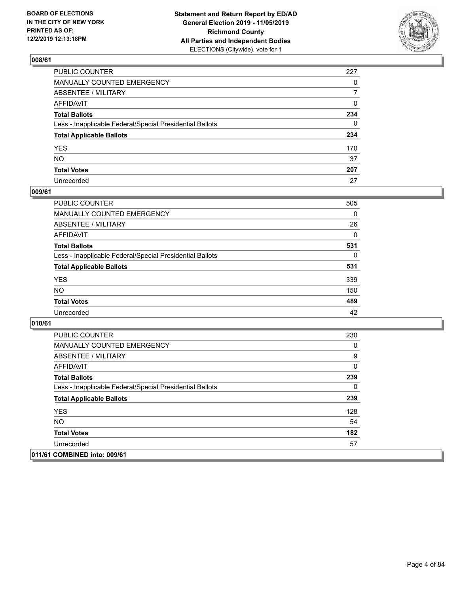

| PUBLIC COUNTER                                           | 227 |
|----------------------------------------------------------|-----|
| MANUALLY COUNTED EMERGENCY                               | 0   |
| ABSENTEE / MILITARY                                      | 7   |
| AFFIDAVIT                                                | 0   |
| Total Ballots                                            | 234 |
| Less - Inapplicable Federal/Special Presidential Ballots | 0   |
| <b>Total Applicable Ballots</b>                          | 234 |
| YES                                                      | 170 |
| NO.                                                      | 37  |
| <b>Total Votes</b>                                       | 207 |
| Unrecorded                                               | 27  |

## **009/61**

| <b>PUBLIC COUNTER</b>                                    | 505          |
|----------------------------------------------------------|--------------|
| <b>MANUALLY COUNTED EMERGENCY</b>                        | $\Omega$     |
| ABSENTEE / MILITARY                                      | 26           |
| <b>AFFIDAVIT</b>                                         | $\mathbf{0}$ |
| <b>Total Ballots</b>                                     | 531          |
| Less - Inapplicable Federal/Special Presidential Ballots | $\Omega$     |
| <b>Total Applicable Ballots</b>                          | 531          |
| <b>YES</b>                                               | 339          |
| <b>NO</b>                                                | 150          |
| <b>Total Votes</b>                                       | 489          |
| Unrecorded                                               | 42           |

| <b>PUBLIC COUNTER</b>                                    | 230      |
|----------------------------------------------------------|----------|
| <b>MANUALLY COUNTED EMERGENCY</b>                        | 0        |
| ABSENTEE / MILITARY                                      | 9        |
| AFFIDAVIT                                                | 0        |
| <b>Total Ballots</b>                                     | 239      |
| Less - Inapplicable Federal/Special Presidential Ballots | $\Omega$ |
| <b>Total Applicable Ballots</b>                          | 239      |
| <b>YES</b>                                               | 128      |
| NO.                                                      | 54       |
| <b>Total Votes</b>                                       | 182      |
| Unrecorded                                               | 57       |
| 011/61 COMBINED into: 009/61                             |          |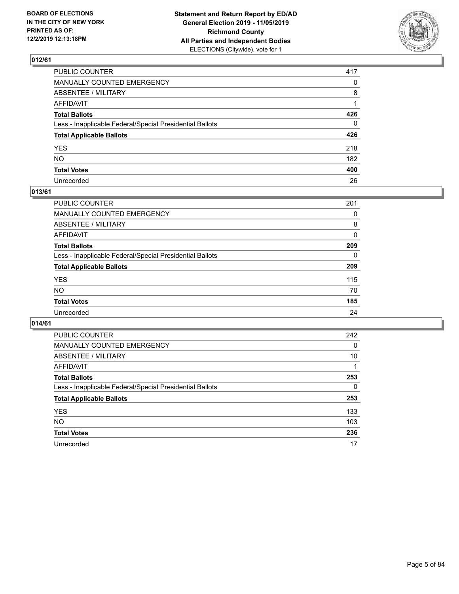

| PUBLIC COUNTER                                           | 417          |
|----------------------------------------------------------|--------------|
| MANUALLY COUNTED EMERGENCY                               | $\mathbf{0}$ |
| ABSENTEE / MILITARY                                      | 8            |
| AFFIDAVIT                                                |              |
| Total Ballots                                            | 426          |
| Less - Inapplicable Federal/Special Presidential Ballots | 0            |
| <b>Total Applicable Ballots</b>                          | 426          |
| YES                                                      | 218          |
| NO.                                                      | 182          |
| <b>Total Votes</b>                                       | 400          |
| Unrecorded                                               | 26           |

## **013/61**

| <b>PUBLIC COUNTER</b>                                    | 201      |
|----------------------------------------------------------|----------|
| <b>MANUALLY COUNTED EMERGENCY</b>                        | 0        |
| ABSENTEE / MILITARY                                      | 8        |
| AFFIDAVIT                                                | $\Omega$ |
| <b>Total Ballots</b>                                     | 209      |
| Less - Inapplicable Federal/Special Presidential Ballots | $\Omega$ |
| <b>Total Applicable Ballots</b>                          | 209      |
| <b>YES</b>                                               | 115      |
| <b>NO</b>                                                | 70       |
| <b>Total Votes</b>                                       | 185      |
| Unrecorded                                               | 24       |

| PUBLIC COUNTER                                           | 242      |
|----------------------------------------------------------|----------|
| <b>MANUALLY COUNTED EMERGENCY</b>                        | 0        |
| ABSENTEE / MILITARY                                      | 10       |
| <b>AFFIDAVIT</b>                                         |          |
| <b>Total Ballots</b>                                     | 253      |
| Less - Inapplicable Federal/Special Presidential Ballots | $\Omega$ |
| <b>Total Applicable Ballots</b>                          | 253      |
| <b>YES</b>                                               | 133      |
| <b>NO</b>                                                | 103      |
| <b>Total Votes</b>                                       | 236      |
| Unrecorded                                               | 17       |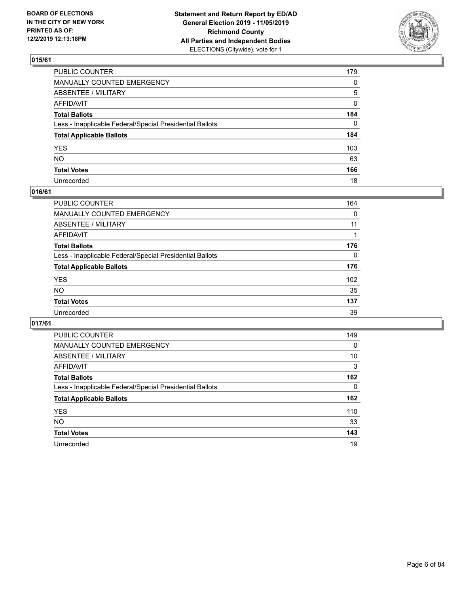

| PUBLIC COUNTER                                           | 179 |
|----------------------------------------------------------|-----|
| MANUALLY COUNTED EMERGENCY                               | 0   |
| ABSENTEE / MILITARY                                      | 5   |
| AFFIDAVIT                                                | 0   |
| Total Ballots                                            | 184 |
| Less - Inapplicable Federal/Special Presidential Ballots | 0   |
| <b>Total Applicable Ballots</b>                          | 184 |
| YES                                                      | 103 |
| NO.                                                      | 63  |
| <b>Total Votes</b>                                       | 166 |
| Unrecorded                                               | 18  |

## **016/61**

| PUBLIC COUNTER                                           | 164      |
|----------------------------------------------------------|----------|
| MANUALLY COUNTED EMERGENCY                               | 0        |
| ABSENTEE / MILITARY                                      | 11       |
| AFFIDAVIT                                                |          |
| <b>Total Ballots</b>                                     | 176      |
| Less - Inapplicable Federal/Special Presidential Ballots | $\Omega$ |
| <b>Total Applicable Ballots</b>                          | 176      |
| <b>YES</b>                                               | 102      |
| <b>NO</b>                                                | 35       |
| <b>Total Votes</b>                                       | 137      |
| Unrecorded                                               | 39       |

| <b>PUBLIC COUNTER</b>                                    | 149      |
|----------------------------------------------------------|----------|
| <b>MANUALLY COUNTED EMERGENCY</b>                        | 0        |
| ABSENTEE / MILITARY                                      | 10       |
| AFFIDAVIT                                                | 3        |
| <b>Total Ballots</b>                                     | 162      |
| Less - Inapplicable Federal/Special Presidential Ballots | $\Omega$ |
| <b>Total Applicable Ballots</b>                          | 162      |
| <b>YES</b>                                               | 110      |
| <b>NO</b>                                                | 33       |
| <b>Total Votes</b>                                       | 143      |
| Unrecorded                                               | 19       |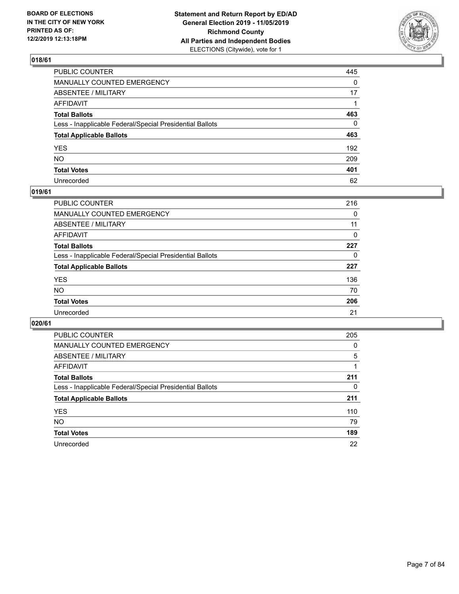

| PUBLIC COUNTER                                           | 445          |
|----------------------------------------------------------|--------------|
| MANUALLY COUNTED EMERGENCY                               | $\mathbf{0}$ |
| ABSENTEE / MILITARY                                      | 17           |
| AFFIDAVIT                                                |              |
| Total Ballots                                            | 463          |
| Less - Inapplicable Federal/Special Presidential Ballots | 0            |
| <b>Total Applicable Ballots</b>                          | 463          |
| YES                                                      | 192          |
| NO.                                                      | 209          |
| <b>Total Votes</b>                                       | 401          |
| Unrecorded                                               | 62           |

## **019/61**

| PUBLIC COUNTER                                           | 216 |
|----------------------------------------------------------|-----|
| MANUALLY COUNTED EMERGENCY                               | 0   |
| ABSENTEE / MILITARY                                      | 11  |
| AFFIDAVIT                                                | 0   |
| <b>Total Ballots</b>                                     | 227 |
| Less - Inapplicable Federal/Special Presidential Ballots | 0   |
| <b>Total Applicable Ballots</b>                          | 227 |
| <b>YES</b>                                               | 136 |
| <b>NO</b>                                                | 70  |
| <b>Total Votes</b>                                       | 206 |
| Unrecorded                                               | 21  |

| <b>PUBLIC COUNTER</b>                                    | 205 |
|----------------------------------------------------------|-----|
| MANUALLY COUNTED EMERGENCY                               | 0   |
| ABSENTEE / MILITARY                                      | 5   |
| AFFIDAVIT                                                |     |
| <b>Total Ballots</b>                                     | 211 |
| Less - Inapplicable Federal/Special Presidential Ballots | 0   |
| <b>Total Applicable Ballots</b>                          | 211 |
| <b>YES</b>                                               | 110 |
| <b>NO</b>                                                | 79  |
| <b>Total Votes</b>                                       | 189 |
| Unrecorded                                               | 22  |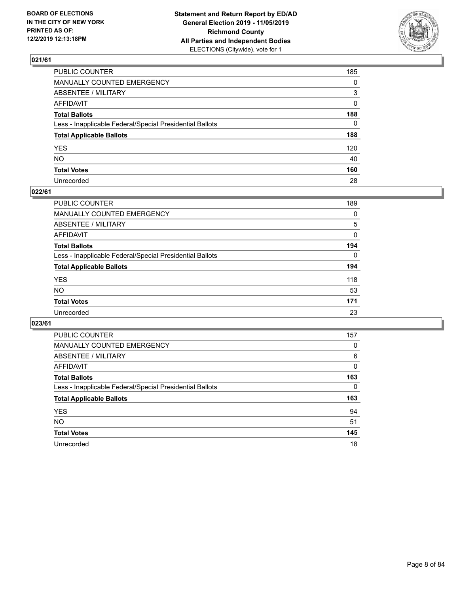

| PUBLIC COUNTER                                           | 185          |
|----------------------------------------------------------|--------------|
| MANUALLY COUNTED EMERGENCY                               | $\mathbf{0}$ |
| ABSENTEE / MILITARY                                      | 3            |
| AFFIDAVIT                                                | $\mathbf{0}$ |
| Total Ballots                                            | 188          |
| Less - Inapplicable Federal/Special Presidential Ballots | $\mathbf{0}$ |
| <b>Total Applicable Ballots</b>                          | 188          |
| YES                                                      | 120          |
| NO.                                                      | 40           |
| <b>Total Votes</b>                                       | 160          |
| Unrecorded                                               | 28           |

## **022/61**

| PUBLIC COUNTER                                           | 189      |
|----------------------------------------------------------|----------|
| MANUALLY COUNTED EMERGENCY                               | 0        |
| ABSENTEE / MILITARY                                      | 5        |
| AFFIDAVIT                                                | $\Omega$ |
| <b>Total Ballots</b>                                     | 194      |
| Less - Inapplicable Federal/Special Presidential Ballots | $\Omega$ |
| <b>Total Applicable Ballots</b>                          | 194      |
| <b>YES</b>                                               | 118      |
| <b>NO</b>                                                | 53       |
| <b>Total Votes</b>                                       | 171      |
| Unrecorded                                               | 23       |

| <b>PUBLIC COUNTER</b>                                    | 157      |
|----------------------------------------------------------|----------|
| MANUALLY COUNTED EMERGENCY                               | 0        |
| ABSENTEE / MILITARY                                      | 6        |
| AFFIDAVIT                                                | $\Omega$ |
| <b>Total Ballots</b>                                     | 163      |
| Less - Inapplicable Federal/Special Presidential Ballots | $\Omega$ |
| <b>Total Applicable Ballots</b>                          | 163      |
| <b>YES</b>                                               | 94       |
| <b>NO</b>                                                | 51       |
| <b>Total Votes</b>                                       | 145      |
| Unrecorded                                               | 18       |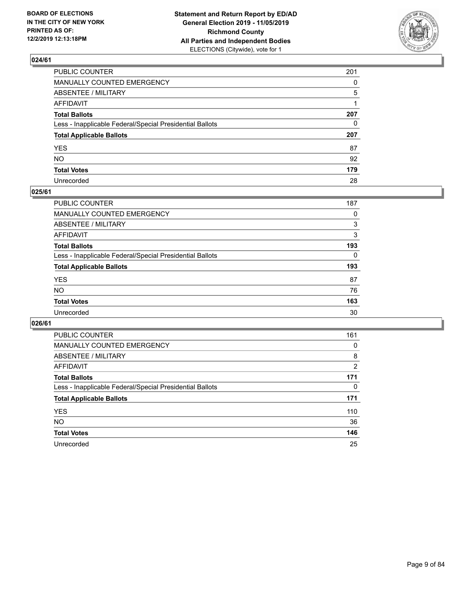

| PUBLIC COUNTER                                           | 201          |
|----------------------------------------------------------|--------------|
| MANUALLY COUNTED EMERGENCY                               | $\Omega$     |
| ABSENTEE / MILITARY                                      | 5            |
| AFFIDAVIT                                                |              |
| Total Ballots                                            | 207          |
| Less - Inapplicable Federal/Special Presidential Ballots | $\mathbf{0}$ |
| <b>Total Applicable Ballots</b>                          | 207          |
| YES                                                      | 87           |
| NO.                                                      | 92           |
| <b>Total Votes</b>                                       | 179          |
| Unrecorded                                               | 28           |

## **025/61**

| PUBLIC COUNTER                                           | 187      |
|----------------------------------------------------------|----------|
| MANUALLY COUNTED EMERGENCY                               | 0        |
| ABSENTEE / MILITARY                                      | 3        |
| AFFIDAVIT                                                | 3        |
| <b>Total Ballots</b>                                     | 193      |
| Less - Inapplicable Federal/Special Presidential Ballots | $\Omega$ |
| <b>Total Applicable Ballots</b>                          | 193      |
| <b>YES</b>                                               | 87       |
| <b>NO</b>                                                | 76       |
| <b>Total Votes</b>                                       | 163      |
| Unrecorded                                               | 30       |

| <b>PUBLIC COUNTER</b>                                    | 161 |
|----------------------------------------------------------|-----|
| MANUALLY COUNTED EMERGENCY                               | 0   |
| ABSENTEE / MILITARY                                      | 8   |
| AFFIDAVIT                                                | 2   |
| <b>Total Ballots</b>                                     | 171 |
| Less - Inapplicable Federal/Special Presidential Ballots | 0   |
| <b>Total Applicable Ballots</b>                          | 171 |
| <b>YES</b>                                               | 110 |
| <b>NO</b>                                                | 36  |
| <b>Total Votes</b>                                       | 146 |
| Unrecorded                                               | 25  |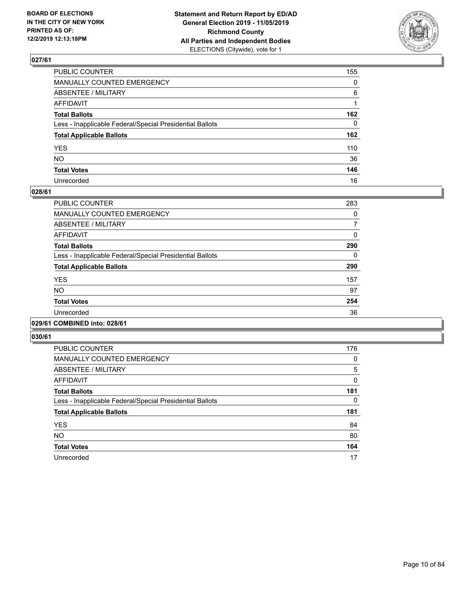

| PUBLIC COUNTER                                           | 155          |
|----------------------------------------------------------|--------------|
| MANUALLY COUNTED EMERGENCY                               | $\mathbf{0}$ |
| ABSENTEE / MILITARY                                      | 6            |
| AFFIDAVIT                                                |              |
| Total Ballots                                            | 162          |
| Less - Inapplicable Federal/Special Presidential Ballots | $\mathbf{0}$ |
| <b>Total Applicable Ballots</b>                          | 162          |
| YES                                                      | 110          |
| NΟ                                                       | 36           |
| <b>Total Votes</b>                                       | 146          |
| Unrecorded                                               | 16           |

## **028/61**

| <b>PUBLIC COUNTER</b>                                    | 283      |
|----------------------------------------------------------|----------|
| <b>MANUALLY COUNTED EMERGENCY</b>                        | 0        |
| ABSENTEE / MILITARY                                      | 7        |
| <b>AFFIDAVIT</b>                                         | $\Omega$ |
| <b>Total Ballots</b>                                     | 290      |
| Less - Inapplicable Federal/Special Presidential Ballots | 0        |
| <b>Total Applicable Ballots</b>                          | 290      |
| <b>YES</b>                                               | 157      |
| <b>NO</b>                                                | 97       |
| <b>Total Votes</b>                                       | 254      |
| Unrecorded                                               | 36       |
|                                                          |          |

## **029/61 COMBINED into: 028/61**

| <b>PUBLIC COUNTER</b>                                    | 176 |
|----------------------------------------------------------|-----|
| MANUALLY COUNTED EMERGENCY                               | 0   |
| ABSENTEE / MILITARY                                      | 5   |
| AFFIDAVIT                                                | 0   |
| <b>Total Ballots</b>                                     | 181 |
| Less - Inapplicable Federal/Special Presidential Ballots | 0   |
| <b>Total Applicable Ballots</b>                          | 181 |
| <b>YES</b>                                               | 84  |
| <b>NO</b>                                                | 80  |
| <b>Total Votes</b>                                       | 164 |
| Unrecorded                                               | 17  |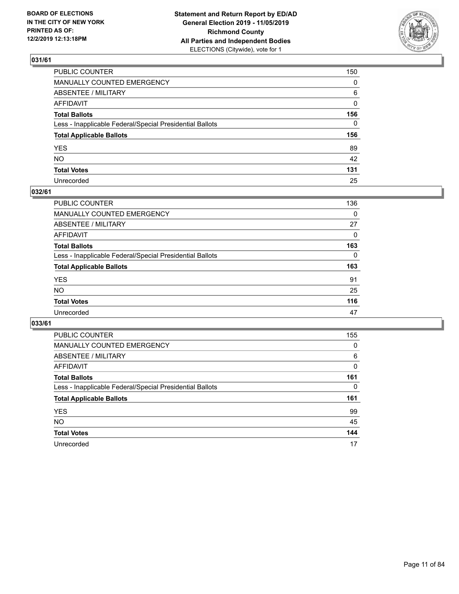

| PUBLIC COUNTER                                           | 150          |
|----------------------------------------------------------|--------------|
| MANUALLY COUNTED EMERGENCY                               | $\mathbf{0}$ |
| ABSENTEE / MILITARY                                      | 6            |
| AFFIDAVIT                                                | 0            |
| Total Ballots                                            | 156          |
| Less - Inapplicable Federal/Special Presidential Ballots | 0            |
| <b>Total Applicable Ballots</b>                          | 156          |
| YES                                                      | 89           |
| NO.                                                      | 42           |
| <b>Total Votes</b>                                       | 131          |
| Unrecorded                                               | 25           |

## **032/61**

| <b>PUBLIC COUNTER</b>                                    | 136      |
|----------------------------------------------------------|----------|
| <b>MANUALLY COUNTED EMERGENCY</b>                        | $\Omega$ |
| ABSENTEE / MILITARY                                      | 27       |
| AFFIDAVIT                                                | 0        |
| <b>Total Ballots</b>                                     | 163      |
| Less - Inapplicable Federal/Special Presidential Ballots | $\Omega$ |
| <b>Total Applicable Ballots</b>                          | 163      |
| <b>YES</b>                                               | 91       |
| <b>NO</b>                                                | 25       |
| <b>Total Votes</b>                                       | 116      |
| Unrecorded                                               | 47       |

| <b>PUBLIC COUNTER</b>                                    | 155      |
|----------------------------------------------------------|----------|
| <b>MANUALLY COUNTED EMERGENCY</b>                        | 0        |
| ABSENTEE / MILITARY                                      | 6        |
| AFFIDAVIT                                                | 0        |
| <b>Total Ballots</b>                                     | 161      |
| Less - Inapplicable Federal/Special Presidential Ballots | $\Omega$ |
| <b>Total Applicable Ballots</b>                          | 161      |
| <b>YES</b>                                               | 99       |
| <b>NO</b>                                                | 45       |
| <b>Total Votes</b>                                       | 144      |
| Unrecorded                                               | 17       |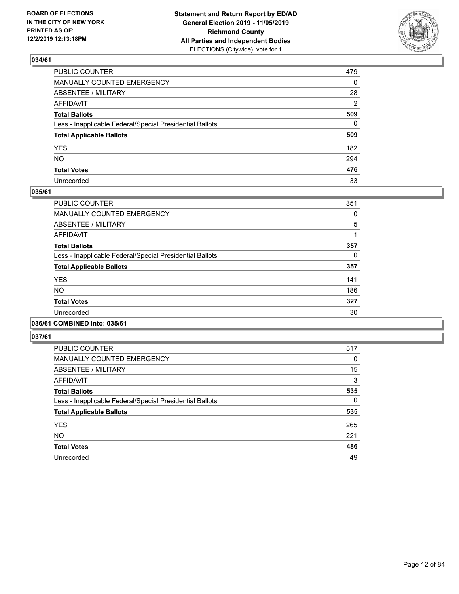

| PUBLIC COUNTER                                           | 479 |
|----------------------------------------------------------|-----|
| MANUALLY COUNTED EMERGENCY                               | 0   |
| ABSENTEE / MILITARY                                      | 28  |
| AFFIDAVIT                                                | 2   |
| Total Ballots                                            | 509 |
| Less - Inapplicable Federal/Special Presidential Ballots | 0   |
| <b>Total Applicable Ballots</b>                          | 509 |
| YES                                                      | 182 |
| NO.                                                      | 294 |
| <b>Total Votes</b>                                       | 476 |
| Unrecorded                                               | 33  |

## **035/61**

| <b>PUBLIC COUNTER</b>                                    | 351 |
|----------------------------------------------------------|-----|
| <b>MANUALLY COUNTED EMERGENCY</b>                        | 0   |
| ABSENTEE / MILITARY                                      | 5   |
| <b>AFFIDAVIT</b>                                         |     |
| <b>Total Ballots</b>                                     | 357 |
| Less - Inapplicable Federal/Special Presidential Ballots | 0   |
| <b>Total Applicable Ballots</b>                          | 357 |
| <b>YES</b>                                               | 141 |
| <b>NO</b>                                                | 186 |
| <b>Total Votes</b>                                       | 327 |
| Unrecorded                                               | 30  |
|                                                          |     |

## **036/61 COMBINED into: 035/61**

| <b>PUBLIC COUNTER</b>                                    | 517      |
|----------------------------------------------------------|----------|
| <b>MANUALLY COUNTED EMERGENCY</b>                        | 0        |
| ABSENTEE / MILITARY                                      | 15       |
| <b>AFFIDAVIT</b>                                         | 3        |
| <b>Total Ballots</b>                                     | 535      |
| Less - Inapplicable Federal/Special Presidential Ballots | $\Omega$ |
| <b>Total Applicable Ballots</b>                          | 535      |
| <b>YES</b>                                               | 265      |
| <b>NO</b>                                                | 221      |
| <b>Total Votes</b>                                       | 486      |
| Unrecorded                                               | 49       |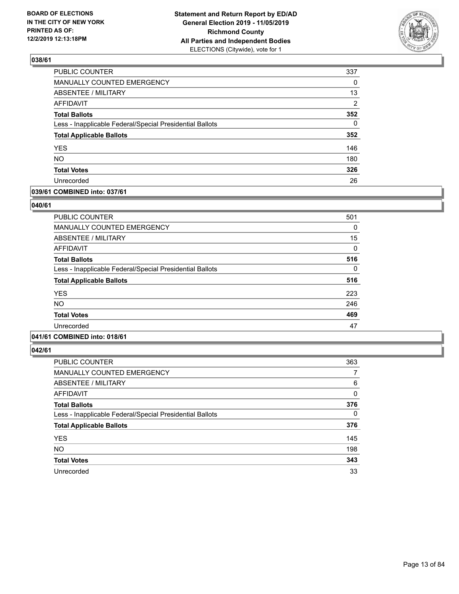

| <b>PUBLIC COUNTER</b>                                    | 337      |
|----------------------------------------------------------|----------|
| MANUALLY COUNTED EMERGENCY                               | 0        |
| ABSENTEE / MILITARY                                      | 13       |
| <b>AFFIDAVIT</b>                                         | 2        |
| <b>Total Ballots</b>                                     | 352      |
| Less - Inapplicable Federal/Special Presidential Ballots | $\Omega$ |
| <b>Total Applicable Ballots</b>                          | 352      |
| <b>YES</b>                                               | 146      |
| <b>NO</b>                                                | 180      |
| <b>Total Votes</b>                                       | 326      |
| Unrecorded                                               | 26       |

## **039/61 COMBINED into: 037/61**

## **040/61**

| <b>PUBLIC COUNTER</b>                                    | 501 |
|----------------------------------------------------------|-----|
| <b>MANUALLY COUNTED EMERGENCY</b>                        | 0   |
| ABSENTEE / MILITARY                                      | 15  |
| <b>AFFIDAVIT</b>                                         | 0   |
| <b>Total Ballots</b>                                     | 516 |
| Less - Inapplicable Federal/Special Presidential Ballots | 0   |
| <b>Total Applicable Ballots</b>                          | 516 |
| <b>YES</b>                                               | 223 |
| <b>NO</b>                                                | 246 |
| <b>Total Votes</b>                                       | 469 |
| Unrecorded                                               | 47  |
|                                                          |     |

# **041/61 COMBINED into: 018/61**

| <b>PUBLIC COUNTER</b>                                    | 363      |
|----------------------------------------------------------|----------|
| <b>MANUALLY COUNTED EMERGENCY</b>                        | 7        |
| ABSENTEE / MILITARY                                      | 6        |
| <b>AFFIDAVIT</b>                                         | 0        |
| <b>Total Ballots</b>                                     | 376      |
| Less - Inapplicable Federal/Special Presidential Ballots | $\Omega$ |
| <b>Total Applicable Ballots</b>                          | 376      |
| <b>YES</b>                                               | 145      |
| <b>NO</b>                                                | 198      |
| <b>Total Votes</b>                                       | 343      |
| Unrecorded                                               | 33       |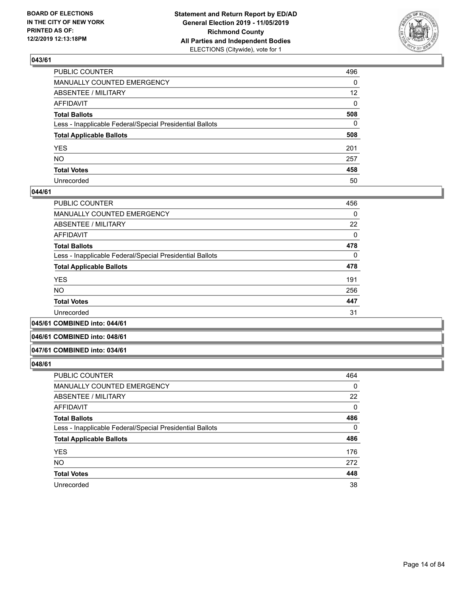

| PUBLIC COUNTER                                           | 496             |
|----------------------------------------------------------|-----------------|
| MANUALLY COUNTED EMERGENCY                               | 0               |
| ABSENTEE / MILITARY                                      | 12 <sup>2</sup> |
| AFFIDAVIT                                                | 0               |
| Total Ballots                                            | 508             |
| Less - Inapplicable Federal/Special Presidential Ballots | 0               |
| <b>Total Applicable Ballots</b>                          | 508             |
| YES                                                      | 201             |
| NO.                                                      | 257             |
| <b>Total Votes</b>                                       | 458             |
| Unrecorded                                               | 50              |

## **044/61**

| <b>PUBLIC COUNTER</b>                                    | 456      |
|----------------------------------------------------------|----------|
| <b>MANUALLY COUNTED EMERGENCY</b>                        | 0        |
| ABSENTEE / MILITARY                                      | 22       |
| AFFIDAVIT                                                | 0        |
| <b>Total Ballots</b>                                     | 478      |
| Less - Inapplicable Federal/Special Presidential Ballots | $\Omega$ |
| <b>Total Applicable Ballots</b>                          | 478      |
| <b>YES</b>                                               | 191      |
| <b>NO</b>                                                | 256      |
| <b>Total Votes</b>                                       | 447      |
| Unrecorded                                               | 31       |
|                                                          |          |

## **045/61 COMBINED into: 044/61**

#### **046/61 COMBINED into: 048/61**

#### **047/61 COMBINED into: 034/61**

| <b>PUBLIC COUNTER</b>                                    | 464 |
|----------------------------------------------------------|-----|
| MANUALLY COUNTED EMERGENCY                               | 0   |
| ABSENTEE / MILITARY                                      | 22  |
| AFFIDAVIT                                                | 0   |
| <b>Total Ballots</b>                                     | 486 |
| Less - Inapplicable Federal/Special Presidential Ballots | 0   |
| <b>Total Applicable Ballots</b>                          | 486 |
| <b>YES</b>                                               | 176 |
| <b>NO</b>                                                | 272 |
| <b>Total Votes</b>                                       | 448 |
| Unrecorded                                               | 38  |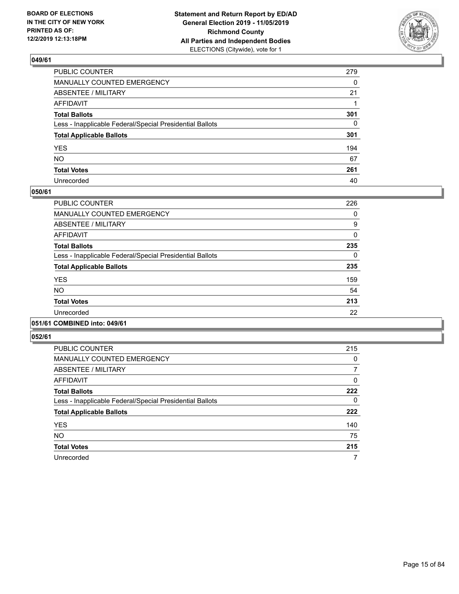

| PUBLIC COUNTER                                           | 279 |
|----------------------------------------------------------|-----|
| MANUALLY COUNTED EMERGENCY                               | 0   |
| ABSENTEE / MILITARY                                      | 21  |
| AFFIDAVIT                                                |     |
| Total Ballots                                            | 301 |
| Less - Inapplicable Federal/Special Presidential Ballots | 0   |
| <b>Total Applicable Ballots</b>                          | 301 |
| YES                                                      | 194 |
| NO.                                                      | 67  |
| <b>Total Votes</b>                                       | 261 |
| Unrecorded                                               | 40  |

## **050/61**

| <b>PUBLIC COUNTER</b>                                    | 226 |
|----------------------------------------------------------|-----|
| <b>MANUALLY COUNTED EMERGENCY</b>                        | 0   |
| ABSENTEE / MILITARY                                      | 9   |
| <b>AFFIDAVIT</b>                                         | 0   |
| <b>Total Ballots</b>                                     | 235 |
| Less - Inapplicable Federal/Special Presidential Ballots | 0   |
| <b>Total Applicable Ballots</b>                          | 235 |
| <b>YES</b>                                               | 159 |
| <b>NO</b>                                                | 54  |
| <b>Total Votes</b>                                       | 213 |
| Unrecorded                                               | 22  |
|                                                          |     |

## **051/61 COMBINED into: 049/61**

| <b>PUBLIC COUNTER</b>                                    | 215 |
|----------------------------------------------------------|-----|
| MANUALLY COUNTED EMERGENCY                               | 0   |
| ABSENTEE / MILITARY                                      |     |
| AFFIDAVIT                                                | 0   |
| <b>Total Ballots</b>                                     | 222 |
| Less - Inapplicable Federal/Special Presidential Ballots | 0   |
| <b>Total Applicable Ballots</b>                          | 222 |
| <b>YES</b>                                               | 140 |
| <b>NO</b>                                                | 75  |
| <b>Total Votes</b>                                       | 215 |
| Unrecorded                                               | 7   |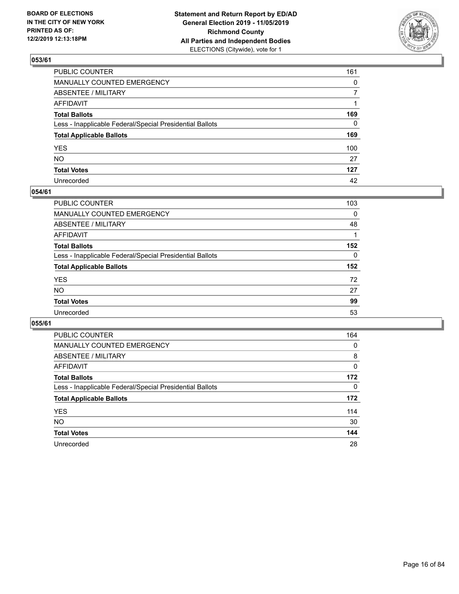

| PUBLIC COUNTER                                           | 161          |
|----------------------------------------------------------|--------------|
| MANUALLY COUNTED EMERGENCY                               | $\mathbf{0}$ |
| ABSENTEE / MILITARY                                      | 7            |
| AFFIDAVIT                                                |              |
| Total Ballots                                            | 169          |
| Less - Inapplicable Federal/Special Presidential Ballots | 0            |
| <b>Total Applicable Ballots</b>                          | 169          |
| YES                                                      | 100          |
| NO.                                                      | 27           |
| <b>Total Votes</b>                                       | 127          |
| Unrecorded                                               | 42           |

## **054/61**

| <b>PUBLIC COUNTER</b>                                    | 103      |
|----------------------------------------------------------|----------|
| <b>MANUALLY COUNTED EMERGENCY</b>                        | 0        |
| ABSENTEE / MILITARY                                      | 48       |
| AFFIDAVIT                                                |          |
| <b>Total Ballots</b>                                     | 152      |
| Less - Inapplicable Federal/Special Presidential Ballots | $\Omega$ |
| <b>Total Applicable Ballots</b>                          | 152      |
| <b>YES</b>                                               | 72       |
| <b>NO</b>                                                | 27       |
| <b>Total Votes</b>                                       | 99       |
| Unrecorded                                               | 53       |

| <b>PUBLIC COUNTER</b>                                    | 164      |
|----------------------------------------------------------|----------|
| <b>MANUALLY COUNTED EMERGENCY</b>                        | 0        |
| ABSENTEE / MILITARY                                      | 8        |
| AFFIDAVIT                                                | 0        |
| <b>Total Ballots</b>                                     | 172      |
| Less - Inapplicable Federal/Special Presidential Ballots | $\Omega$ |
| <b>Total Applicable Ballots</b>                          | 172      |
| <b>YES</b>                                               | 114      |
| <b>NO</b>                                                | 30       |
| <b>Total Votes</b>                                       | 144      |
| Unrecorded                                               | 28       |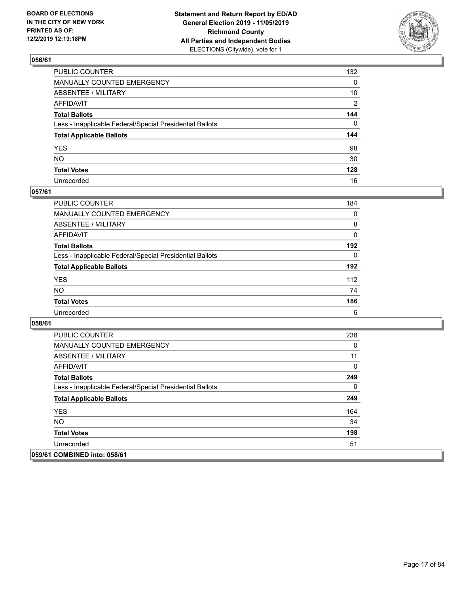

| PUBLIC COUNTER                                           | 132 |
|----------------------------------------------------------|-----|
| MANUALLY COUNTED EMERGENCY                               | 0   |
| ABSENTEE / MILITARY                                      | 10  |
| AFFIDAVIT                                                | 2   |
| Total Ballots                                            | 144 |
| Less - Inapplicable Federal/Special Presidential Ballots | 0   |
| <b>Total Applicable Ballots</b>                          | 144 |
| YES                                                      | 98  |
| NO.                                                      | 30  |
| <b>Total Votes</b>                                       | 128 |
| Unrecorded                                               | 16  |

## **057/61**

| <b>PUBLIC COUNTER</b>                                    | 184      |
|----------------------------------------------------------|----------|
| MANUALLY COUNTED EMERGENCY                               | $\Omega$ |
| ABSENTEE / MILITARY                                      | 8        |
| AFFIDAVIT                                                | $\Omega$ |
| <b>Total Ballots</b>                                     | 192      |
| Less - Inapplicable Federal/Special Presidential Ballots | 0        |
| <b>Total Applicable Ballots</b>                          | 192      |
| <b>YES</b>                                               | 112      |
| <b>NO</b>                                                | 74       |
| <b>Total Votes</b>                                       | 186      |
| Unrecorded                                               | 6        |

| <b>PUBLIC COUNTER</b>                                    | 238 |
|----------------------------------------------------------|-----|
| <b>MANUALLY COUNTED EMERGENCY</b>                        | 0   |
| ABSENTEE / MILITARY                                      | 11  |
| AFFIDAVIT                                                | 0   |
| <b>Total Ballots</b>                                     | 249 |
| Less - Inapplicable Federal/Special Presidential Ballots | 0   |
| <b>Total Applicable Ballots</b>                          | 249 |
| <b>YES</b>                                               | 164 |
| NO.                                                      | 34  |
| <b>Total Votes</b>                                       | 198 |
| Unrecorded                                               | 51  |
| 059/61 COMBINED into: 058/61                             |     |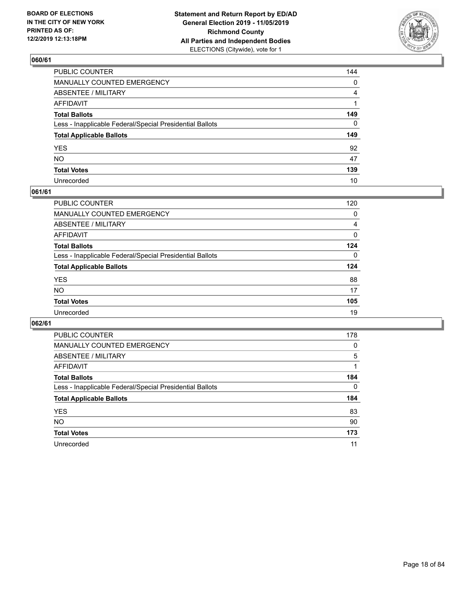

| PUBLIC COUNTER                                           | 144            |
|----------------------------------------------------------|----------------|
| MANUALLY COUNTED EMERGENCY                               | $\mathbf{0}$   |
| ABSENTEE / MILITARY                                      | $\overline{4}$ |
| AFFIDAVIT                                                |                |
| Total Ballots                                            | 149            |
| Less - Inapplicable Federal/Special Presidential Ballots | $\mathbf{0}$   |
| <b>Total Applicable Ballots</b>                          | 149            |
| YES                                                      | 92             |
| NO.                                                      | 47             |
| <b>Total Votes</b>                                       | 139            |
| Unrecorded                                               | 10             |

## **061/61**

| <b>PUBLIC COUNTER</b>                                    | 120      |
|----------------------------------------------------------|----------|
| MANUALLY COUNTED EMERGENCY                               | 0        |
| ABSENTEE / MILITARY                                      | 4        |
| AFFIDAVIT                                                | 0        |
| <b>Total Ballots</b>                                     | 124      |
| Less - Inapplicable Federal/Special Presidential Ballots | $\Omega$ |
| <b>Total Applicable Ballots</b>                          | 124      |
| <b>YES</b>                                               | 88       |
| <b>NO</b>                                                | 17       |
| <b>Total Votes</b>                                       | 105      |
| Unrecorded                                               | 19       |

| <b>PUBLIC COUNTER</b>                                    | 178      |
|----------------------------------------------------------|----------|
| MANUALLY COUNTED EMERGENCY                               | 0        |
| ABSENTEE / MILITARY                                      | 5        |
| AFFIDAVIT                                                |          |
| <b>Total Ballots</b>                                     | 184      |
| Less - Inapplicable Federal/Special Presidential Ballots | $\Omega$ |
| <b>Total Applicable Ballots</b>                          | 184      |
| <b>YES</b>                                               | 83       |
| <b>NO</b>                                                | 90       |
| <b>Total Votes</b>                                       | 173      |
| Unrecorded                                               | 11       |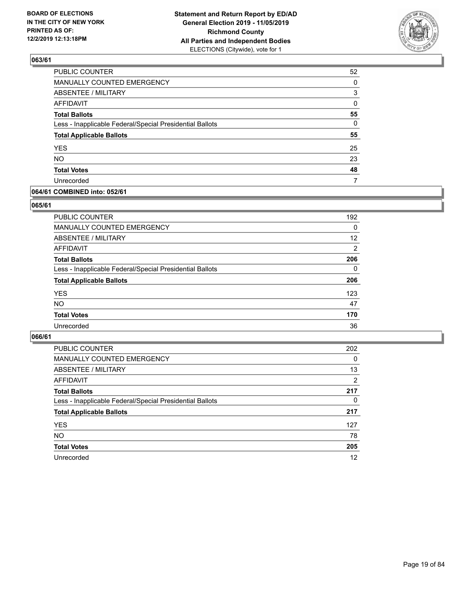

| PUBLIC COUNTER                                           | 52       |
|----------------------------------------------------------|----------|
| <b>MANUALLY COUNTED EMERGENCY</b>                        | $\Omega$ |
| ABSENTEE / MILITARY                                      | 3        |
| <b>AFFIDAVIT</b>                                         | 0        |
| <b>Total Ballots</b>                                     | 55       |
| Less - Inapplicable Federal/Special Presidential Ballots | $\Omega$ |
| <b>Total Applicable Ballots</b>                          | 55       |
| <b>YES</b>                                               | 25       |
| <b>NO</b>                                                | 23       |
| <b>Total Votes</b>                                       | 48       |
| Unrecorded                                               | 7        |

## **064/61 COMBINED into: 052/61**

## **065/61**

| <b>PUBLIC COUNTER</b>                                    | 192            |
|----------------------------------------------------------|----------------|
| <b>MANUALLY COUNTED EMERGENCY</b>                        | $\Omega$       |
| ABSENTEE / MILITARY                                      | 12             |
| AFFIDAVIT                                                | $\overline{2}$ |
| <b>Total Ballots</b>                                     | 206            |
| Less - Inapplicable Federal/Special Presidential Ballots | $\Omega$       |
| <b>Total Applicable Ballots</b>                          | 206            |
| <b>YES</b>                                               | 123            |
| <b>NO</b>                                                | 47             |
| <b>Total Votes</b>                                       | 170            |
| Unrecorded                                               | 36             |
|                                                          |                |

| <b>PUBLIC COUNTER</b>                                    | 202            |
|----------------------------------------------------------|----------------|
| MANUALLY COUNTED EMERGENCY                               | 0              |
| ABSENTEE / MILITARY                                      | 13             |
| AFFIDAVIT                                                | $\overline{2}$ |
| <b>Total Ballots</b>                                     | 217            |
| Less - Inapplicable Federal/Special Presidential Ballots | 0              |
| <b>Total Applicable Ballots</b>                          | 217            |
| <b>YES</b>                                               | 127            |
| <b>NO</b>                                                | 78             |
| <b>Total Votes</b>                                       | 205            |
| Unrecorded                                               | 12             |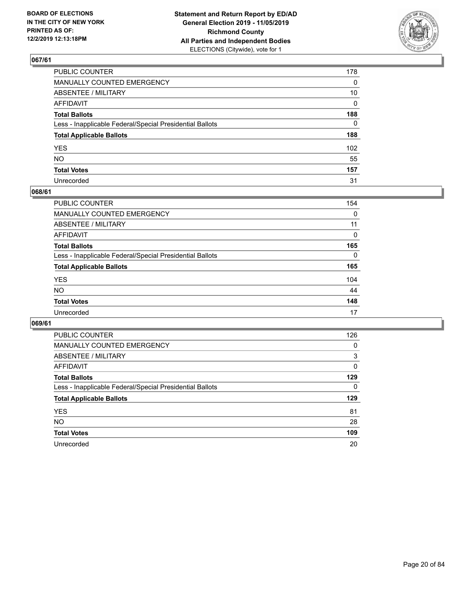

| PUBLIC COUNTER                                           | 178 |
|----------------------------------------------------------|-----|
| MANUALLY COUNTED EMERGENCY                               | 0   |
| ABSENTEE / MILITARY                                      | 10  |
| AFFIDAVIT                                                | 0   |
| Total Ballots                                            | 188 |
| Less - Inapplicable Federal/Special Presidential Ballots | 0   |
| <b>Total Applicable Ballots</b>                          | 188 |
| YES                                                      | 102 |
| NO.                                                      | 55  |
| <b>Total Votes</b>                                       | 157 |
| Unrecorded                                               | 31  |

## **068/61**

| <b>PUBLIC COUNTER</b>                                    | 154      |
|----------------------------------------------------------|----------|
| <b>MANUALLY COUNTED EMERGENCY</b>                        | $\Omega$ |
| ABSENTEE / MILITARY                                      | 11       |
| AFFIDAVIT                                                | 0        |
| <b>Total Ballots</b>                                     | 165      |
| Less - Inapplicable Federal/Special Presidential Ballots | $\Omega$ |
| <b>Total Applicable Ballots</b>                          | 165      |
| <b>YES</b>                                               | 104      |
| <b>NO</b>                                                | 44       |
| <b>Total Votes</b>                                       | 148      |
| Unrecorded                                               | 17       |

| <b>PUBLIC COUNTER</b>                                    | 126      |
|----------------------------------------------------------|----------|
| MANUALLY COUNTED EMERGENCY                               | 0        |
| ABSENTEE / MILITARY                                      | 3        |
| AFFIDAVIT                                                | $\Omega$ |
| <b>Total Ballots</b>                                     | 129      |
| Less - Inapplicable Federal/Special Presidential Ballots | $\Omega$ |
| <b>Total Applicable Ballots</b>                          | 129      |
| <b>YES</b>                                               | 81       |
| <b>NO</b>                                                | 28       |
|                                                          |          |
| <b>Total Votes</b>                                       | 109      |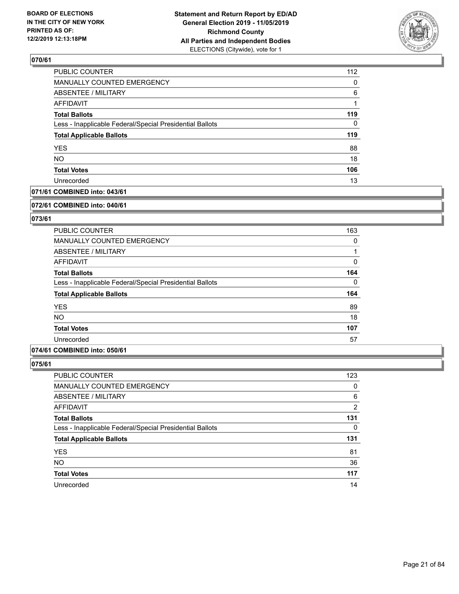

| <b>PUBLIC COUNTER</b>                                    | 112 |
|----------------------------------------------------------|-----|
| MANUALLY COUNTED EMERGENCY                               | 0   |
| ABSENTEE / MILITARY                                      | 6   |
| AFFIDAVIT                                                |     |
| <b>Total Ballots</b>                                     | 119 |
| Less - Inapplicable Federal/Special Presidential Ballots | 0   |
| <b>Total Applicable Ballots</b>                          | 119 |
| <b>YES</b>                                               | 88  |
| <b>NO</b>                                                | 18  |
| <b>Total Votes</b>                                       | 106 |
| Unrecorded                                               | 13  |

## **071/61 COMBINED into: 043/61**

#### **072/61 COMBINED into: 040/61**

## **073/61**

| <b>PUBLIC COUNTER</b>                                    | 163      |
|----------------------------------------------------------|----------|
| <b>MANUALLY COUNTED EMERGENCY</b>                        | 0        |
| ABSENTEE / MILITARY                                      |          |
| AFFIDAVIT                                                | 0        |
| <b>Total Ballots</b>                                     | 164      |
| Less - Inapplicable Federal/Special Presidential Ballots | $\Omega$ |
| <b>Total Applicable Ballots</b>                          | 164      |
| <b>YES</b>                                               | 89       |
| <b>NO</b>                                                | 18       |
| <b>Total Votes</b>                                       | 107      |
| Unrecorded                                               | 57       |

## **074/61 COMBINED into: 050/61**

| <b>PUBLIC COUNTER</b>                                    | 123 |
|----------------------------------------------------------|-----|
| MANUALLY COUNTED EMERGENCY                               | 0   |
| ABSENTEE / MILITARY                                      | 6   |
| AFFIDAVIT                                                | 2   |
| <b>Total Ballots</b>                                     | 131 |
| Less - Inapplicable Federal/Special Presidential Ballots | 0   |
| <b>Total Applicable Ballots</b>                          | 131 |
| <b>YES</b>                                               | 81  |
| <b>NO</b>                                                | 36  |
| <b>Total Votes</b>                                       | 117 |
| Unrecorded                                               | 14  |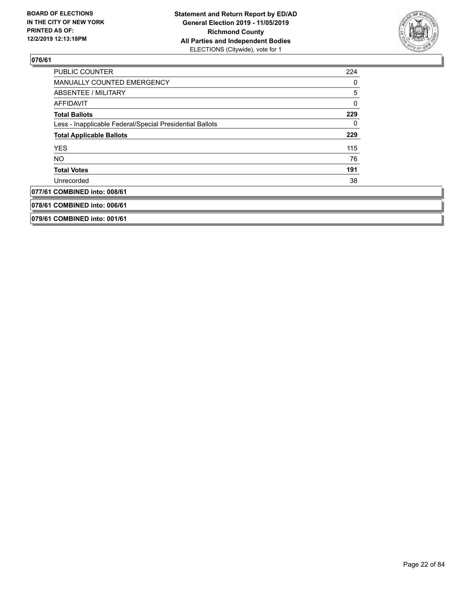

| <b>PUBLIC COUNTER</b>                                    | 224 |
|----------------------------------------------------------|-----|
| <b>MANUALLY COUNTED EMERGENCY</b>                        | 0   |
| ABSENTEE / MILITARY                                      | 5   |
| AFFIDAVIT                                                | 0   |
| <b>Total Ballots</b>                                     | 229 |
| Less - Inapplicable Federal/Special Presidential Ballots | 0   |
| <b>Total Applicable Ballots</b>                          | 229 |
| <b>YES</b>                                               | 115 |
| NO.                                                      | 76  |
| <b>Total Votes</b>                                       | 191 |
| Unrecorded                                               | 38  |
| 077/61 COMBINED into: 008/61                             |     |
| 078/61 COMBINED into: 006/61                             |     |
| 079/61 COMBINED into: 001/61                             |     |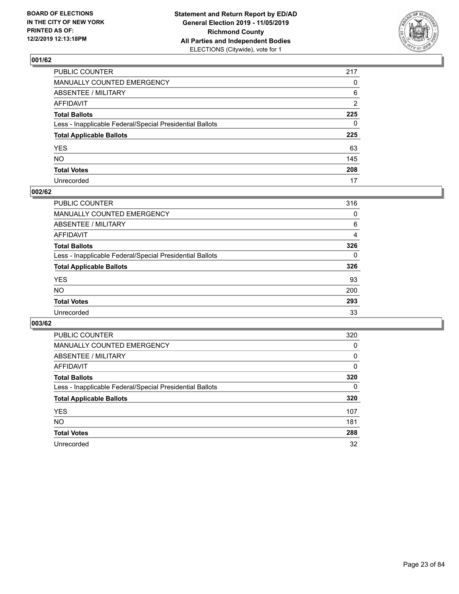

| PUBLIC COUNTER                                           | 217 |
|----------------------------------------------------------|-----|
| MANUALLY COUNTED EMERGENCY                               | 0   |
| ABSENTEE / MILITARY                                      | 6   |
| AFFIDAVIT                                                | 2   |
| Total Ballots                                            | 225 |
| Less - Inapplicable Federal/Special Presidential Ballots | 0   |
| <b>Total Applicable Ballots</b>                          | 225 |
| YES                                                      | 63  |
| NO.                                                      | 145 |
| <b>Total Votes</b>                                       | 208 |
| Unrecorded                                               | 17  |

## **002/62**

| PUBLIC COUNTER                                           | 316 |
|----------------------------------------------------------|-----|
| <b>MANUALLY COUNTED EMERGENCY</b>                        | 0   |
| ABSENTEE / MILITARY                                      | 6   |
| AFFIDAVIT                                                | 4   |
| <b>Total Ballots</b>                                     | 326 |
| Less - Inapplicable Federal/Special Presidential Ballots | 0   |
| <b>Total Applicable Ballots</b>                          | 326 |
| <b>YES</b>                                               | 93  |
| <b>NO</b>                                                | 200 |
| <b>Total Votes</b>                                       | 293 |
| Unrecorded                                               | 33  |

| <b>PUBLIC COUNTER</b>                                    | 320 |
|----------------------------------------------------------|-----|
| MANUALLY COUNTED EMERGENCY                               | 0   |
| ABSENTEE / MILITARY                                      | 0   |
| AFFIDAVIT                                                | 0   |
| <b>Total Ballots</b>                                     | 320 |
| Less - Inapplicable Federal/Special Presidential Ballots | 0   |
| <b>Total Applicable Ballots</b>                          | 320 |
| <b>YES</b>                                               | 107 |
| NO.                                                      | 181 |
| <b>Total Votes</b>                                       | 288 |
| Unrecorded                                               | 32  |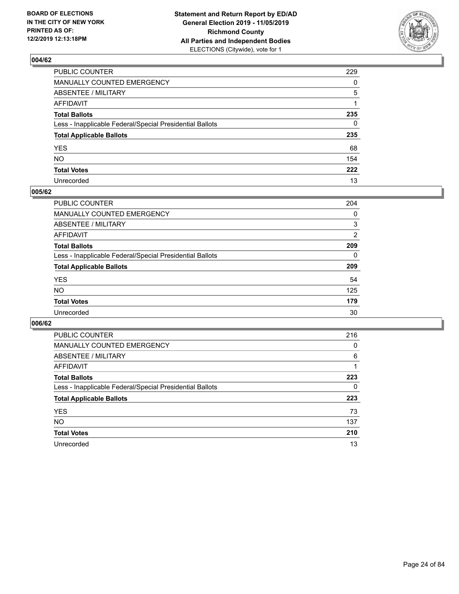

| PUBLIC COUNTER                                           | 229          |
|----------------------------------------------------------|--------------|
| MANUALLY COUNTED EMERGENCY                               | $\mathbf{0}$ |
| ABSENTEE / MILITARY                                      | 5            |
| AFFIDAVIT                                                |              |
| Total Ballots                                            | 235          |
| Less - Inapplicable Federal/Special Presidential Ballots | 0            |
| <b>Total Applicable Ballots</b>                          | 235          |
| YES                                                      | 68           |
| NO.                                                      | 154          |
| <b>Total Votes</b>                                       | 222          |
| Unrecorded                                               | 13           |

## **005/62**

| <b>PUBLIC COUNTER</b>                                    | 204      |
|----------------------------------------------------------|----------|
| MANUALLY COUNTED EMERGENCY                               | 0        |
| ABSENTEE / MILITARY                                      | 3        |
| AFFIDAVIT                                                | 2        |
| <b>Total Ballots</b>                                     | 209      |
| Less - Inapplicable Federal/Special Presidential Ballots | $\Omega$ |
| <b>Total Applicable Ballots</b>                          | 209      |
| <b>YES</b>                                               | 54       |
| <b>NO</b>                                                | 125      |
| <b>Total Votes</b>                                       | 179      |
| Unrecorded                                               | 30       |

| <b>PUBLIC COUNTER</b>                                    | 216 |
|----------------------------------------------------------|-----|
| MANUALLY COUNTED EMERGENCY                               | 0   |
| ABSENTEE / MILITARY                                      | 6   |
| AFFIDAVIT                                                |     |
| <b>Total Ballots</b>                                     | 223 |
| Less - Inapplicable Federal/Special Presidential Ballots | 0   |
| <b>Total Applicable Ballots</b>                          | 223 |
| <b>YES</b>                                               | 73  |
| <b>NO</b>                                                | 137 |
| <b>Total Votes</b>                                       | 210 |
| Unrecorded                                               | 13  |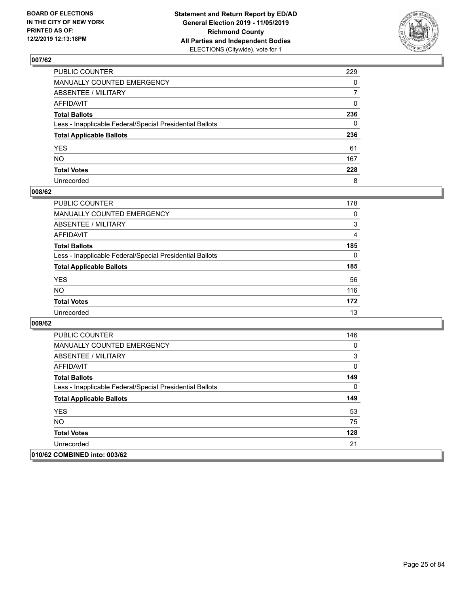

| PUBLIC COUNTER                                           | 229          |
|----------------------------------------------------------|--------------|
| MANUALLY COUNTED EMERGENCY                               | $\mathbf{0}$ |
| ABSENTEE / MILITARY                                      | 7            |
| AFFIDAVIT                                                | $\Omega$     |
| Total Ballots                                            | 236          |
| Less - Inapplicable Federal/Special Presidential Ballots | $\mathbf{0}$ |
| <b>Total Applicable Ballots</b>                          | 236          |
| YES                                                      | 61           |
| NO.                                                      | 167          |
| <b>Total Votes</b>                                       | 228          |
| Unrecorded                                               | 8            |

## **008/62**

| <b>PUBLIC COUNTER</b>                                    | 178      |
|----------------------------------------------------------|----------|
| MANUALLY COUNTED EMERGENCY                               | $\Omega$ |
| ABSENTEE / MILITARY                                      | 3        |
| AFFIDAVIT                                                | 4        |
| <b>Total Ballots</b>                                     | 185      |
| Less - Inapplicable Federal/Special Presidential Ballots | $\Omega$ |
| <b>Total Applicable Ballots</b>                          | 185      |
| <b>YES</b>                                               | 56       |
| <b>NO</b>                                                | 116      |
| <b>Total Votes</b>                                       | 172      |
| Unrecorded                                               | 13       |

| <b>PUBLIC COUNTER</b>                                    | 146 |
|----------------------------------------------------------|-----|
| <b>MANUALLY COUNTED EMERGENCY</b>                        | 0   |
| ABSENTEE / MILITARY                                      | 3   |
| AFFIDAVIT                                                | 0   |
| <b>Total Ballots</b>                                     | 149 |
| Less - Inapplicable Federal/Special Presidential Ballots | 0   |
| <b>Total Applicable Ballots</b>                          | 149 |
| <b>YES</b>                                               | 53  |
| NO.                                                      | 75  |
| <b>Total Votes</b>                                       | 128 |
| Unrecorded                                               | 21  |
| 010/62 COMBINED into: 003/62                             |     |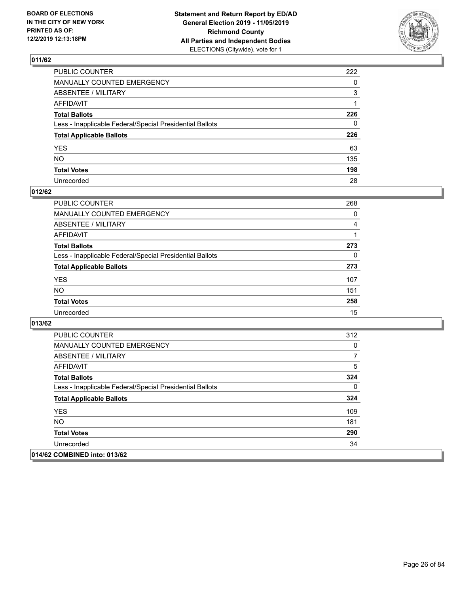

| PUBLIC COUNTER                                           | 222          |
|----------------------------------------------------------|--------------|
| MANUALLY COUNTED EMERGENCY                               | $\mathbf{0}$ |
| ABSENTEE / MILITARY                                      | 3            |
| AFFIDAVIT                                                |              |
| Total Ballots                                            | 226          |
| Less - Inapplicable Federal/Special Presidential Ballots | 0            |
| <b>Total Applicable Ballots</b>                          | 226          |
| YES                                                      | 63           |
| NO.                                                      | 135          |
| <b>Total Votes</b>                                       | 198          |
| Unrecorded                                               | 28           |

## **012/62**

| <b>PUBLIC COUNTER</b>                                    | 268 |
|----------------------------------------------------------|-----|
| <b>MANUALLY COUNTED EMERGENCY</b>                        | 0   |
| ABSENTEE / MILITARY                                      | 4   |
| AFFIDAVIT                                                |     |
| <b>Total Ballots</b>                                     | 273 |
| Less - Inapplicable Federal/Special Presidential Ballots | 0   |
| <b>Total Applicable Ballots</b>                          | 273 |
| <b>YES</b>                                               | 107 |
| <b>NO</b>                                                | 151 |
| <b>Total Votes</b>                                       | 258 |
| Unrecorded                                               | 15  |

| <b>PUBLIC COUNTER</b>                                    | 312 |
|----------------------------------------------------------|-----|
| <b>MANUALLY COUNTED EMERGENCY</b>                        | 0   |
| ABSENTEE / MILITARY                                      | 7   |
| AFFIDAVIT                                                | 5   |
| <b>Total Ballots</b>                                     | 324 |
| Less - Inapplicable Federal/Special Presidential Ballots | 0   |
| <b>Total Applicable Ballots</b>                          | 324 |
| <b>YES</b>                                               | 109 |
| NO.                                                      | 181 |
| <b>Total Votes</b>                                       | 290 |
| Unrecorded                                               | 34  |
| 014/62 COMBINED into: 013/62                             |     |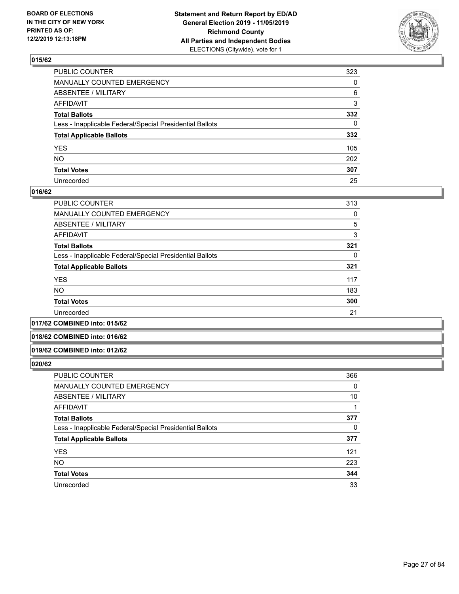

| PUBLIC COUNTER                                           | 323          |
|----------------------------------------------------------|--------------|
| MANUALLY COUNTED EMERGENCY                               | $\Omega$     |
| ABSENTEE / MILITARY                                      | 6            |
| AFFIDAVIT                                                | 3            |
| Total Ballots                                            | 332          |
| Less - Inapplicable Federal/Special Presidential Ballots | $\mathbf{0}$ |
| <b>Total Applicable Ballots</b>                          | 332          |
| YES                                                      | 105          |
| NO.                                                      | 202          |
| <b>Total Votes</b>                                       | 307          |
| Unrecorded                                               | 25           |

## **016/62**

| PUBLIC COUNTER                                           | 313 |
|----------------------------------------------------------|-----|
| <b>MANUALLY COUNTED EMERGENCY</b>                        | 0   |
| ABSENTEE / MILITARY                                      | 5   |
| AFFIDAVIT                                                | 3   |
| <b>Total Ballots</b>                                     | 321 |
| Less - Inapplicable Federal/Special Presidential Ballots | 0   |
| <b>Total Applicable Ballots</b>                          | 321 |
| <b>YES</b>                                               | 117 |
| <b>NO</b>                                                | 183 |
| <b>Total Votes</b>                                       | 300 |
| Unrecorded                                               | 21  |
|                                                          |     |

## **017/62 COMBINED into: 015/62**

#### **018/62 COMBINED into: 016/62**

#### **019/62 COMBINED into: 012/62**

| <b>PUBLIC COUNTER</b>                                    | 366 |
|----------------------------------------------------------|-----|
| <b>MANUALLY COUNTED EMERGENCY</b>                        | 0   |
| ABSENTEE / MILITARY                                      | 10  |
| AFFIDAVIT                                                |     |
| <b>Total Ballots</b>                                     | 377 |
| Less - Inapplicable Federal/Special Presidential Ballots | 0   |
| <b>Total Applicable Ballots</b>                          | 377 |
| <b>YES</b>                                               | 121 |
| <b>NO</b>                                                | 223 |
| <b>Total Votes</b>                                       | 344 |
| Unrecorded                                               | 33  |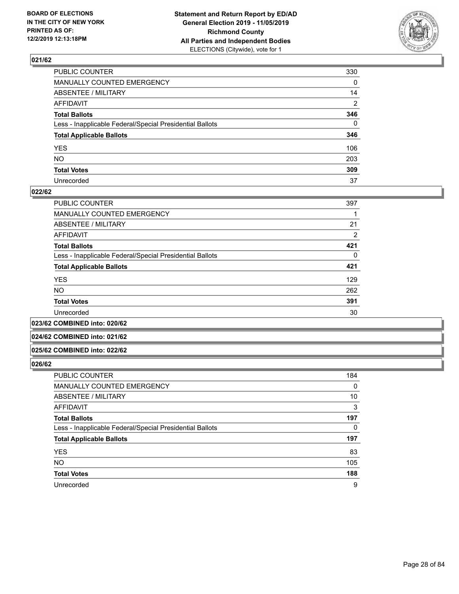

| PUBLIC COUNTER                                           | 330            |
|----------------------------------------------------------|----------------|
| MANUALLY COUNTED EMERGENCY                               | $\mathbf{0}$   |
| ABSENTEE / MILITARY                                      | 14             |
| AFFIDAVIT                                                | $\overline{2}$ |
| Total Ballots                                            | 346            |
| Less - Inapplicable Federal/Special Presidential Ballots | $\Omega$       |
| <b>Total Applicable Ballots</b>                          | 346            |
| YES                                                      | 106            |
| NO.                                                      | 203            |
| <b>Total Votes</b>                                       | 309            |
| Unrecorded                                               | 37             |

## **022/62**

| <b>PUBLIC COUNTER</b>                                    | 397 |
|----------------------------------------------------------|-----|
| <b>MANUALLY COUNTED EMERGENCY</b>                        |     |
| ABSENTEE / MILITARY                                      | 21  |
| AFFIDAVIT                                                | 2   |
| <b>Total Ballots</b>                                     | 421 |
| Less - Inapplicable Federal/Special Presidential Ballots | 0   |
| <b>Total Applicable Ballots</b>                          | 421 |
| <b>YES</b>                                               | 129 |
| <b>NO</b>                                                | 262 |
| <b>Total Votes</b>                                       | 391 |
| Unrecorded                                               | 30  |
|                                                          |     |

**023/62 COMBINED into: 020/62**

## **024/62 COMBINED into: 021/62**

#### **025/62 COMBINED into: 022/62**

| <b>PUBLIC COUNTER</b>                                    | 184      |
|----------------------------------------------------------|----------|
| <b>MANUALLY COUNTED EMERGENCY</b>                        | 0        |
| ABSENTEE / MILITARY                                      | 10       |
| AFFIDAVIT                                                | 3        |
| <b>Total Ballots</b>                                     | 197      |
| Less - Inapplicable Federal/Special Presidential Ballots | $\Omega$ |
| <b>Total Applicable Ballots</b>                          | 197      |
| <b>YES</b>                                               | 83       |
| <b>NO</b>                                                | 105      |
| <b>Total Votes</b>                                       | 188      |
| Unrecorded                                               | 9        |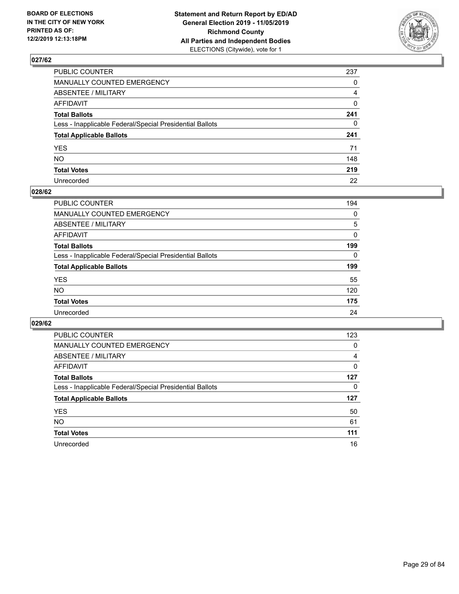

| PUBLIC COUNTER                                           | 237 |
|----------------------------------------------------------|-----|
| MANUALLY COUNTED EMERGENCY                               | 0   |
| ABSENTEE / MILITARY                                      | 4   |
| AFFIDAVIT                                                | 0   |
| Total Ballots                                            | 241 |
| Less - Inapplicable Federal/Special Presidential Ballots | 0   |
| <b>Total Applicable Ballots</b>                          | 241 |
| YES                                                      | 71  |
| NO.                                                      | 148 |
| <b>Total Votes</b>                                       | 219 |
| Unrecorded                                               | 22  |

## **028/62**

| <b>PUBLIC COUNTER</b>                                    | 194      |
|----------------------------------------------------------|----------|
| <b>MANUALLY COUNTED EMERGENCY</b>                        | 0        |
| ABSENTEE / MILITARY                                      | 5        |
| AFFIDAVIT                                                | 0        |
| <b>Total Ballots</b>                                     | 199      |
| Less - Inapplicable Federal/Special Presidential Ballots | $\Omega$ |
| <b>Total Applicable Ballots</b>                          | 199      |
| <b>YES</b>                                               | 55       |
| <b>NO</b>                                                | 120      |
| <b>Total Votes</b>                                       | 175      |
| Unrecorded                                               | 24       |

| <b>PUBLIC COUNTER</b>                                    | 123 |
|----------------------------------------------------------|-----|
| <b>MANUALLY COUNTED EMERGENCY</b>                        | 0   |
| ABSENTEE / MILITARY                                      | 4   |
| AFFIDAVIT                                                | 0   |
| <b>Total Ballots</b>                                     | 127 |
| Less - Inapplicable Federal/Special Presidential Ballots | 0   |
| <b>Total Applicable Ballots</b>                          | 127 |
| <b>YES</b>                                               | 50  |
| <b>NO</b>                                                | 61  |
| <b>Total Votes</b>                                       | 111 |
| Unrecorded                                               | 16  |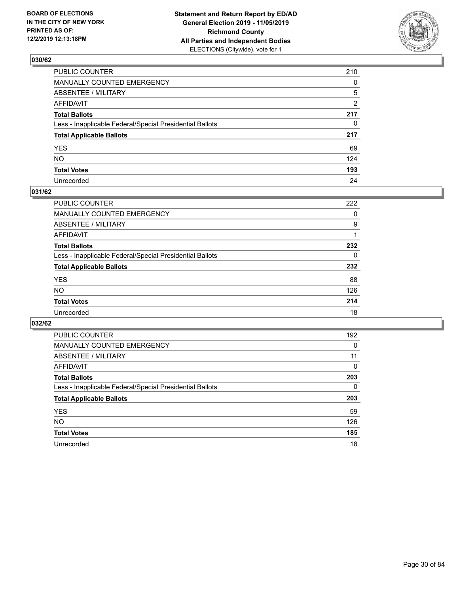

| PUBLIC COUNTER                                           | 210            |
|----------------------------------------------------------|----------------|
| MANUALLY COUNTED EMERGENCY                               | $\mathbf{0}$   |
| ABSENTEE / MILITARY                                      | 5              |
| AFFIDAVIT                                                | $\overline{2}$ |
| Total Ballots                                            | 217            |
| Less - Inapplicable Federal/Special Presidential Ballots | $\mathbf{0}$   |
| <b>Total Applicable Ballots</b>                          | 217            |
| YES                                                      | 69             |
| NO.                                                      | 124            |
| <b>Total Votes</b>                                       | 193            |
| Unrecorded                                               | 24             |

## **031/62**

| PUBLIC COUNTER                                           | 222 |
|----------------------------------------------------------|-----|
| <b>MANUALLY COUNTED EMERGENCY</b>                        | 0   |
| ABSENTEE / MILITARY                                      | 9   |
| AFFIDAVIT                                                |     |
| <b>Total Ballots</b>                                     | 232 |
| Less - Inapplicable Federal/Special Presidential Ballots | 0   |
| <b>Total Applicable Ballots</b>                          | 232 |
| <b>YES</b>                                               | 88  |
| <b>NO</b>                                                | 126 |
| <b>Total Votes</b>                                       | 214 |
| Unrecorded                                               | 18  |

| <b>PUBLIC COUNTER</b>                                    | 192 |
|----------------------------------------------------------|-----|
| MANUALLY COUNTED EMERGENCY                               | 0   |
| ABSENTEE / MILITARY                                      | 11  |
| AFFIDAVIT                                                | 0   |
| <b>Total Ballots</b>                                     | 203 |
| Less - Inapplicable Federal/Special Presidential Ballots | 0   |
| <b>Total Applicable Ballots</b>                          | 203 |
| <b>YES</b>                                               | 59  |
| NO.                                                      | 126 |
| <b>Total Votes</b>                                       | 185 |
| Unrecorded                                               | 18  |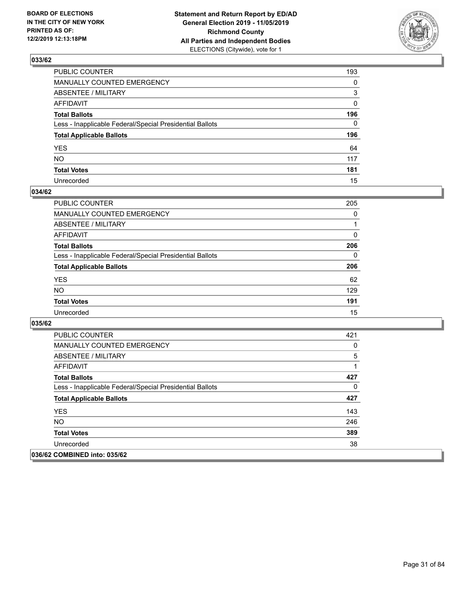

| PUBLIC COUNTER                                           | 193          |
|----------------------------------------------------------|--------------|
| MANUALLY COUNTED EMERGENCY                               | $\mathbf{0}$ |
| ABSENTEE / MILITARY                                      | 3            |
| AFFIDAVIT                                                | $\mathbf{0}$ |
| Total Ballots                                            | 196          |
| Less - Inapplicable Federal/Special Presidential Ballots | $\Omega$     |
| <b>Total Applicable Ballots</b>                          | 196          |
| YES                                                      | 64           |
| NO.                                                      | 117          |
| <b>Total Votes</b>                                       | 181          |
| Unrecorded                                               | 15           |

## **034/62**

| <b>PUBLIC COUNTER</b>                                    | 205      |
|----------------------------------------------------------|----------|
| <b>MANUALLY COUNTED EMERGENCY</b>                        | $\Omega$ |
| <b>ABSENTEE / MILITARY</b>                               |          |
| <b>AFFIDAVIT</b>                                         | $\Omega$ |
| <b>Total Ballots</b>                                     | 206      |
| Less - Inapplicable Federal/Special Presidential Ballots | $\Omega$ |
| <b>Total Applicable Ballots</b>                          | 206      |
| <b>YES</b>                                               | 62       |
| <b>NO</b>                                                | 129      |
| <b>Total Votes</b>                                       | 191      |
| Unrecorded                                               | 15       |

| <b>PUBLIC COUNTER</b>                                    | 421 |
|----------------------------------------------------------|-----|
| <b>MANUALLY COUNTED EMERGENCY</b>                        | 0   |
| ABSENTEE / MILITARY                                      | 5   |
| AFFIDAVIT                                                | 1   |
| <b>Total Ballots</b>                                     | 427 |
| Less - Inapplicable Federal/Special Presidential Ballots | 0   |
| <b>Total Applicable Ballots</b>                          | 427 |
| <b>YES</b>                                               | 143 |
| <b>NO</b>                                                | 246 |
| <b>Total Votes</b>                                       | 389 |
| Unrecorded                                               | 38  |
| 036/62 COMBINED into: 035/62                             |     |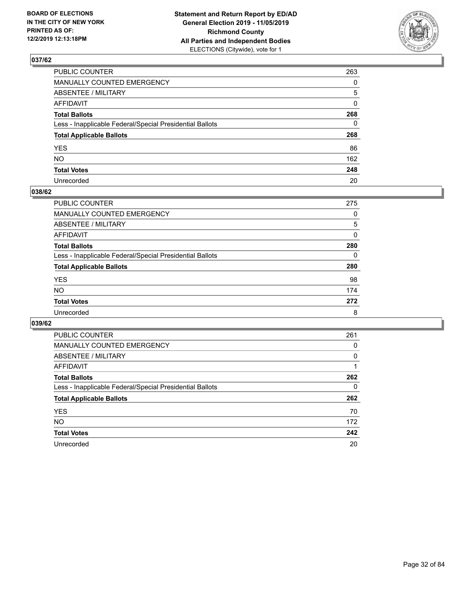

| PUBLIC COUNTER                                           | 263          |
|----------------------------------------------------------|--------------|
| MANUALLY COUNTED EMERGENCY                               | $\Omega$     |
| ABSENTEE / MILITARY                                      | 5            |
| AFFIDAVIT                                                | $\mathbf{0}$ |
| Total Ballots                                            | 268          |
| Less - Inapplicable Federal/Special Presidential Ballots | $\mathbf{0}$ |
| <b>Total Applicable Ballots</b>                          | 268          |
| YES                                                      | 86           |
| NO.                                                      | 162          |
| <b>Total Votes</b>                                       | 248          |
| Unrecorded                                               | 20           |

## **038/62**

| <b>PUBLIC COUNTER</b>                                    | 275      |
|----------------------------------------------------------|----------|
| <b>MANUALLY COUNTED EMERGENCY</b>                        | 0        |
| ABSENTEE / MILITARY                                      | 5        |
| AFFIDAVIT                                                | $\Omega$ |
| <b>Total Ballots</b>                                     | 280      |
| Less - Inapplicable Federal/Special Presidential Ballots | $\Omega$ |
| <b>Total Applicable Ballots</b>                          | 280      |
| <b>YES</b>                                               | 98       |
| <b>NO</b>                                                | 174      |
| <b>Total Votes</b>                                       | 272      |
| Unrecorded                                               | 8        |

| <b>PUBLIC COUNTER</b>                                    | 261      |
|----------------------------------------------------------|----------|
| MANUALLY COUNTED EMERGENCY                               | 0        |
| ABSENTEE / MILITARY                                      | $\Omega$ |
| AFFIDAVIT                                                |          |
| <b>Total Ballots</b>                                     | 262      |
| Less - Inapplicable Federal/Special Presidential Ballots | 0        |
| <b>Total Applicable Ballots</b>                          | 262      |
| <b>YES</b>                                               | 70       |
| NO.                                                      | 172      |
| <b>Total Votes</b>                                       | 242      |
| Unrecorded                                               | 20       |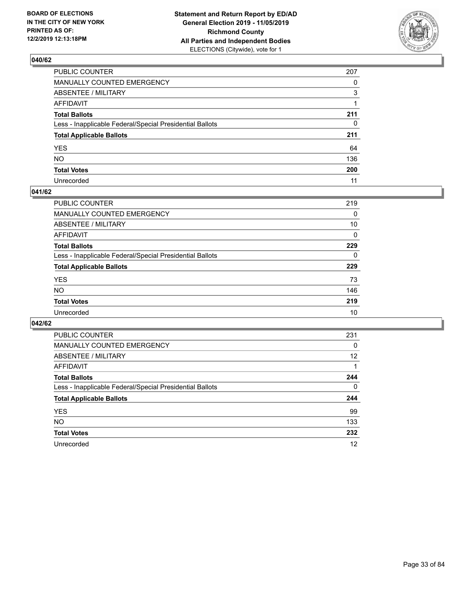

| PUBLIC COUNTER                                           | 207      |
|----------------------------------------------------------|----------|
| MANUALLY COUNTED EMERGENCY                               | $\Omega$ |
| ABSENTEE / MILITARY                                      | 3        |
| AFFIDAVIT                                                |          |
| Total Ballots                                            | 211      |
| Less - Inapplicable Federal/Special Presidential Ballots | 0        |
| <b>Total Applicable Ballots</b>                          | 211      |
| YES                                                      | 64       |
| NO.                                                      | 136      |
| <b>Total Votes</b>                                       | 200      |
| Unrecorded                                               | 11       |

## **041/62**

| PUBLIC COUNTER                                           | 219      |
|----------------------------------------------------------|----------|
| MANUALLY COUNTED EMERGENCY                               | 0        |
| ABSENTEE / MILITARY                                      | 10       |
| AFFIDAVIT                                                | $\Omega$ |
| <b>Total Ballots</b>                                     | 229      |
| Less - Inapplicable Federal/Special Presidential Ballots | $\Omega$ |
| <b>Total Applicable Ballots</b>                          | 229      |
| <b>YES</b>                                               | 73       |
| <b>NO</b>                                                | 146      |
| <b>Total Votes</b>                                       | 219      |
| Unrecorded                                               | 10       |

| <b>PUBLIC COUNTER</b>                                    | 231 |
|----------------------------------------------------------|-----|
| <b>MANUALLY COUNTED EMERGENCY</b>                        | 0   |
| ABSENTEE / MILITARY                                      | 12  |
| AFFIDAVIT                                                |     |
| <b>Total Ballots</b>                                     | 244 |
| Less - Inapplicable Federal/Special Presidential Ballots | 0   |
| <b>Total Applicable Ballots</b>                          | 244 |
| <b>YES</b>                                               | 99  |
| NO.                                                      | 133 |
| <b>Total Votes</b>                                       | 232 |
| Unrecorded                                               | 12  |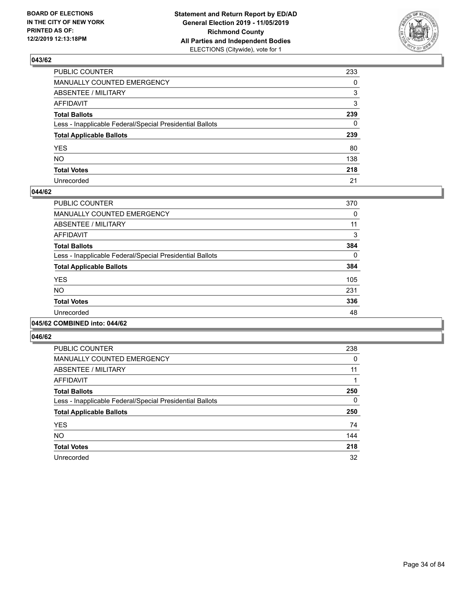

| PUBLIC COUNTER                                           | 233          |
|----------------------------------------------------------|--------------|
| MANUALLY COUNTED EMERGENCY                               | $\Omega$     |
| ABSENTEE / MILITARY                                      | 3            |
| AFFIDAVIT                                                | 3            |
| Total Ballots                                            | 239          |
| Less - Inapplicable Federal/Special Presidential Ballots | $\mathbf{0}$ |
| <b>Total Applicable Ballots</b>                          | 239          |
| YES                                                      | 80           |
| NO.                                                      | 138          |
| <b>Total Votes</b>                                       | 218          |
| Unrecorded                                               | 21           |

## **044/62**

| <b>PUBLIC COUNTER</b>                                    | 370      |
|----------------------------------------------------------|----------|
| <b>MANUALLY COUNTED EMERGENCY</b>                        | 0        |
| ABSENTEE / MILITARY                                      | 11       |
| <b>AFFIDAVIT</b>                                         | 3        |
| <b>Total Ballots</b>                                     | 384      |
| Less - Inapplicable Federal/Special Presidential Ballots | $\Omega$ |
| <b>Total Applicable Ballots</b>                          | 384      |
| <b>YES</b>                                               | 105      |
| NO.                                                      | 231      |
| <b>Total Votes</b>                                       | 336      |
| Unrecorded                                               | 48       |
|                                                          |          |

#### **045/62 COMBINED into: 044/62**

| <b>PUBLIC COUNTER</b>                                    | 238 |
|----------------------------------------------------------|-----|
| <b>MANUALLY COUNTED EMERGENCY</b>                        | 0   |
| ABSENTEE / MILITARY                                      | 11  |
| AFFIDAVIT                                                |     |
| <b>Total Ballots</b>                                     | 250 |
| Less - Inapplicable Federal/Special Presidential Ballots | 0   |
| <b>Total Applicable Ballots</b>                          | 250 |
| <b>YES</b>                                               | 74  |
| <b>NO</b>                                                | 144 |
| <b>Total Votes</b>                                       | 218 |
| Unrecorded                                               | 32  |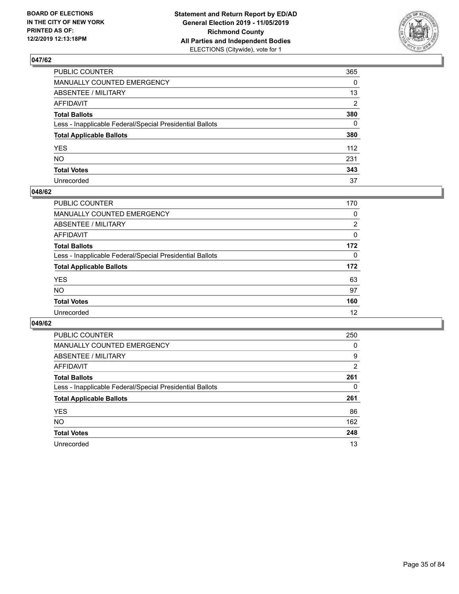

| PUBLIC COUNTER                                           | 365            |
|----------------------------------------------------------|----------------|
| MANUALLY COUNTED EMERGENCY                               | $\mathbf{0}$   |
| ABSENTEE / MILITARY                                      | 13             |
| AFFIDAVIT                                                | $\overline{2}$ |
| Total Ballots                                            | 380            |
| Less - Inapplicable Federal/Special Presidential Ballots | $\Omega$       |
| <b>Total Applicable Ballots</b>                          | 380            |
| YES                                                      | 112            |
| NΟ                                                       | 231            |
| <b>Total Votes</b>                                       | 343            |
| Unrecorded                                               | 37             |

## **048/62**

| PUBLIC COUNTER                                           | 170            |
|----------------------------------------------------------|----------------|
| <b>MANUALLY COUNTED EMERGENCY</b>                        | 0              |
| ABSENTEE / MILITARY                                      | $\overline{2}$ |
| AFFIDAVIT                                                | $\Omega$       |
| <b>Total Ballots</b>                                     | 172            |
| Less - Inapplicable Federal/Special Presidential Ballots | 0              |
| <b>Total Applicable Ballots</b>                          | 172            |
| <b>YES</b>                                               | 63             |
| <b>NO</b>                                                | 97             |
| <b>Total Votes</b>                                       | 160            |
| Unrecorded                                               | 12             |

| <b>PUBLIC COUNTER</b>                                    | 250 |
|----------------------------------------------------------|-----|
| MANUALLY COUNTED EMERGENCY                               | 0   |
| ABSENTEE / MILITARY                                      | 9   |
| AFFIDAVIT                                                | 2   |
| <b>Total Ballots</b>                                     | 261 |
| Less - Inapplicable Federal/Special Presidential Ballots | 0   |
| <b>Total Applicable Ballots</b>                          | 261 |
| <b>YES</b>                                               | 86  |
| <b>NO</b>                                                | 162 |
| <b>Total Votes</b>                                       | 248 |
| Unrecorded                                               | 13  |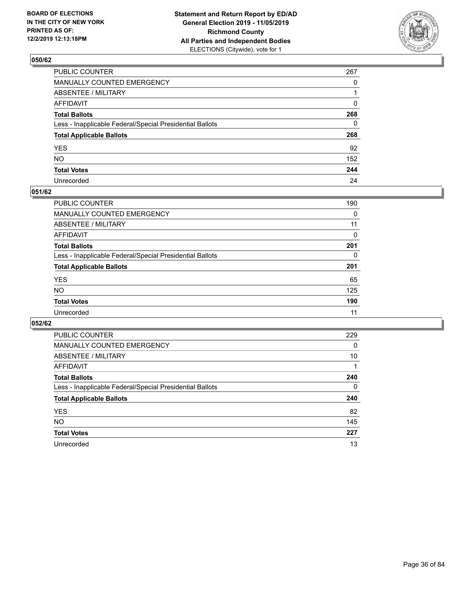

| PUBLIC COUNTER                                           | 267      |
|----------------------------------------------------------|----------|
| MANUALLY COUNTED EMERGENCY                               | $\Omega$ |
| ABSENTEE / MILITARY                                      |          |
| AFFIDAVIT                                                | 0        |
| Total Ballots                                            | 268      |
| Less - Inapplicable Federal/Special Presidential Ballots | 0        |
| <b>Total Applicable Ballots</b>                          | 268      |
| YES                                                      | 92       |
| NO.                                                      | 152      |
| <b>Total Votes</b>                                       | 244      |
| Unrecorded                                               | 24       |

## **051/62**

| <b>PUBLIC COUNTER</b>                                    | 190 |
|----------------------------------------------------------|-----|
| <b>MANUALLY COUNTED EMERGENCY</b>                        | 0   |
| <b>ABSENTEE / MILITARY</b>                               | 11  |
| AFFIDAVIT                                                | 0   |
| <b>Total Ballots</b>                                     | 201 |
| Less - Inapplicable Federal/Special Presidential Ballots | 0   |
| <b>Total Applicable Ballots</b>                          | 201 |
| <b>YES</b>                                               | 65  |
| <b>NO</b>                                                | 125 |
| <b>Total Votes</b>                                       | 190 |
| Unrecorded                                               | 11  |

| <b>PUBLIC COUNTER</b>                                    | 229 |
|----------------------------------------------------------|-----|
| MANUALLY COUNTED EMERGENCY                               | 0   |
| ABSENTEE / MILITARY                                      | 10  |
| AFFIDAVIT                                                |     |
| <b>Total Ballots</b>                                     | 240 |
| Less - Inapplicable Federal/Special Presidential Ballots | 0   |
| <b>Total Applicable Ballots</b>                          | 240 |
| <b>YES</b>                                               | 82  |
| <b>NO</b>                                                | 145 |
| <b>Total Votes</b>                                       | 227 |
| Unrecorded                                               | 13  |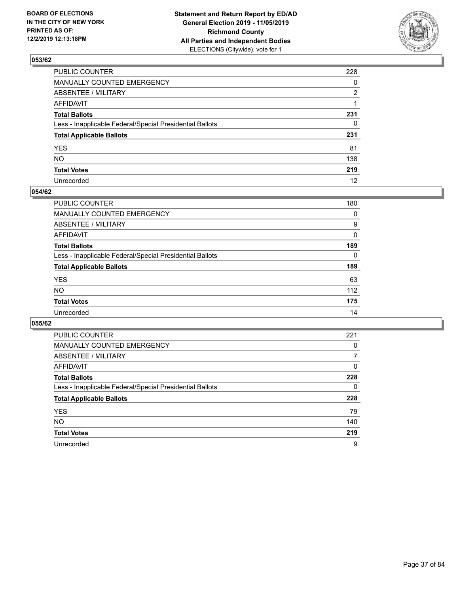

| PUBLIC COUNTER                                           | 228 |
|----------------------------------------------------------|-----|
| MANUALLY COUNTED EMERGENCY                               | 0   |
| ABSENTEE / MILITARY                                      | 2   |
| AFFIDAVIT                                                | 1   |
| Total Ballots                                            | 231 |
| Less - Inapplicable Federal/Special Presidential Ballots | 0   |
| <b>Total Applicable Ballots</b>                          | 231 |
| YES                                                      | 81  |
| NO.                                                      | 138 |
| <b>Total Votes</b>                                       | 219 |
| Unrecorded                                               | 12  |

### **054/62**

| <b>PUBLIC COUNTER</b>                                    | 180      |
|----------------------------------------------------------|----------|
| MANUALLY COUNTED EMERGENCY                               | 0        |
| ABSENTEE / MILITARY                                      | 9        |
| AFFIDAVIT                                                | 0        |
| <b>Total Ballots</b>                                     | 189      |
| Less - Inapplicable Federal/Special Presidential Ballots | $\Omega$ |
| <b>Total Applicable Ballots</b>                          | 189      |
| <b>YES</b>                                               | 63       |
| <b>NO</b>                                                | 112      |
| <b>Total Votes</b>                                       | 175      |
| Unrecorded                                               | 14       |

| PUBLIC COUNTER                                           | 221      |
|----------------------------------------------------------|----------|
| <b>MANUALLY COUNTED EMERGENCY</b>                        | $\Omega$ |
| ABSENTEE / MILITARY                                      | 7        |
| AFFIDAVIT                                                | $\Omega$ |
| <b>Total Ballots</b>                                     | 228      |
| Less - Inapplicable Federal/Special Presidential Ballots | 0        |
| <b>Total Applicable Ballots</b>                          | 228      |
| <b>YES</b>                                               | 79       |
| <b>NO</b>                                                | 140      |
| <b>Total Votes</b>                                       | 219      |
| Unrecorded                                               | 9        |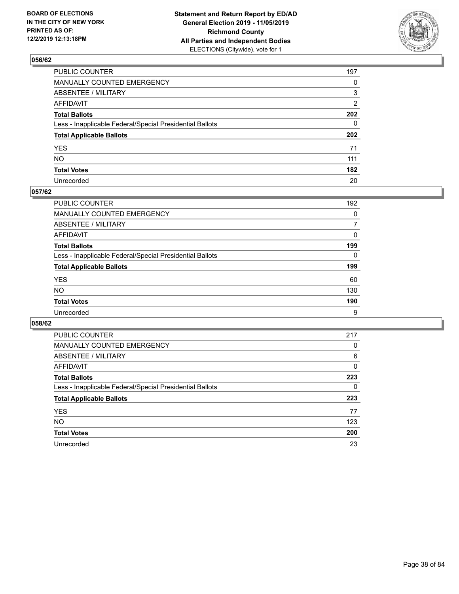

| PUBLIC COUNTER                                           | 197 |
|----------------------------------------------------------|-----|
| MANUALLY COUNTED EMERGENCY                               | 0   |
| ABSENTEE / MILITARY                                      | 3   |
| AFFIDAVIT                                                | 2   |
| Total Ballots                                            | 202 |
| Less - Inapplicable Federal/Special Presidential Ballots | 0   |
| <b>Total Applicable Ballots</b>                          | 202 |
| YES                                                      | 71  |
| NO.                                                      | 111 |
| <b>Total Votes</b>                                       | 182 |
| Unrecorded                                               | 20  |

### **057/62**

| <b>PUBLIC COUNTER</b>                                    | 192      |
|----------------------------------------------------------|----------|
| MANUALLY COUNTED EMERGENCY                               | $\Omega$ |
| ABSENTEE / MILITARY                                      | 7        |
| AFFIDAVIT                                                | $\Omega$ |
| <b>Total Ballots</b>                                     | 199      |
| Less - Inapplicable Federal/Special Presidential Ballots | $\Omega$ |
| <b>Total Applicable Ballots</b>                          | 199      |
| <b>YES</b>                                               | 60       |
| <b>NO</b>                                                | 130      |
| <b>Total Votes</b>                                       | 190      |
| Unrecorded                                               | 9        |

| PUBLIC COUNTER                                           | 217 |
|----------------------------------------------------------|-----|
| MANUALLY COUNTED EMERGENCY                               | 0   |
| ABSENTEE / MILITARY                                      | 6   |
| AFFIDAVIT                                                | 0   |
| <b>Total Ballots</b>                                     | 223 |
| Less - Inapplicable Federal/Special Presidential Ballots | 0   |
| <b>Total Applicable Ballots</b>                          | 223 |
| <b>YES</b>                                               | 77  |
| NO.                                                      | 123 |
| <b>Total Votes</b>                                       | 200 |
| Unrecorded                                               | 23  |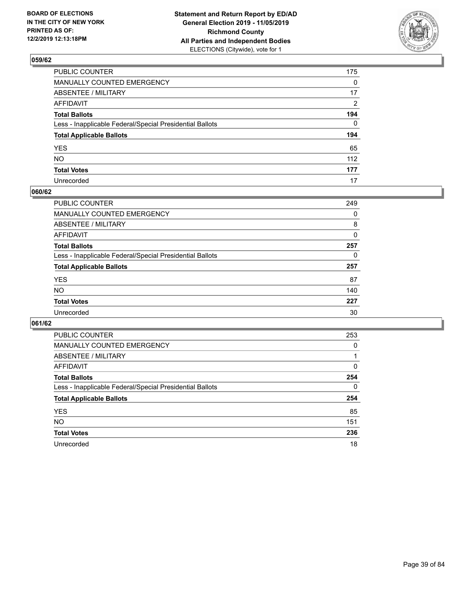

| PUBLIC COUNTER                                           | 175          |
|----------------------------------------------------------|--------------|
| MANUALLY COUNTED EMERGENCY                               | $\mathbf{0}$ |
| ABSENTEE / MILITARY                                      | 17           |
| AFFIDAVIT                                                | 2            |
| Total Ballots                                            | 194          |
| Less - Inapplicable Federal/Special Presidential Ballots | $\Omega$     |
| <b>Total Applicable Ballots</b>                          | 194          |
| YES                                                      | 65           |
| NO.                                                      | 112          |
| <b>Total Votes</b>                                       | 177          |
| Unrecorded                                               | 17           |

### **060/62**

| <b>PUBLIC COUNTER</b>                                    | 249 |
|----------------------------------------------------------|-----|
| MANUALLY COUNTED EMERGENCY                               | 0   |
| ABSENTEE / MILITARY                                      | 8   |
| AFFIDAVIT                                                | 0   |
| <b>Total Ballots</b>                                     | 257 |
| Less - Inapplicable Federal/Special Presidential Ballots | 0   |
| <b>Total Applicable Ballots</b>                          | 257 |
| <b>YES</b>                                               | 87  |
| <b>NO</b>                                                | 140 |
| <b>Total Votes</b>                                       | 227 |
| Unrecorded                                               | 30  |

| PUBLIC COUNTER                                           | 253      |
|----------------------------------------------------------|----------|
| MANUALLY COUNTED EMERGENCY                               | $\Omega$ |
| ABSENTEE / MILITARY                                      |          |
| AFFIDAVIT                                                | 0        |
| <b>Total Ballots</b>                                     | 254      |
| Less - Inapplicable Federal/Special Presidential Ballots | 0        |
| <b>Total Applicable Ballots</b>                          | 254      |
| <b>YES</b>                                               | 85       |
| NO.                                                      | 151      |
| <b>Total Votes</b>                                       | 236      |
|                                                          |          |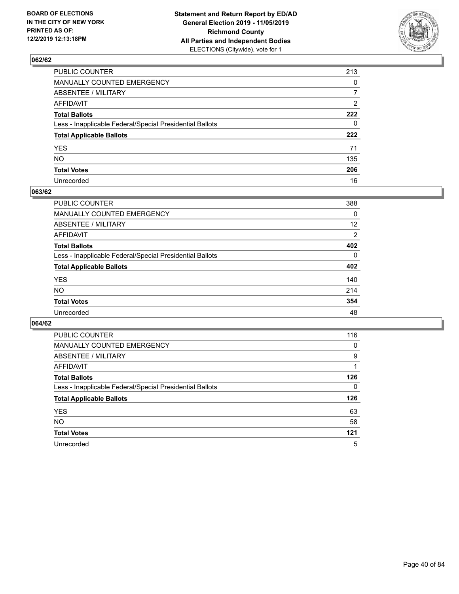

| PUBLIC COUNTER                                           | 213            |
|----------------------------------------------------------|----------------|
| MANUALLY COUNTED EMERGENCY                               | 0              |
| ABSENTEE / MILITARY                                      | 7              |
| AFFIDAVIT                                                | $\overline{2}$ |
| Total Ballots                                            | 222            |
| Less - Inapplicable Federal/Special Presidential Ballots | $\mathbf{0}$   |
| <b>Total Applicable Ballots</b>                          | 222            |
| YES                                                      | 71             |
| NO.                                                      | 135            |
| <b>Total Votes</b>                                       | 206            |
| Unrecorded                                               | 16             |

### **063/62**

| PUBLIC COUNTER                                           | 388            |
|----------------------------------------------------------|----------------|
| <b>MANUALLY COUNTED EMERGENCY</b>                        | 0              |
| <b>ABSENTEE / MILITARY</b>                               | 12             |
| AFFIDAVIT                                                | $\overline{2}$ |
| <b>Total Ballots</b>                                     | 402            |
| Less - Inapplicable Federal/Special Presidential Ballots | $\Omega$       |
| <b>Total Applicable Ballots</b>                          | 402            |
| <b>YES</b>                                               | 140            |
| <b>NO</b>                                                | 214            |
| <b>Total Votes</b>                                       | 354            |
| Unrecorded                                               | 48             |

| PUBLIC COUNTER                                           | 116      |
|----------------------------------------------------------|----------|
| MANUALLY COUNTED EMERGENCY                               | 0        |
| ABSENTEE / MILITARY                                      | 9        |
| AFFIDAVIT                                                |          |
| <b>Total Ballots</b>                                     | 126      |
| Less - Inapplicable Federal/Special Presidential Ballots | $\Omega$ |
| <b>Total Applicable Ballots</b>                          | 126      |
| <b>YES</b>                                               | 63       |
|                                                          |          |
| <b>NO</b>                                                | 58       |
| <b>Total Votes</b>                                       | 121      |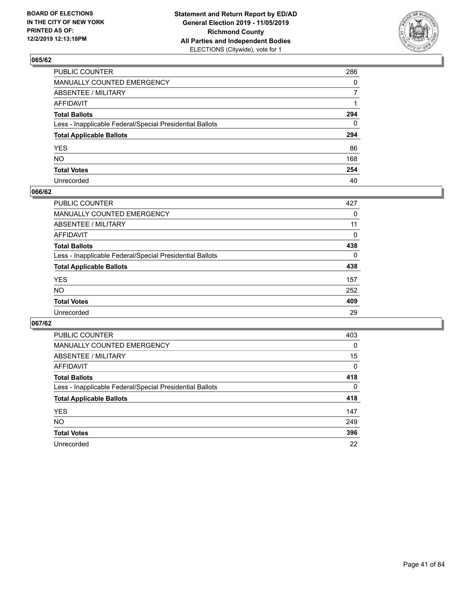

| PUBLIC COUNTER                                           | 286          |
|----------------------------------------------------------|--------------|
| MANUALLY COUNTED EMERGENCY                               | $\mathbf{0}$ |
| ABSENTEE / MILITARY                                      | 7            |
| AFFIDAVIT                                                |              |
| Total Ballots                                            | 294          |
| Less - Inapplicable Federal/Special Presidential Ballots | 0            |
| <b>Total Applicable Ballots</b>                          | 294          |
| YES                                                      | 86           |
| NO.                                                      | 168          |
| <b>Total Votes</b>                                       | 254          |
| Unrecorded                                               | 40           |

### **066/62**

| <b>PUBLIC COUNTER</b>                                    | 427      |
|----------------------------------------------------------|----------|
| <b>MANUALLY COUNTED EMERGENCY</b>                        | 0        |
| ABSENTEE / MILITARY                                      | 11       |
| AFFIDAVIT                                                | 0        |
| <b>Total Ballots</b>                                     | 438      |
| Less - Inapplicable Federal/Special Presidential Ballots | $\Omega$ |
| <b>Total Applicable Ballots</b>                          | 438      |
| <b>YES</b>                                               | 157      |
| <b>NO</b>                                                | 252      |
| <b>Total Votes</b>                                       | 409      |
| Unrecorded                                               | 29       |

| PUBLIC COUNTER                                           | 403      |
|----------------------------------------------------------|----------|
| <b>MANUALLY COUNTED EMERGENCY</b>                        | $\Omega$ |
| ABSENTEE / MILITARY                                      | 15       |
| AFFIDAVIT                                                | 0        |
| <b>Total Ballots</b>                                     | 418      |
| Less - Inapplicable Federal/Special Presidential Ballots | $\Omega$ |
| <b>Total Applicable Ballots</b>                          | 418      |
| <b>YES</b>                                               | 147      |
| NO.                                                      | 249      |
| <b>Total Votes</b>                                       | 396      |
| Unrecorded                                               | 22       |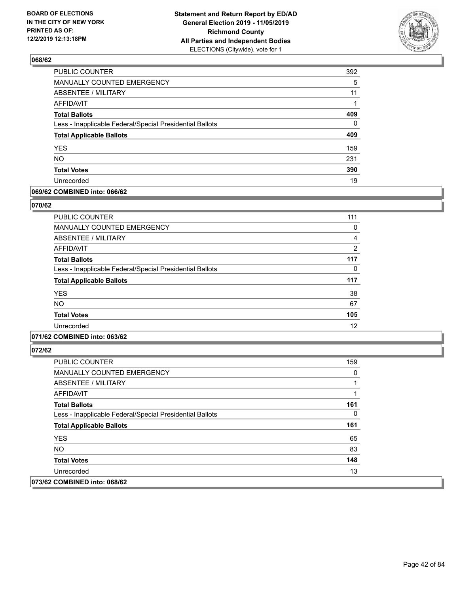

| PUBLIC COUNTER                                           | 392      |
|----------------------------------------------------------|----------|
| <b>MANUALLY COUNTED EMERGENCY</b>                        | 5        |
| <b>ABSENTEE / MILITARY</b>                               | 11       |
| <b>AFFIDAVIT</b>                                         |          |
| <b>Total Ballots</b>                                     | 409      |
| Less - Inapplicable Federal/Special Presidential Ballots | $\Omega$ |
| <b>Total Applicable Ballots</b>                          | 409      |
| <b>YES</b>                                               | 159      |
| <b>NO</b>                                                | 231      |
| <b>Total Votes</b>                                       | 390      |
| Unrecorded                                               | 19       |

### **069/62 COMBINED into: 066/62**

#### **070/62**

| PUBLIC COUNTER                                           | 111            |
|----------------------------------------------------------|----------------|
| <b>MANUALLY COUNTED EMERGENCY</b>                        | 0              |
| <b>ABSENTEE / MILITARY</b>                               | 4              |
| AFFIDAVIT                                                | $\overline{2}$ |
| <b>Total Ballots</b>                                     | 117            |
| Less - Inapplicable Federal/Special Presidential Ballots | 0              |
| <b>Total Applicable Ballots</b>                          | 117            |
| <b>YES</b>                                               | 38             |
| <b>NO</b>                                                | 67             |
| <b>Total Votes</b>                                       | 105            |
| Unrecorded                                               | 12             |
|                                                          |                |

### **071/62 COMBINED into: 063/62**

| <b>PUBLIC COUNTER</b>                                    | 159 |
|----------------------------------------------------------|-----|
| <b>MANUALLY COUNTED EMERGENCY</b>                        | 0   |
| ABSENTEE / MILITARY                                      |     |
| AFFIDAVIT                                                |     |
| <b>Total Ballots</b>                                     | 161 |
| Less - Inapplicable Federal/Special Presidential Ballots | 0   |
| <b>Total Applicable Ballots</b>                          | 161 |
| <b>YES</b>                                               | 65  |
| <b>NO</b>                                                | 83  |
| <b>Total Votes</b>                                       | 148 |
| Unrecorded                                               | 13  |
| 073/62 COMBINED into: 068/62                             |     |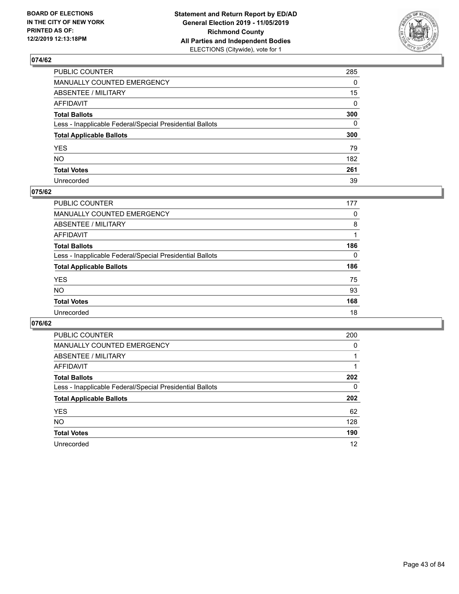

| PUBLIC COUNTER                                           | 285          |
|----------------------------------------------------------|--------------|
| MANUALLY COUNTED EMERGENCY                               | $\mathbf{0}$ |
| ABSENTEE / MILITARY                                      | 15           |
| AFFIDAVIT                                                | 0            |
| Total Ballots                                            | 300          |
| Less - Inapplicable Federal/Special Presidential Ballots | 0            |
| <b>Total Applicable Ballots</b>                          | 300          |
| YES                                                      | 79           |
| NO.                                                      | 182          |
| <b>Total Votes</b>                                       | 261          |
| Unrecorded                                               | 39           |

### **075/62**

| 177      |
|----------|
| 0        |
| 8        |
|          |
| 186      |
| $\Omega$ |
| 186      |
| 75       |
| 93       |
| 168      |
| 18       |
|          |

| PUBLIC COUNTER                                           | 200      |
|----------------------------------------------------------|----------|
| MANUALLY COUNTED EMERGENCY                               | $\Omega$ |
| ABSENTEE / MILITARY                                      |          |
| AFFIDAVIT                                                |          |
| <b>Total Ballots</b>                                     | 202      |
| Less - Inapplicable Federal/Special Presidential Ballots | 0        |
| <b>Total Applicable Ballots</b>                          | 202      |
| <b>YES</b>                                               | 62       |
| NO.                                                      | 128      |
| <b>Total Votes</b>                                       | 190      |
| Unrecorded                                               | 12       |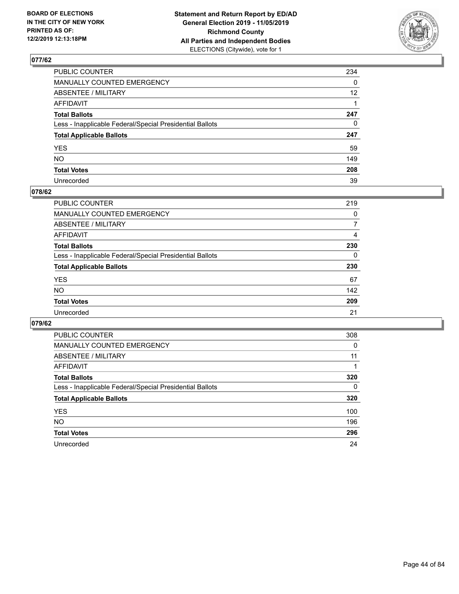

| PUBLIC COUNTER                                           | 234             |
|----------------------------------------------------------|-----------------|
| MANUALLY COUNTED EMERGENCY                               | $\mathbf{0}$    |
| ABSENTEE / MILITARY                                      | 12 <sup>2</sup> |
| AFFIDAVIT                                                |                 |
| Total Ballots                                            | 247             |
| Less - Inapplicable Federal/Special Presidential Ballots | $\mathbf{0}$    |
| <b>Total Applicable Ballots</b>                          | 247             |
| YES                                                      | 59              |
| NO.                                                      | 149             |
| <b>Total Votes</b>                                       | 208             |
| Unrecorded                                               | 39              |

### **078/62**

| <b>PUBLIC COUNTER</b>                                    | 219      |
|----------------------------------------------------------|----------|
| <b>MANUALLY COUNTED EMERGENCY</b>                        | 0        |
| ABSENTEE / MILITARY                                      | 7        |
| AFFIDAVIT                                                | 4        |
| <b>Total Ballots</b>                                     | 230      |
| Less - Inapplicable Federal/Special Presidential Ballots | $\Omega$ |
| <b>Total Applicable Ballots</b>                          | 230      |
| <b>YES</b>                                               | 67       |
| <b>NO</b>                                                | 142      |
| <b>Total Votes</b>                                       | 209      |
| Unrecorded                                               | 21       |

| PUBLIC COUNTER                                           | 308 |
|----------------------------------------------------------|-----|
| <b>MANUALLY COUNTED EMERGENCY</b>                        | 0   |
| ABSENTEE / MILITARY                                      | 11  |
| AFFIDAVIT                                                |     |
| <b>Total Ballots</b>                                     | 320 |
| Less - Inapplicable Federal/Special Presidential Ballots | 0   |
| <b>Total Applicable Ballots</b>                          | 320 |
| <b>YES</b>                                               | 100 |
| NO.                                                      | 196 |
| <b>Total Votes</b>                                       | 296 |
| Unrecorded                                               | 24  |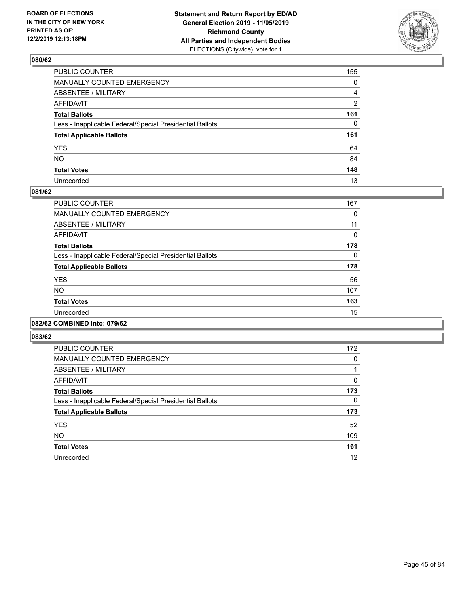

| PUBLIC COUNTER                                           | 155 |
|----------------------------------------------------------|-----|
| MANUALLY COUNTED EMERGENCY                               | 0   |
| ABSENTEE / MILITARY                                      | 4   |
| AFFIDAVIT                                                | 2   |
| Total Ballots                                            | 161 |
| Less - Inapplicable Federal/Special Presidential Ballots | 0   |
| <b>Total Applicable Ballots</b>                          | 161 |
| YES                                                      | 64  |
| NO.                                                      | 84  |
| <b>Total Votes</b>                                       | 148 |
| Unrecorded                                               | 13  |

### **081/62**

| PUBLIC COUNTER                                           | 167      |
|----------------------------------------------------------|----------|
| <b>MANUALLY COUNTED EMERGENCY</b>                        | 0        |
| ABSENTEE / MILITARY                                      | 11       |
| <b>AFFIDAVIT</b>                                         | 0        |
| <b>Total Ballots</b>                                     | 178      |
| Less - Inapplicable Federal/Special Presidential Ballots | $\Omega$ |
| <b>Total Applicable Ballots</b>                          | 178      |
| <b>YES</b>                                               | 56       |
| <b>NO</b>                                                | 107      |
| <b>Total Votes</b>                                       | 163      |
| Unrecorded                                               | 15       |
|                                                          |          |

### **082/62 COMBINED into: 079/62**

| PUBLIC COUNTER                                           | 172 |
|----------------------------------------------------------|-----|
| <b>MANUALLY COUNTED EMERGENCY</b>                        | 0   |
| ABSENTEE / MILITARY                                      |     |
| <b>AFFIDAVIT</b>                                         | 0   |
| <b>Total Ballots</b>                                     | 173 |
| Less - Inapplicable Federal/Special Presidential Ballots | 0   |
| <b>Total Applicable Ballots</b>                          | 173 |
| <b>YES</b>                                               | 52  |
| <b>NO</b>                                                | 109 |
| <b>Total Votes</b>                                       | 161 |
| Unrecorded                                               | 12  |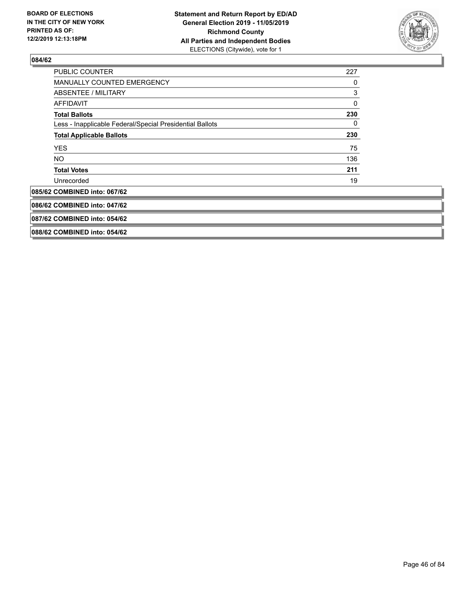

| <b>PUBLIC COUNTER</b>                                    | 227 |
|----------------------------------------------------------|-----|
| <b>MANUALLY COUNTED EMERGENCY</b>                        | 0   |
| ABSENTEE / MILITARY                                      | 3   |
| AFFIDAVIT                                                | 0   |
| <b>Total Ballots</b>                                     | 230 |
| Less - Inapplicable Federal/Special Presidential Ballots | 0   |
| <b>Total Applicable Ballots</b>                          | 230 |
| <b>YES</b>                                               | 75  |
| NO.                                                      | 136 |
| <b>Total Votes</b>                                       | 211 |
| Unrecorded                                               | 19  |
| 085/62 COMBINED into: 067/62                             |     |
| 086/62 COMBINED into: 047/62                             |     |
| 087/62 COMBINED into: 054/62                             |     |
| 088/62 COMBINED into: 054/62                             |     |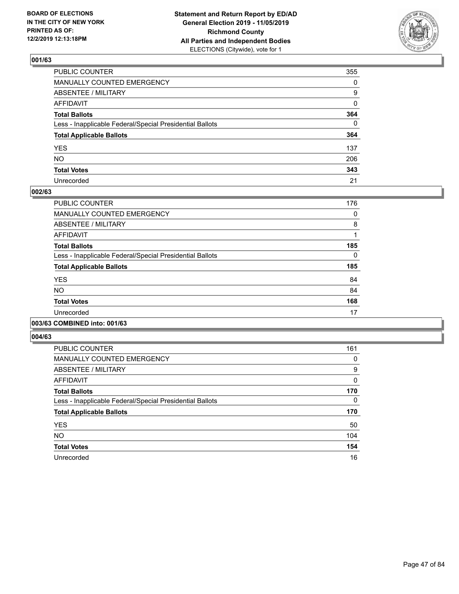

| PUBLIC COUNTER                                           | 355          |
|----------------------------------------------------------|--------------|
| MANUALLY COUNTED EMERGENCY                               | $\mathbf{0}$ |
| ABSENTEE / MILITARY                                      | 9            |
| AFFIDAVIT                                                | $\Omega$     |
| Total Ballots                                            | 364          |
| Less - Inapplicable Federal/Special Presidential Ballots | $\Omega$     |
| <b>Total Applicable Ballots</b>                          | 364          |
| YES                                                      | 137          |
| NO.                                                      | 206          |
| <b>Total Votes</b>                                       | 343          |
| Unrecorded                                               | 21           |

### **002/63**

| PUBLIC COUNTER                                           | 176      |
|----------------------------------------------------------|----------|
| <b>MANUALLY COUNTED EMERGENCY</b>                        | $\Omega$ |
| ABSENTEE / MILITARY                                      | 8        |
| <b>AFFIDAVIT</b>                                         |          |
| <b>Total Ballots</b>                                     | 185      |
| Less - Inapplicable Federal/Special Presidential Ballots | 0        |
| <b>Total Applicable Ballots</b>                          | 185      |
| <b>YES</b>                                               | 84       |
| <b>NO</b>                                                | 84       |
| <b>Total Votes</b>                                       | 168      |
| Unrecorded                                               | 17       |
|                                                          |          |

### **003/63 COMBINED into: 001/63**

| PUBLIC COUNTER                                           | 161 |
|----------------------------------------------------------|-----|
| <b>MANUALLY COUNTED EMERGENCY</b>                        | 0   |
| ABSENTEE / MILITARY                                      | 9   |
| <b>AFFIDAVIT</b>                                         | 0   |
| <b>Total Ballots</b>                                     | 170 |
| Less - Inapplicable Federal/Special Presidential Ballots | 0   |
| <b>Total Applicable Ballots</b>                          | 170 |
| <b>YES</b>                                               | 50  |
| <b>NO</b>                                                | 104 |
| <b>Total Votes</b>                                       | 154 |
| Unrecorded                                               | 16  |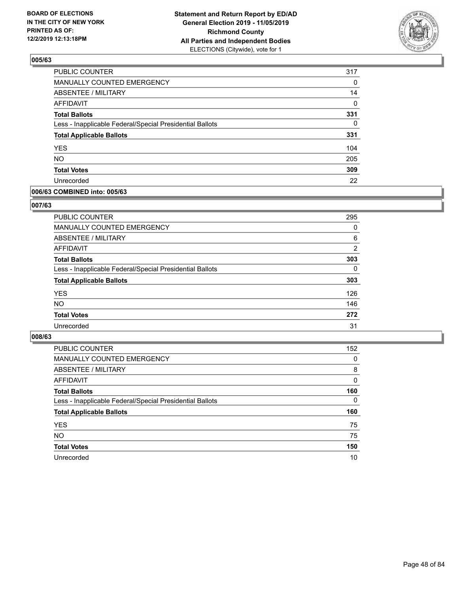

| PUBLIC COUNTER                                           | 317      |
|----------------------------------------------------------|----------|
| MANUALLY COUNTED EMERGENCY                               | 0        |
| ABSENTEE / MILITARY                                      | 14       |
| <b>AFFIDAVIT</b>                                         | 0        |
| <b>Total Ballots</b>                                     | 331      |
| Less - Inapplicable Federal/Special Presidential Ballots | $\Omega$ |
| <b>Total Applicable Ballots</b>                          | 331      |
| <b>YES</b>                                               | 104      |
| <b>NO</b>                                                | 205      |
| <b>Total Votes</b>                                       | 309      |
| Unrecorded                                               | 22       |

### **006/63 COMBINED into: 005/63**

#### **007/63**

| PUBLIC COUNTER                                           | 295      |
|----------------------------------------------------------|----------|
| MANUALLY COUNTED EMERGENCY                               | 0        |
| <b>ABSENTEE / MILITARY</b>                               | 6        |
| AFFIDAVIT                                                | 2        |
| <b>Total Ballots</b>                                     | 303      |
| Less - Inapplicable Federal/Special Presidential Ballots | $\Omega$ |
| <b>Total Applicable Ballots</b>                          | 303      |
| <b>YES</b>                                               | 126      |
| <b>NO</b>                                                | 146      |
| <b>Total Votes</b>                                       | 272      |
| Unrecorded                                               | 31       |

| <b>PUBLIC COUNTER</b>                                    | 152      |
|----------------------------------------------------------|----------|
| MANUALLY COUNTED EMERGENCY                               | 0        |
| ABSENTEE / MILITARY                                      | 8        |
| AFFIDAVIT                                                | $\Omega$ |
| <b>Total Ballots</b>                                     | 160      |
| Less - Inapplicable Federal/Special Presidential Ballots | $\Omega$ |
| <b>Total Applicable Ballots</b>                          | 160      |
| <b>YES</b>                                               | 75       |
| <b>NO</b>                                                | 75       |
| <b>Total Votes</b>                                       | 150      |
| Unrecorded                                               | 10       |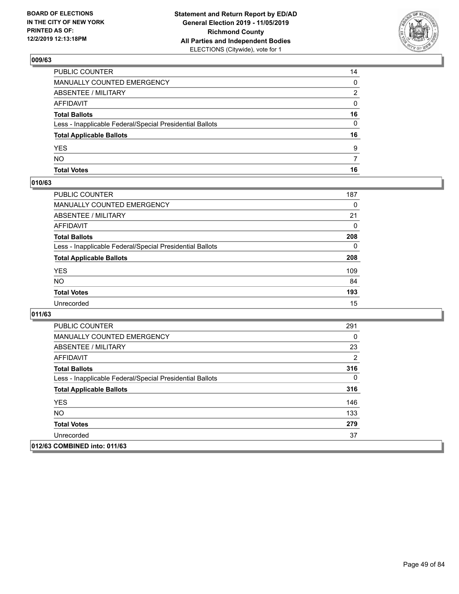

| <b>Total Votes</b>                                       | 16       |
|----------------------------------------------------------|----------|
| NO.                                                      |          |
| YES                                                      | 9        |
| <b>Total Applicable Ballots</b>                          | 16       |
| Less - Inapplicable Federal/Special Presidential Ballots | 0        |
| <b>Total Ballots</b>                                     | 16       |
| <b>AFFIDAVIT</b>                                         | $\Omega$ |
| <b>ABSENTEE / MILITARY</b>                               | 2        |
| <b>MANUALLY COUNTED EMERGENCY</b>                        | 0        |
| PUBLIC COUNTER                                           | 14       |

### **010/63**

| PUBLIC COUNTER                                           | 187      |
|----------------------------------------------------------|----------|
| <b>MANUALLY COUNTED EMERGENCY</b>                        | $\Omega$ |
| ABSENTEE / MILITARY                                      | 21       |
| AFFIDAVIT                                                | $\Omega$ |
| <b>Total Ballots</b>                                     | 208      |
| Less - Inapplicable Federal/Special Presidential Ballots | $\Omega$ |
| <b>Total Applicable Ballots</b>                          | 208      |
| <b>YES</b>                                               | 109      |
| <b>NO</b>                                                | 84       |
| <b>Total Votes</b>                                       | 193      |
| Unrecorded                                               | 15       |

| <b>PUBLIC COUNTER</b>                                    | 291 |
|----------------------------------------------------------|-----|
| MANUALLY COUNTED EMERGENCY                               | 0   |
| ABSENTEE / MILITARY                                      | 23  |
| AFFIDAVIT                                                | 2   |
| <b>Total Ballots</b>                                     | 316 |
| Less - Inapplicable Federal/Special Presidential Ballots | 0   |
| <b>Total Applicable Ballots</b>                          | 316 |
| <b>YES</b>                                               | 146 |
| <b>NO</b>                                                | 133 |
| <b>Total Votes</b>                                       | 279 |
| Unrecorded                                               | 37  |
| 012/63 COMBINED into: 011/63                             |     |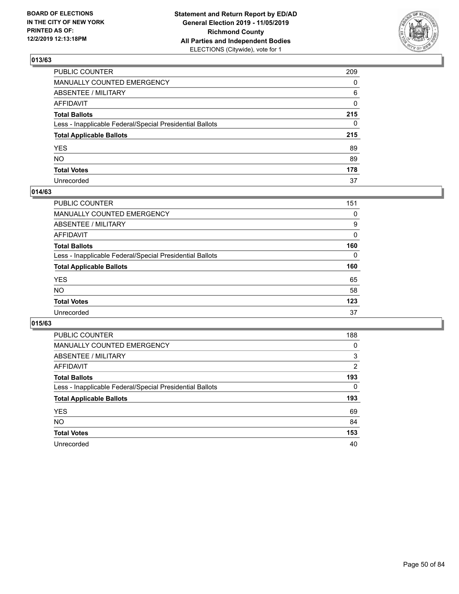

| PUBLIC COUNTER                                           | 209          |
|----------------------------------------------------------|--------------|
| MANUALLY COUNTED EMERGENCY                               | $\Omega$     |
| ABSENTEE / MILITARY                                      | 6            |
| AFFIDAVIT                                                | $\mathbf 0$  |
| Total Ballots                                            | 215          |
| Less - Inapplicable Federal/Special Presidential Ballots | $\mathbf{0}$ |
| <b>Total Applicable Ballots</b>                          | 215          |
| YES                                                      | 89           |
| NO.                                                      | 89           |
| <b>Total Votes</b>                                       | 178          |
| Unrecorded                                               | 37           |

### **014/63**

| <b>PUBLIC COUNTER</b>                                    | 151      |
|----------------------------------------------------------|----------|
| <b>MANUALLY COUNTED EMERGENCY</b>                        | 0        |
| ABSENTEE / MILITARY                                      | 9        |
| AFFIDAVIT                                                | 0        |
| <b>Total Ballots</b>                                     | 160      |
| Less - Inapplicable Federal/Special Presidential Ballots | $\Omega$ |
| <b>Total Applicable Ballots</b>                          | 160      |
| <b>YES</b>                                               | 65       |
| <b>NO</b>                                                | 58       |
| <b>Total Votes</b>                                       | 123      |
| Unrecorded                                               | 37       |
|                                                          |          |

| PUBLIC COUNTER                                           | 188            |
|----------------------------------------------------------|----------------|
| MANUALLY COUNTED EMERGENCY                               | 0              |
| ABSENTEE / MILITARY                                      | 3              |
| AFFIDAVIT                                                | $\overline{2}$ |
| <b>Total Ballots</b>                                     | 193            |
| Less - Inapplicable Federal/Special Presidential Ballots | 0              |
| <b>Total Applicable Ballots</b>                          | 193            |
| <b>YES</b>                                               | 69             |
| NO.                                                      | 84             |
| <b>Total Votes</b>                                       | 153            |
| Unrecorded                                               |                |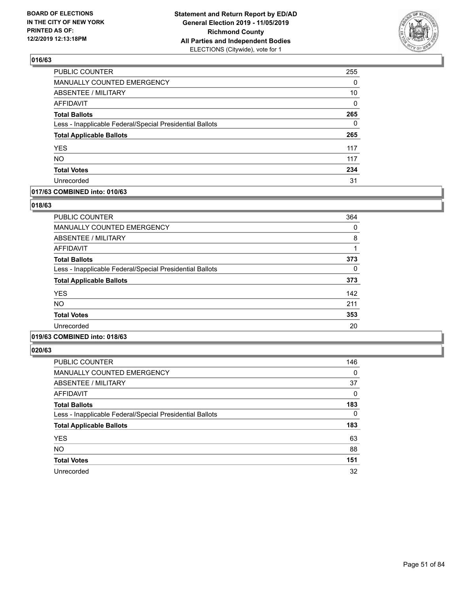

| PUBLIC COUNTER                                           | 255      |
|----------------------------------------------------------|----------|
| <b>MANUALLY COUNTED EMERGENCY</b>                        | 0        |
| ABSENTEE / MILITARY                                      | 10       |
| <b>AFFIDAVIT</b>                                         | 0        |
| <b>Total Ballots</b>                                     | 265      |
| Less - Inapplicable Federal/Special Presidential Ballots | $\Omega$ |
| <b>Total Applicable Ballots</b>                          | 265      |
| <b>YES</b>                                               | 117      |
| <b>NO</b>                                                | 117      |
| <b>Total Votes</b>                                       | 234      |
| Unrecorded                                               | 31       |

### **017/63 COMBINED into: 010/63**

### **018/63**

| <b>PUBLIC COUNTER</b>                                    | 364 |
|----------------------------------------------------------|-----|
| <b>MANUALLY COUNTED EMERGENCY</b>                        | 0   |
| ABSENTEE / MILITARY                                      | 8   |
| AFFIDAVIT                                                |     |
| <b>Total Ballots</b>                                     | 373 |
| Less - Inapplicable Federal/Special Presidential Ballots | 0   |
| <b>Total Applicable Ballots</b>                          | 373 |
| <b>YES</b>                                               | 142 |
| <b>NO</b>                                                | 211 |
| <b>Total Votes</b>                                       | 353 |
| Unrecorded                                               | 20  |
|                                                          |     |

### **019/63 COMBINED into: 018/63**

| PUBLIC COUNTER                                           | 146      |
|----------------------------------------------------------|----------|
| <b>MANUALLY COUNTED EMERGENCY</b>                        | 0        |
| ABSENTEE / MILITARY                                      | 37       |
| <b>AFFIDAVIT</b>                                         | 0        |
| <b>Total Ballots</b>                                     | 183      |
| Less - Inapplicable Federal/Special Presidential Ballots | $\Omega$ |
| <b>Total Applicable Ballots</b>                          | 183      |
| <b>YES</b>                                               | 63       |
| <b>NO</b>                                                | 88       |
| <b>Total Votes</b>                                       | 151      |
| Unrecorded                                               | 32       |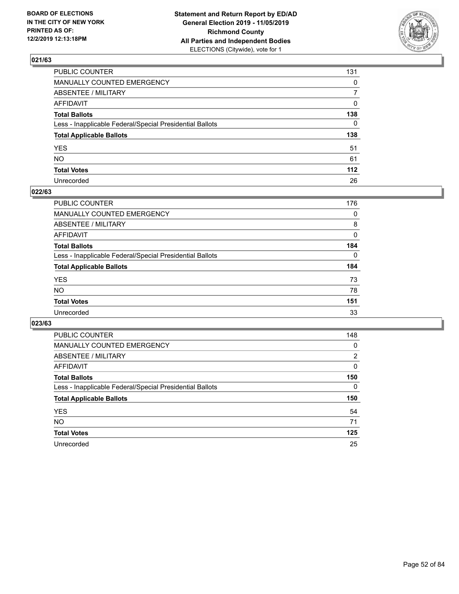

| PUBLIC COUNTER                                           | 131          |
|----------------------------------------------------------|--------------|
| MANUALLY COUNTED EMERGENCY                               | $\mathbf{0}$ |
| ABSENTEE / MILITARY                                      | 7            |
| AFFIDAVIT                                                | 0            |
| Total Ballots                                            | 138          |
| Less - Inapplicable Federal/Special Presidential Ballots | 0            |
| <b>Total Applicable Ballots</b>                          | 138          |
| YES                                                      | 51           |
| NO.                                                      | 61           |
| <b>Total Votes</b>                                       | 112          |
| Unrecorded                                               | 26           |

### **022/63**

| <b>PUBLIC COUNTER</b>                                    | 176      |
|----------------------------------------------------------|----------|
| MANUALLY COUNTED EMERGENCY                               | 0        |
| ABSENTEE / MILITARY                                      | 8        |
| AFFIDAVIT                                                | 0        |
| <b>Total Ballots</b>                                     | 184      |
| Less - Inapplicable Federal/Special Presidential Ballots | $\Omega$ |
| <b>Total Applicable Ballots</b>                          | 184      |
| <b>YES</b>                                               | 73       |
| <b>NO</b>                                                | 78       |
| <b>Total Votes</b>                                       | 151      |
| Unrecorded                                               | 33       |

| PUBLIC COUNTER                                           | 148 |
|----------------------------------------------------------|-----|
| <b>MANUALLY COUNTED EMERGENCY</b>                        | 0   |
| ABSENTEE / MILITARY                                      | 2   |
| AFFIDAVIT                                                | 0   |
| <b>Total Ballots</b>                                     | 150 |
| Less - Inapplicable Federal/Special Presidential Ballots | 0   |
| <b>Total Applicable Ballots</b>                          | 150 |
| <b>YES</b>                                               | 54  |
| NO.                                                      | 71  |
| <b>Total Votes</b>                                       | 125 |
| Unrecorded                                               | 25  |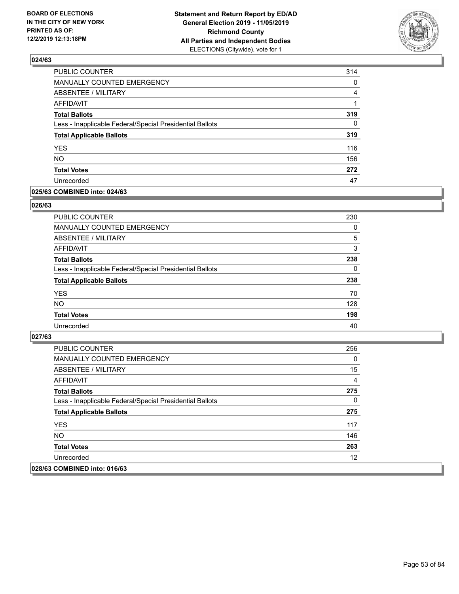

| PUBLIC COUNTER                                           | 314      |
|----------------------------------------------------------|----------|
| MANUALLY COUNTED EMERGENCY                               | 0        |
| <b>ABSENTEE / MILITARY</b>                               | 4        |
| <b>AFFIDAVIT</b>                                         |          |
| <b>Total Ballots</b>                                     | 319      |
| Less - Inapplicable Federal/Special Presidential Ballots | $\Omega$ |
| <b>Total Applicable Ballots</b>                          | 319      |
| <b>YES</b>                                               | 116      |
| <b>NO</b>                                                | 156      |
| <b>Total Votes</b>                                       | 272      |
| Unrecorded                                               | 47       |

### **025/63 COMBINED into: 024/63**

#### **026/63**

| <b>PUBLIC COUNTER</b>                                    | 230      |
|----------------------------------------------------------|----------|
| <b>MANUALLY COUNTED EMERGENCY</b>                        | $\Omega$ |
| ABSENTEE / MILITARY                                      | 5        |
| AFFIDAVIT                                                | 3        |
| <b>Total Ballots</b>                                     | 238      |
| Less - Inapplicable Federal/Special Presidential Ballots | 0        |
| <b>Total Applicable Ballots</b>                          | 238      |
| <b>YES</b>                                               | 70       |
| <b>NO</b>                                                | 128      |
| <b>Total Votes</b>                                       | 198      |
| Unrecorded                                               | 40       |
|                                                          |          |

| PUBLIC COUNTER                                           | 256 |
|----------------------------------------------------------|-----|
| <b>MANUALLY COUNTED EMERGENCY</b>                        | 0   |
| <b>ABSENTEE / MILITARY</b>                               | 15  |
| AFFIDAVIT                                                | 4   |
| <b>Total Ballots</b>                                     | 275 |
| Less - Inapplicable Federal/Special Presidential Ballots | 0   |
| <b>Total Applicable Ballots</b>                          | 275 |
| <b>YES</b>                                               | 117 |
| NO.                                                      | 146 |
| <b>Total Votes</b>                                       | 263 |
| Unrecorded                                               | 12  |
| 028/63 COMBINED into: 016/63                             |     |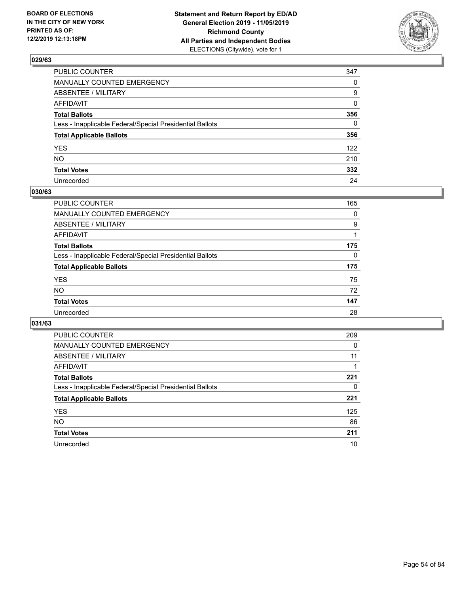

| PUBLIC COUNTER                                           | 347      |
|----------------------------------------------------------|----------|
| MANUALLY COUNTED EMERGENCY                               | $\Omega$ |
| ABSENTEE / MILITARY                                      | 9        |
| AFFIDAVIT                                                | $\Omega$ |
| Total Ballots                                            | 356      |
| Less - Inapplicable Federal/Special Presidential Ballots | $\Omega$ |
| <b>Total Applicable Ballots</b>                          | 356      |
| YES                                                      | 122      |
| NO.                                                      | 210      |
| <b>Total Votes</b>                                       | 332      |
| Unrecorded                                               | 24       |

### **030/63**

| <b>PUBLIC COUNTER</b>                                    | 165      |
|----------------------------------------------------------|----------|
| MANUALLY COUNTED EMERGENCY                               | 0        |
| ABSENTEE / MILITARY                                      | 9        |
| AFFIDAVIT                                                |          |
| <b>Total Ballots</b>                                     | 175      |
| Less - Inapplicable Federal/Special Presidential Ballots | $\Omega$ |
| <b>Total Applicable Ballots</b>                          | 175      |
| <b>YES</b>                                               | 75       |
| <b>NO</b>                                                | 72       |
| <b>Total Votes</b>                                       | 147      |
| Unrecorded                                               | 28       |

| PUBLIC COUNTER                                           | 209      |
|----------------------------------------------------------|----------|
| <b>MANUALLY COUNTED EMERGENCY</b>                        | $\Omega$ |
| ABSENTEE / MILITARY                                      | 11       |
| AFFIDAVIT                                                |          |
| <b>Total Ballots</b>                                     | 221      |
| Less - Inapplicable Federal/Special Presidential Ballots | 0        |
| <b>Total Applicable Ballots</b>                          | 221      |
| <b>YES</b>                                               | 125      |
| <b>NO</b>                                                | 86       |
| <b>Total Votes</b>                                       | 211      |
| Unrecorded                                               | 10       |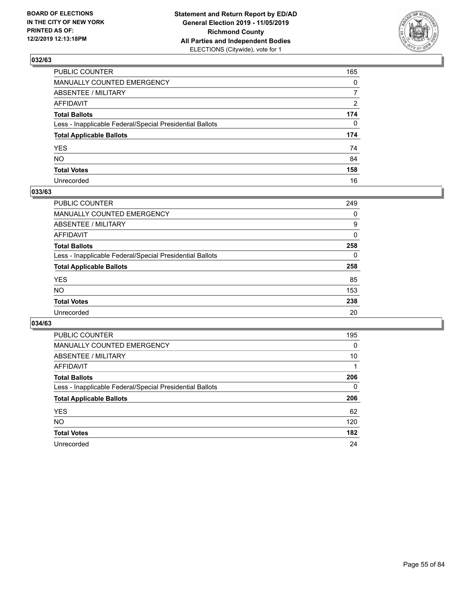

| PUBLIC COUNTER                                           | 165            |
|----------------------------------------------------------|----------------|
| MANUALLY COUNTED EMERGENCY                               | $\mathbf{0}$   |
| ABSENTEE / MILITARY                                      | $\overline{7}$ |
| AFFIDAVIT                                                | 2              |
| Total Ballots                                            | 174            |
| Less - Inapplicable Federal/Special Presidential Ballots | $\Omega$       |
| <b>Total Applicable Ballots</b>                          | 174            |
| YES                                                      | 74             |
| NO.                                                      | 84             |
| <b>Total Votes</b>                                       | 158            |
| Unrecorded                                               | 16             |

### **033/63**

| <b>PUBLIC COUNTER</b>                                    | 249      |
|----------------------------------------------------------|----------|
| MANUALLY COUNTED EMERGENCY                               | 0        |
| ABSENTEE / MILITARY                                      | 9        |
| AFFIDAVIT                                                | $\Omega$ |
| <b>Total Ballots</b>                                     | 258      |
| Less - Inapplicable Federal/Special Presidential Ballots | $\Omega$ |
| <b>Total Applicable Ballots</b>                          | 258      |
| <b>YES</b>                                               | 85       |
| <b>NO</b>                                                | 153      |
| <b>Total Votes</b>                                       | 238      |
| Unrecorded                                               | 20       |

| PUBLIC COUNTER                                           | 195 |
|----------------------------------------------------------|-----|
| MANUALLY COUNTED EMERGENCY                               | 0   |
| ABSENTEE / MILITARY                                      | 10  |
| AFFIDAVIT                                                |     |
| <b>Total Ballots</b>                                     | 206 |
| Less - Inapplicable Federal/Special Presidential Ballots | 0   |
| <b>Total Applicable Ballots</b>                          | 206 |
| <b>YES</b>                                               | 62  |
| NO.                                                      | 120 |
| <b>Total Votes</b>                                       | 182 |
| Unrecorded                                               | 24  |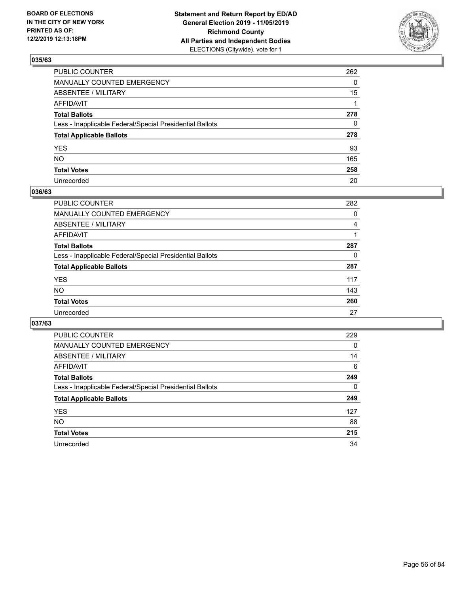

| PUBLIC COUNTER                                           | 262 |
|----------------------------------------------------------|-----|
| MANUALLY COUNTED EMERGENCY                               | 0   |
| ABSENTEE / MILITARY                                      | 15  |
| AFFIDAVIT                                                | 1   |
| Total Ballots                                            | 278 |
| Less - Inapplicable Federal/Special Presidential Ballots | 0   |
| <b>Total Applicable Ballots</b>                          | 278 |
| YES                                                      | 93  |
| NO.                                                      | 165 |
| <b>Total Votes</b>                                       | 258 |
| Unrecorded                                               | 20  |

### **036/63**

| <b>PUBLIC COUNTER</b>                                    | 282      |
|----------------------------------------------------------|----------|
| MANUALLY COUNTED EMERGENCY                               | 0        |
| ABSENTEE / MILITARY                                      | 4        |
| AFFIDAVIT                                                |          |
| <b>Total Ballots</b>                                     | 287      |
| Less - Inapplicable Federal/Special Presidential Ballots | $\Omega$ |
| <b>Total Applicable Ballots</b>                          | 287      |
| <b>YES</b>                                               | 117      |
| <b>NO</b>                                                | 143      |
| <b>Total Votes</b>                                       | 260      |
| Unrecorded                                               | 27       |

| PUBLIC COUNTER                                           | 229      |
|----------------------------------------------------------|----------|
| <b>MANUALLY COUNTED EMERGENCY</b>                        | 0        |
| ABSENTEE / MILITARY                                      | 14       |
| AFFIDAVIT                                                | 6        |
| <b>Total Ballots</b>                                     | 249      |
| Less - Inapplicable Federal/Special Presidential Ballots | $\Omega$ |
| <b>Total Applicable Ballots</b>                          | 249      |
| <b>YES</b>                                               | 127      |
| <b>NO</b>                                                | 88       |
| <b>Total Votes</b>                                       | 215      |
| Unrecorded                                               | 34       |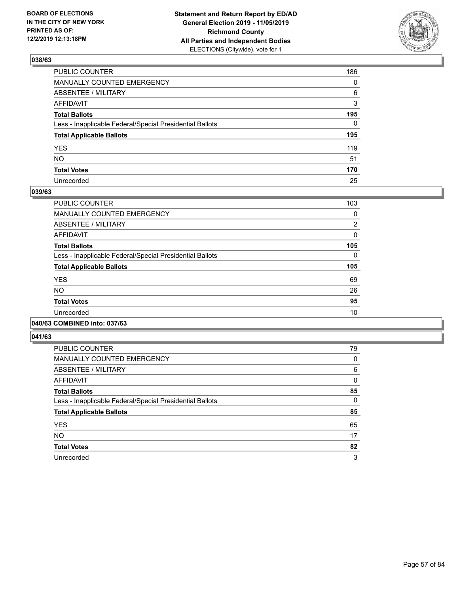

| PUBLIC COUNTER                                           | 186          |
|----------------------------------------------------------|--------------|
| MANUALLY COUNTED EMERGENCY                               | $\mathbf{0}$ |
| ABSENTEE / MILITARY                                      | 6            |
| AFFIDAVIT                                                | 3            |
| Total Ballots                                            | 195          |
| Less - Inapplicable Federal/Special Presidential Ballots | $\Omega$     |
| <b>Total Applicable Ballots</b>                          | 195          |
| YES                                                      | 119          |
| NΟ                                                       | 51           |
| <b>Total Votes</b>                                       | 170          |
| Unrecorded                                               | 25           |

### **039/63**

| <b>PUBLIC COUNTER</b>                                    | 103      |
|----------------------------------------------------------|----------|
| <b>MANUALLY COUNTED EMERGENCY</b>                        | 0        |
| ABSENTEE / MILITARY                                      | 2        |
| AFFIDAVIT                                                | 0        |
| <b>Total Ballots</b>                                     | 105      |
| Less - Inapplicable Federal/Special Presidential Ballots | $\Omega$ |
| <b>Total Applicable Ballots</b>                          | 105      |
| <b>YES</b>                                               | 69       |
| NO.                                                      | 26       |
| <b>Total Votes</b>                                       | 95       |
| Unrecorded                                               | 10       |
|                                                          |          |

### **040/63 COMBINED into: 037/63**

| PUBLIC COUNTER                                           | 79       |
|----------------------------------------------------------|----------|
| <b>MANUALLY COUNTED EMERGENCY</b>                        | 0        |
| ABSENTEE / MILITARY                                      | 6        |
| <b>AFFIDAVIT</b>                                         | $\Omega$ |
| <b>Total Ballots</b>                                     | 85       |
| Less - Inapplicable Federal/Special Presidential Ballots | $\Omega$ |
| <b>Total Applicable Ballots</b>                          | 85       |
| <b>YES</b>                                               | 65       |
| <b>NO</b>                                                | 17       |
| <b>Total Votes</b>                                       | 82       |
| Unrecorded                                               | 3        |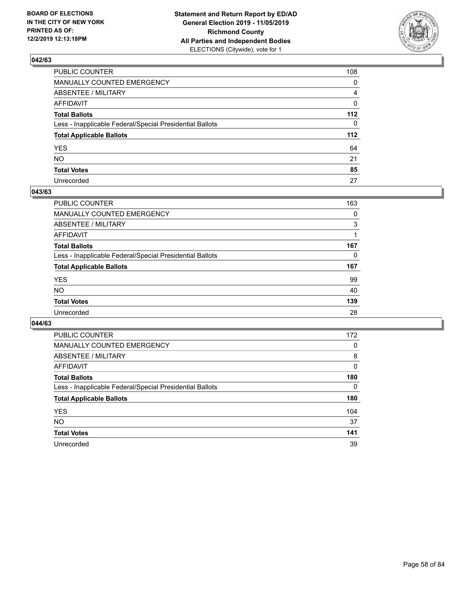

| PUBLIC COUNTER                                           | 108         |
|----------------------------------------------------------|-------------|
| MANUALLY COUNTED EMERGENCY                               | 0           |
| ABSENTEE / MILITARY                                      | 4           |
| AFFIDAVIT                                                | $\mathbf 0$ |
| Total Ballots                                            | 112         |
| Less - Inapplicable Federal/Special Presidential Ballots | 0           |
| <b>Total Applicable Ballots</b>                          | 112         |
| YES                                                      | 64          |
| NO.                                                      | 21          |
| <b>Total Votes</b>                                       | 85          |
| Unrecorded                                               | 27          |

### **043/63**

| <b>PUBLIC COUNTER</b>                                    | 163      |
|----------------------------------------------------------|----------|
| <b>MANUALLY COUNTED EMERGENCY</b>                        | 0        |
| ABSENTEE / MILITARY                                      | 3        |
| AFFIDAVIT                                                |          |
| <b>Total Ballots</b>                                     | 167      |
| Less - Inapplicable Federal/Special Presidential Ballots | $\Omega$ |
| <b>Total Applicable Ballots</b>                          | 167      |
| <b>YES</b>                                               | 99       |
| <b>NO</b>                                                | 40       |
| <b>Total Votes</b>                                       | 139      |
| Unrecorded                                               | 28       |

| <b>PUBLIC COUNTER</b>                                    | 172 |
|----------------------------------------------------------|-----|
| MANUALLY COUNTED EMERGENCY                               | 0   |
| ABSENTEE / MILITARY                                      | 8   |
| AFFIDAVIT                                                | 0   |
| <b>Total Ballots</b>                                     | 180 |
| Less - Inapplicable Federal/Special Presidential Ballots | 0   |
| <b>Total Applicable Ballots</b>                          | 180 |
| <b>YES</b>                                               | 104 |
| NO.                                                      | 37  |
| <b>Total Votes</b>                                       | 141 |
| Unrecorded                                               | 39  |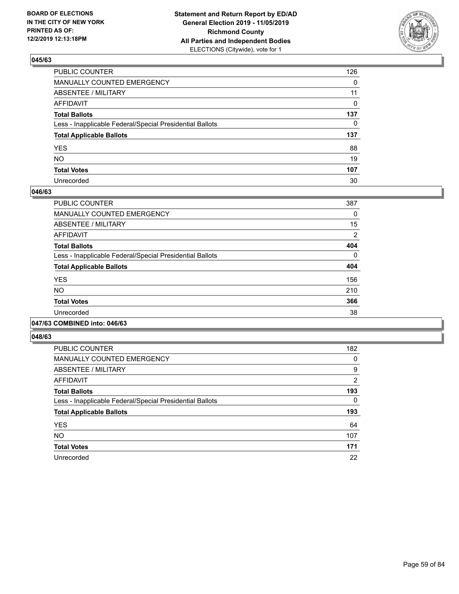

| PUBLIC COUNTER                                           | 126          |
|----------------------------------------------------------|--------------|
| MANUALLY COUNTED EMERGENCY                               | $\mathbf{0}$ |
| ABSENTEE / MILITARY                                      | 11           |
| AFFIDAVIT                                                | 0            |
| Total Ballots                                            | 137          |
| Less - Inapplicable Federal/Special Presidential Ballots | $\mathbf{0}$ |
| <b>Total Applicable Ballots</b>                          | 137          |
| YES                                                      | 88           |
| NO.                                                      | 19           |
| <b>Total Votes</b>                                       | 107          |
| Unrecorded                                               | 30           |

### **046/63**

| PUBLIC COUNTER                                           | 387            |
|----------------------------------------------------------|----------------|
| <b>MANUALLY COUNTED EMERGENCY</b>                        | 0              |
| ABSENTEE / MILITARY                                      | 15             |
| <b>AFFIDAVIT</b>                                         | $\overline{2}$ |
| <b>Total Ballots</b>                                     | 404            |
| Less - Inapplicable Federal/Special Presidential Ballots | $\Omega$       |
| <b>Total Applicable Ballots</b>                          | 404            |
| <b>YES</b>                                               | 156            |
| <b>NO</b>                                                | 210            |
| <b>Total Votes</b>                                       | 366            |
| Unrecorded                                               | 38             |
|                                                          |                |

#### **047/63 COMBINED into: 046/63**

| PUBLIC COUNTER                                           | 182            |
|----------------------------------------------------------|----------------|
| <b>MANUALLY COUNTED EMERGENCY</b>                        | 0              |
| ABSENTEE / MILITARY                                      | 9              |
| <b>AFFIDAVIT</b>                                         | $\overline{2}$ |
| <b>Total Ballots</b>                                     | 193            |
| Less - Inapplicable Federal/Special Presidential Ballots | 0              |
| <b>Total Applicable Ballots</b>                          | 193            |
| <b>YES</b>                                               | 64             |
| <b>NO</b>                                                | 107            |
| <b>Total Votes</b>                                       | 171            |
| Unrecorded                                               | 22             |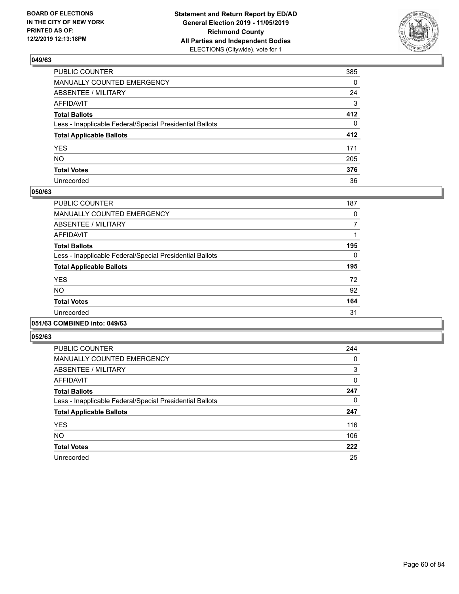

| PUBLIC COUNTER                                           | 385          |
|----------------------------------------------------------|--------------|
| MANUALLY COUNTED EMERGENCY                               | $\mathbf{0}$ |
| ABSENTEE / MILITARY                                      | 24           |
| AFFIDAVIT                                                | 3            |
| Total Ballots                                            | 412          |
| Less - Inapplicable Federal/Special Presidential Ballots | $\Omega$     |
| <b>Total Applicable Ballots</b>                          | 412          |
| YES                                                      | 171          |
| NO.                                                      | 205          |
| <b>Total Votes</b>                                       | 376          |
| Unrecorded                                               | 36           |

### **050/63**

| <b>PUBLIC COUNTER</b>                                    | 187      |
|----------------------------------------------------------|----------|
| <b>MANUALLY COUNTED EMERGENCY</b>                        | 0        |
| ABSENTEE / MILITARY                                      | 7        |
| <b>AFFIDAVIT</b>                                         |          |
| <b>Total Ballots</b>                                     | 195      |
| Less - Inapplicable Federal/Special Presidential Ballots | $\Omega$ |
| <b>Total Applicable Ballots</b>                          | 195      |
| <b>YES</b>                                               | 72       |
| <b>NO</b>                                                | 92       |
| <b>Total Votes</b>                                       | 164      |
| Unrecorded                                               | 31       |
|                                                          |          |

### **051/63 COMBINED into: 049/63**

| <b>PUBLIC COUNTER</b>                                    | 244 |
|----------------------------------------------------------|-----|
| <b>MANUALLY COUNTED EMERGENCY</b>                        | 0   |
| ABSENTEE / MILITARY                                      | 3   |
| <b>AFFIDAVIT</b>                                         | 0   |
| <b>Total Ballots</b>                                     | 247 |
| Less - Inapplicable Federal/Special Presidential Ballots | 0   |
| <b>Total Applicable Ballots</b>                          | 247 |
| <b>YES</b>                                               | 116 |
| <b>NO</b>                                                | 106 |
| <b>Total Votes</b>                                       | 222 |
| Unrecorded                                               | 25  |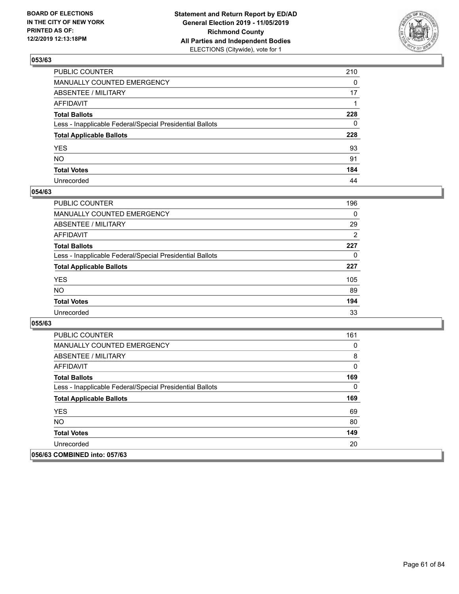

| PUBLIC COUNTER                                           | 210          |
|----------------------------------------------------------|--------------|
| MANUALLY COUNTED EMERGENCY                               | $\Omega$     |
| ABSENTEE / MILITARY                                      | 17           |
| AFFIDAVIT                                                |              |
| Total Ballots                                            | 228          |
| Less - Inapplicable Federal/Special Presidential Ballots | $\mathbf{0}$ |
| <b>Total Applicable Ballots</b>                          | 228          |
| YES                                                      | 93           |
| NO.                                                      | 91           |
| <b>Total Votes</b>                                       | 184          |
| Unrecorded                                               | 44           |

### **054/63**

| <b>PUBLIC COUNTER</b>                                    | 196            |
|----------------------------------------------------------|----------------|
| <b>MANUALLY COUNTED EMERGENCY</b>                        | $\Omega$       |
| ABSENTEE / MILITARY                                      | 29             |
| AFFIDAVIT                                                | $\overline{2}$ |
| <b>Total Ballots</b>                                     | 227            |
| Less - Inapplicable Federal/Special Presidential Ballots | 0              |
| <b>Total Applicable Ballots</b>                          | 227            |
| <b>YES</b>                                               | 105            |
| <b>NO</b>                                                | 89             |
| <b>Total Votes</b>                                       | 194            |
| Unrecorded                                               | 33             |

| <b>PUBLIC COUNTER</b>                                    | 161      |
|----------------------------------------------------------|----------|
| <b>MANUALLY COUNTED EMERGENCY</b>                        | 0        |
| ABSENTEE / MILITARY                                      | 8        |
| AFFIDAVIT                                                | 0        |
| <b>Total Ballots</b>                                     | 169      |
| Less - Inapplicable Federal/Special Presidential Ballots | $\Omega$ |
| <b>Total Applicable Ballots</b>                          | 169      |
| <b>YES</b>                                               | 69       |
| NO.                                                      | 80       |
| <b>Total Votes</b>                                       | 149      |
| Unrecorded                                               | 20       |
| 056/63 COMBINED into: 057/63                             |          |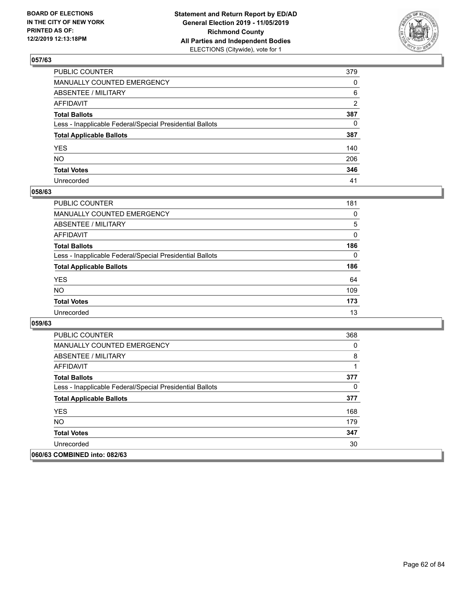

| PUBLIC COUNTER                                           | 379          |
|----------------------------------------------------------|--------------|
| MANUALLY COUNTED EMERGENCY                               | $\mathbf{0}$ |
| ABSENTEE / MILITARY                                      | 6            |
| AFFIDAVIT                                                | 2            |
| Total Ballots                                            | 387          |
| Less - Inapplicable Federal/Special Presidential Ballots | $\mathbf{0}$ |
| <b>Total Applicable Ballots</b>                          | 387          |
| YES                                                      | 140          |
| NO.                                                      | 206          |
| <b>Total Votes</b>                                       | 346          |
| Unrecorded                                               | 41           |

### **058/63**

| <b>PUBLIC COUNTER</b>                                    | 181      |
|----------------------------------------------------------|----------|
| <b>MANUALLY COUNTED EMERGENCY</b>                        | $\Omega$ |
| ABSENTEE / MILITARY                                      | 5        |
| AFFIDAVIT                                                | $\Omega$ |
| <b>Total Ballots</b>                                     | 186      |
| Less - Inapplicable Federal/Special Presidential Ballots | $\Omega$ |
| <b>Total Applicable Ballots</b>                          | 186      |
| <b>YES</b>                                               | 64       |
| <b>NO</b>                                                | 109      |
| <b>Total Votes</b>                                       | 173      |
| Unrecorded                                               | 13       |

| <b>PUBLIC COUNTER</b>                                    | 368      |
|----------------------------------------------------------|----------|
| <b>MANUALLY COUNTED EMERGENCY</b>                        | $\Omega$ |
| ABSENTEE / MILITARY                                      | 8        |
| AFFIDAVIT                                                |          |
| <b>Total Ballots</b>                                     | 377      |
| Less - Inapplicable Federal/Special Presidential Ballots | 0        |
| <b>Total Applicable Ballots</b>                          | 377      |
| <b>YES</b>                                               | 168      |
| NO.                                                      | 179      |
| <b>Total Votes</b>                                       | 347      |
| Unrecorded                                               | 30       |
| 060/63 COMBINED into: 082/63                             |          |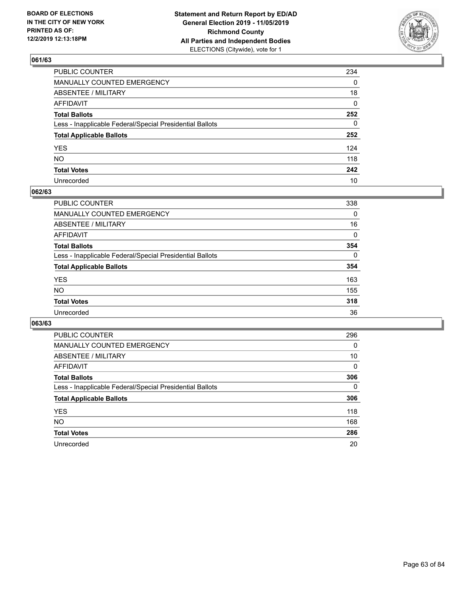

| PUBLIC COUNTER                                           | 234 |
|----------------------------------------------------------|-----|
| MANUALLY COUNTED EMERGENCY                               | 0   |
| ABSENTEE / MILITARY                                      | 18  |
| AFFIDAVIT                                                | 0   |
| Total Ballots                                            | 252 |
| Less - Inapplicable Federal/Special Presidential Ballots | 0   |
| <b>Total Applicable Ballots</b>                          | 252 |
| YES                                                      | 124 |
| NO.                                                      | 118 |
| <b>Total Votes</b>                                       | 242 |
| Unrecorded                                               | 10  |

### **062/63**

| <b>PUBLIC COUNTER</b>                                    | 338      |
|----------------------------------------------------------|----------|
| MANUALLY COUNTED EMERGENCY                               | 0        |
| ABSENTEE / MILITARY                                      | 16       |
| AFFIDAVIT                                                | 0        |
| <b>Total Ballots</b>                                     | 354      |
| Less - Inapplicable Federal/Special Presidential Ballots | $\Omega$ |
| <b>Total Applicable Ballots</b>                          | 354      |
| <b>YES</b>                                               | 163      |
| <b>NO</b>                                                | 155      |
| <b>Total Votes</b>                                       | 318      |
| Unrecorded                                               | 36       |

| <b>PUBLIC COUNTER</b>                                    | 296 |
|----------------------------------------------------------|-----|
| MANUALLY COUNTED EMERGENCY                               | 0   |
| ABSENTEE / MILITARY                                      | 10  |
| AFFIDAVIT                                                | 0   |
| <b>Total Ballots</b>                                     | 306 |
| Less - Inapplicable Federal/Special Presidential Ballots | 0   |
| <b>Total Applicable Ballots</b>                          | 306 |
| <b>YES</b>                                               | 118 |
| NO.                                                      | 168 |
| <b>Total Votes</b>                                       | 286 |
| Unrecorded                                               | 20  |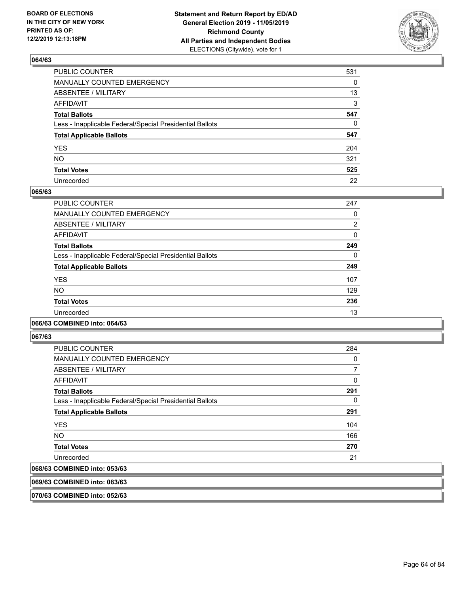

| PUBLIC COUNTER                                           | 531 |
|----------------------------------------------------------|-----|
| MANUALLY COUNTED EMERGENCY                               | 0   |
| ABSENTEE / MILITARY                                      | 13  |
| AFFIDAVIT                                                | 3   |
| Total Ballots                                            | 547 |
| Less - Inapplicable Federal/Special Presidential Ballots | 0   |
| <b>Total Applicable Ballots</b>                          | 547 |
| YES                                                      | 204 |
| NO.                                                      | 321 |
| <b>Total Votes</b>                                       | 525 |
| Unrecorded                                               | 22  |

### **065/63**

| <b>PUBLIC COUNTER</b>                                    | 247      |
|----------------------------------------------------------|----------|
| MANUALLY COUNTED EMERGENCY                               | 0        |
| ABSENTEE / MILITARY                                      | 2        |
| <b>AFFIDAVIT</b>                                         | 0        |
| <b>Total Ballots</b>                                     | 249      |
| Less - Inapplicable Federal/Special Presidential Ballots | $\Omega$ |
| <b>Total Applicable Ballots</b>                          | 249      |
| <b>YES</b>                                               | 107      |
| <b>NO</b>                                                | 129      |
| <b>Total Votes</b>                                       | 236      |
| Unrecorded                                               | 13       |
|                                                          |          |

### **066/63 COMBINED into: 064/63**

**067/63** 

| PUBLIC COUNTER                                           | 284 |
|----------------------------------------------------------|-----|
| <b>MANUALLY COUNTED EMERGENCY</b>                        | 0   |
| ABSENTEE / MILITARY                                      | 7   |
| AFFIDAVIT                                                | 0   |
| <b>Total Ballots</b>                                     | 291 |
| Less - Inapplicable Federal/Special Presidential Ballots | 0   |
| <b>Total Applicable Ballots</b>                          | 291 |
| <b>YES</b>                                               | 104 |
| <b>NO</b>                                                | 166 |
| <b>Total Votes</b>                                       | 270 |
| Unrecorded                                               | 21  |
| 068/63 COMBINED into: 053/63                             |     |

**069/63 COMBINED into: 083/63**

**070/63 COMBINED into: 052/63**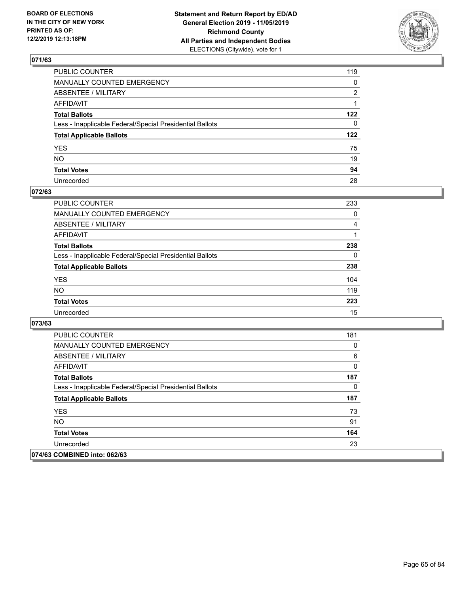

| PUBLIC COUNTER                                           | 119          |
|----------------------------------------------------------|--------------|
| MANUALLY COUNTED EMERGENCY                               | $\mathbf{0}$ |
| ABSENTEE / MILITARY                                      | 2            |
| AFFIDAVIT                                                |              |
| Total Ballots                                            | 122          |
| Less - Inapplicable Federal/Special Presidential Ballots | $\mathbf{0}$ |
| <b>Total Applicable Ballots</b>                          | 122          |
| YES                                                      | 75           |
| NO.                                                      | 19           |
| <b>Total Votes</b>                                       | 94           |
| Unrecorded                                               | 28           |

### **072/63**

| <b>PUBLIC COUNTER</b>                                    | 233      |
|----------------------------------------------------------|----------|
| <b>MANUALLY COUNTED EMERGENCY</b>                        | $\Omega$ |
| ABSENTEE / MILITARY                                      | 4        |
| AFFIDAVIT                                                |          |
| <b>Total Ballots</b>                                     | 238      |
| Less - Inapplicable Federal/Special Presidential Ballots | $\Omega$ |
| <b>Total Applicable Ballots</b>                          | 238      |
| <b>YES</b>                                               | 104      |
| <b>NO</b>                                                | 119      |
| <b>Total Votes</b>                                       | 223      |
| Unrecorded                                               | 15       |

| <b>PUBLIC COUNTER</b>                                    | 181 |
|----------------------------------------------------------|-----|
| <b>MANUALLY COUNTED EMERGENCY</b>                        | 0   |
| ABSENTEE / MILITARY                                      | 6   |
| AFFIDAVIT                                                | 0   |
| <b>Total Ballots</b>                                     | 187 |
| Less - Inapplicable Federal/Special Presidential Ballots | 0   |
| <b>Total Applicable Ballots</b>                          | 187 |
| <b>YES</b>                                               | 73  |
| <b>NO</b>                                                | 91  |
| <b>Total Votes</b>                                       | 164 |
| Unrecorded                                               | 23  |
| 074/63 COMBINED into: 062/63                             |     |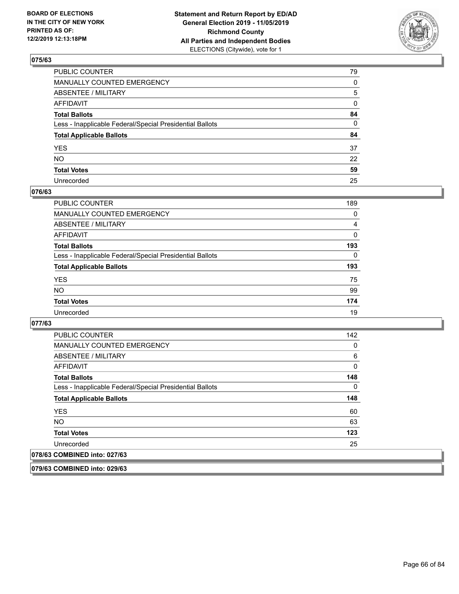

| PUBLIC COUNTER                                           | 79           |
|----------------------------------------------------------|--------------|
| MANUALLY COUNTED EMERGENCY                               | $\mathbf{0}$ |
| ABSENTEE / MILITARY                                      | 5            |
| AFFIDAVIT                                                | 0            |
| Total Ballots                                            | 84           |
| Less - Inapplicable Federal/Special Presidential Ballots | $\mathbf{0}$ |
| <b>Total Applicable Ballots</b>                          | 84           |
| YES                                                      | 37           |
| NO.                                                      | 22           |
| <b>Total Votes</b>                                       | 59           |
| Unrecorded                                               | 25           |

### **076/63**

| <b>PUBLIC COUNTER</b>                                    | 189      |
|----------------------------------------------------------|----------|
| MANUALLY COUNTED EMERGENCY                               | 0        |
| ABSENTEE / MILITARY                                      | 4        |
| AFFIDAVIT                                                | 0        |
| <b>Total Ballots</b>                                     | 193      |
| Less - Inapplicable Federal/Special Presidential Ballots | $\Omega$ |
| <b>Total Applicable Ballots</b>                          | 193      |
| <b>YES</b>                                               | 75       |
| <b>NO</b>                                                | 99       |
| <b>Total Votes</b>                                       | 174      |
| Unrecorded                                               | 19       |

### **077/63**

| <b>PUBLIC COUNTER</b>                                    | 142 |
|----------------------------------------------------------|-----|
| <b>MANUALLY COUNTED EMERGENCY</b>                        | 0   |
| ABSENTEE / MILITARY                                      | 6   |
| AFFIDAVIT                                                | 0   |
| <b>Total Ballots</b>                                     | 148 |
| Less - Inapplicable Federal/Special Presidential Ballots | 0   |
| <b>Total Applicable Ballots</b>                          | 148 |
| <b>YES</b>                                               | 60  |
| NO.                                                      | 63  |
| <b>Total Votes</b>                                       | 123 |
| Unrecorded                                               | 25  |
| 078/63 COMBINED into: 027/63                             |     |

**079/63 COMBINED into: 029/63**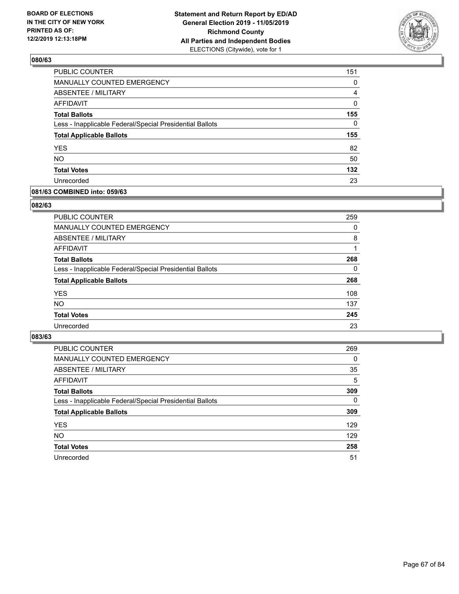

| PUBLIC COUNTER                                           | 151          |
|----------------------------------------------------------|--------------|
| MANUALLY COUNTED EMERGENCY                               | 0            |
| <b>ABSENTEE / MILITARY</b>                               | 4            |
| <b>AFFIDAVIT</b>                                         | 0            |
| <b>Total Ballots</b>                                     | 155          |
| Less - Inapplicable Federal/Special Presidential Ballots | $\mathbf{0}$ |
| <b>Total Applicable Ballots</b>                          | 155          |
| <b>YES</b>                                               | 82           |
| <b>NO</b>                                                | 50           |
| <b>Total Votes</b>                                       | 132          |
|                                                          |              |

### **081/63 COMBINED into: 059/63**

### **082/63**

| PUBLIC COUNTER                                           | 259      |
|----------------------------------------------------------|----------|
| MANUALLY COUNTED EMERGENCY                               | $\Omega$ |
| ABSENTEE / MILITARY                                      | 8        |
| AFFIDAVIT                                                |          |
| <b>Total Ballots</b>                                     | 268      |
| Less - Inapplicable Federal/Special Presidential Ballots | $\Omega$ |
| <b>Total Applicable Ballots</b>                          | 268      |
| <b>YES</b>                                               | 108      |
| <b>NO</b>                                                | 137      |
| <b>Total Votes</b>                                       | 245      |
| Unrecorded                                               | 23       |
|                                                          |          |

| <b>PUBLIC COUNTER</b>                                    | 269      |
|----------------------------------------------------------|----------|
| <b>MANUALLY COUNTED EMERGENCY</b>                        | 0        |
| ABSENTEE / MILITARY                                      | 35       |
| AFFIDAVIT                                                | 5        |
| <b>Total Ballots</b>                                     | 309      |
| Less - Inapplicable Federal/Special Presidential Ballots | $\Omega$ |
| <b>Total Applicable Ballots</b>                          | 309      |
| <b>YES</b>                                               | 129      |
| NO.                                                      | 129      |
| <b>Total Votes</b>                                       | 258      |
| Unrecorded                                               | 51       |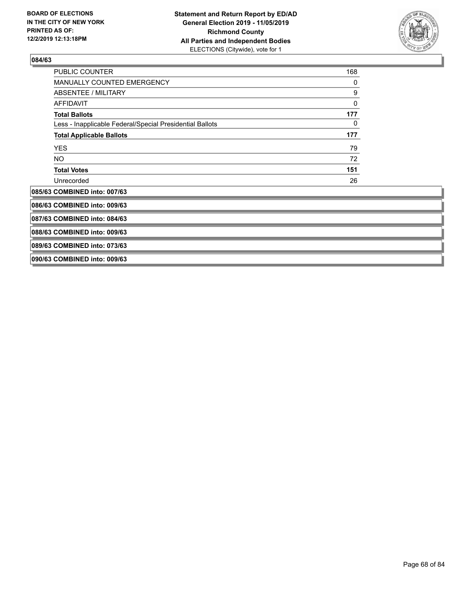

| <b>PUBLIC COUNTER</b>                                    | 168 |
|----------------------------------------------------------|-----|
| <b>MANUALLY COUNTED EMERGENCY</b>                        | 0   |
| ABSENTEE / MILITARY                                      | 9   |
| <b>AFFIDAVIT</b>                                         | 0   |
| <b>Total Ballots</b>                                     | 177 |
| Less - Inapplicable Federal/Special Presidential Ballots | 0   |
| <b>Total Applicable Ballots</b>                          | 177 |
| <b>YES</b>                                               | 79  |
| NO.                                                      | 72  |
| <b>Total Votes</b>                                       | 151 |
| Unrecorded                                               | 26  |
| 085/63 COMBINED into: 007/63                             |     |
| 086/63 COMBINED into: 009/63                             |     |
| 087/63 COMBINED into: 084/63                             |     |
| 088/63 COMBINED into: 009/63                             |     |
| 089/63 COMBINED into: 073/63                             |     |
| 090/63 COMBINED into: 009/63                             |     |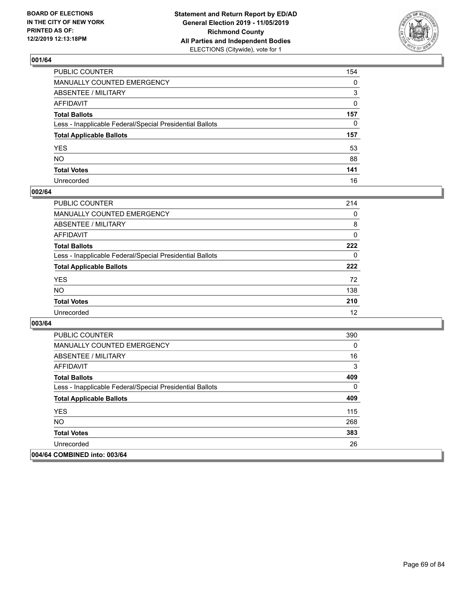

| PUBLIC COUNTER                                           | 154          |
|----------------------------------------------------------|--------------|
| MANUALLY COUNTED EMERGENCY                               | $\mathbf{0}$ |
| ABSENTEE / MILITARY                                      | 3            |
| AFFIDAVIT                                                | $\mathbf{0}$ |
| Total Ballots                                            | 157          |
| Less - Inapplicable Federal/Special Presidential Ballots | $\mathbf{0}$ |
| <b>Total Applicable Ballots</b>                          | 157          |
| YES                                                      | 53           |
| NO.                                                      | 88           |
| <b>Total Votes</b>                                       | 141          |
| Unrecorded                                               | 16           |

### **002/64**

| <b>PUBLIC COUNTER</b>                                    | 214      |
|----------------------------------------------------------|----------|
| MANUALLY COUNTED EMERGENCY                               | $\Omega$ |
| ABSENTEE / MILITARY                                      | 8        |
| AFFIDAVIT                                                | $\Omega$ |
| <b>Total Ballots</b>                                     | 222      |
| Less - Inapplicable Federal/Special Presidential Ballots | $\Omega$ |
| <b>Total Applicable Ballots</b>                          | 222      |
| <b>YES</b>                                               | 72       |
| <b>NO</b>                                                | 138      |
| <b>Total Votes</b>                                       | 210      |
| Unrecorded                                               | 12       |

| <b>PUBLIC COUNTER</b>                                    | 390      |
|----------------------------------------------------------|----------|
| <b>MANUALLY COUNTED EMERGENCY</b>                        | $\Omega$ |
| ABSENTEE / MILITARY                                      | 16       |
| AFFIDAVIT                                                | 3        |
| <b>Total Ballots</b>                                     | 409      |
| Less - Inapplicable Federal/Special Presidential Ballots | $\Omega$ |
| <b>Total Applicable Ballots</b>                          | 409      |
| <b>YES</b>                                               | 115      |
| NO.                                                      | 268      |
| <b>Total Votes</b>                                       | 383      |
| Unrecorded                                               | 26       |
| 004/64 COMBINED into: 003/64                             |          |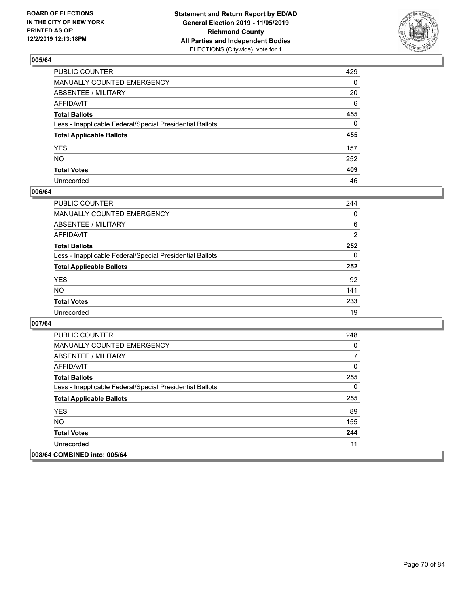

| PUBLIC COUNTER                                           | 429 |
|----------------------------------------------------------|-----|
| MANUALLY COUNTED EMERGENCY                               | 0   |
| ABSENTEE / MILITARY                                      | 20  |
| AFFIDAVIT                                                | 6   |
| Total Ballots                                            | 455 |
| Less - Inapplicable Federal/Special Presidential Ballots | 0   |
| <b>Total Applicable Ballots</b>                          | 455 |
| YES                                                      | 157 |
| NO.                                                      | 252 |
| <b>Total Votes</b>                                       | 409 |
| Unrecorded                                               | 46  |

### **006/64**

| <b>PUBLIC COUNTER</b>                                    | 244            |
|----------------------------------------------------------|----------------|
| MANUALLY COUNTED EMERGENCY                               | $\Omega$       |
| ABSENTEE / MILITARY                                      | 6              |
| AFFIDAVIT                                                | $\overline{2}$ |
| <b>Total Ballots</b>                                     | 252            |
| Less - Inapplicable Federal/Special Presidential Ballots | $\Omega$       |
| <b>Total Applicable Ballots</b>                          | 252            |
| <b>YES</b>                                               | 92             |
| <b>NO</b>                                                | 141            |
| <b>Total Votes</b>                                       | 233            |
| Unrecorded                                               | 19             |

| <b>PUBLIC COUNTER</b>                                    | 248 |
|----------------------------------------------------------|-----|
| <b>MANUALLY COUNTED EMERGENCY</b>                        | 0   |
| ABSENTEE / MILITARY                                      | 7   |
| AFFIDAVIT                                                | 0   |
| <b>Total Ballots</b>                                     | 255 |
| Less - Inapplicable Federal/Special Presidential Ballots | 0   |
| <b>Total Applicable Ballots</b>                          | 255 |
| <b>YES</b>                                               | 89  |
| NO.                                                      | 155 |
| <b>Total Votes</b>                                       | 244 |
| Unrecorded                                               | 11  |
| 008/64 COMBINED into: 005/64                             |     |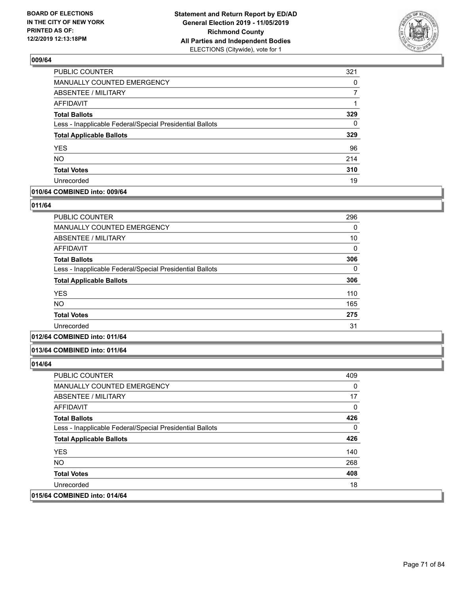

| PUBLIC COUNTER                                           | 321 |
|----------------------------------------------------------|-----|
| MANUALLY COUNTED EMERGENCY                               | 0   |
| <b>ABSENTEE / MILITARY</b>                               |     |
| <b>AFFIDAVIT</b>                                         |     |
| <b>Total Ballots</b>                                     | 329 |
| Less - Inapplicable Federal/Special Presidential Ballots | 0   |
| <b>Total Applicable Ballots</b>                          | 329 |
| <b>YES</b>                                               | 96  |
| <b>NO</b>                                                | 214 |
| <b>Total Votes</b>                                       | 310 |
| Unrecorded                                               | 19  |

### **010/64 COMBINED into: 009/64**

#### **011/64**

| PUBLIC COUNTER                                           | 296 |
|----------------------------------------------------------|-----|
| <b>MANUALLY COUNTED EMERGENCY</b>                        | 0   |
| ABSENTEE / MILITARY                                      | 10  |
| <b>AFFIDAVIT</b>                                         | 0   |
| <b>Total Ballots</b>                                     | 306 |
| Less - Inapplicable Federal/Special Presidential Ballots | 0   |
| <b>Total Applicable Ballots</b>                          | 306 |
| <b>YES</b>                                               | 110 |
| <b>NO</b>                                                | 165 |
| <b>Total Votes</b>                                       | 275 |
| Unrecorded                                               | 31  |
|                                                          |     |

# **012/64 COMBINED into: 011/64**

#### **013/64 COMBINED into: 011/64**

| <b>PUBLIC COUNTER</b>                                    | 409 |
|----------------------------------------------------------|-----|
| MANUALLY COUNTED EMERGENCY                               | 0   |
| ABSENTEE / MILITARY                                      | 17  |
| AFFIDAVIT                                                | 0   |
| <b>Total Ballots</b>                                     | 426 |
| Less - Inapplicable Federal/Special Presidential Ballots | 0   |
| <b>Total Applicable Ballots</b>                          | 426 |
| <b>YES</b>                                               | 140 |
| <b>NO</b>                                                | 268 |
| <b>Total Votes</b>                                       | 408 |
| Unrecorded                                               | 18  |
| 015/64 COMBINED into: 014/64                             |     |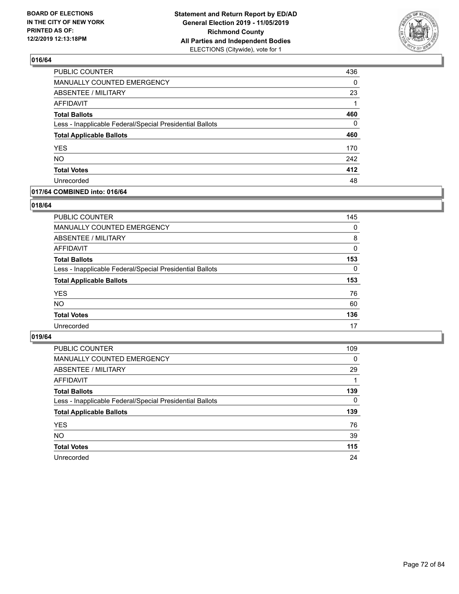

| <b>PUBLIC COUNTER</b>                                    | 436 |
|----------------------------------------------------------|-----|
| <b>MANUALLY COUNTED EMERGENCY</b>                        | 0   |
| ABSENTEE / MILITARY                                      | 23  |
| <b>AFFIDAVIT</b>                                         |     |
| <b>Total Ballots</b>                                     | 460 |
| Less - Inapplicable Federal/Special Presidential Ballots | 0   |
| <b>Total Applicable Ballots</b>                          | 460 |
| <b>YES</b>                                               | 170 |
| <b>NO</b>                                                | 242 |
| <b>Total Votes</b>                                       | 412 |
| Unrecorded                                               | 48  |

### **017/64 COMBINED into: 016/64**

### **018/64**

| <b>PUBLIC COUNTER</b>                                    | 145      |
|----------------------------------------------------------|----------|
| MANUALLY COUNTED EMERGENCY                               | $\Omega$ |
| ABSENTEE / MILITARY                                      | 8        |
| AFFIDAVIT                                                | $\Omega$ |
| <b>Total Ballots</b>                                     | 153      |
| Less - Inapplicable Federal/Special Presidential Ballots | $\Omega$ |
| <b>Total Applicable Ballots</b>                          | 153      |
| <b>YES</b>                                               | 76       |
| <b>NO</b>                                                | 60       |
| <b>Total Votes</b>                                       | 136      |
| Unrecorded                                               | 17       |
|                                                          |          |

| <b>PUBLIC COUNTER</b>                                    | 109      |
|----------------------------------------------------------|----------|
| <b>MANUALLY COUNTED EMERGENCY</b>                        | $\Omega$ |
| ABSENTEE / MILITARY                                      | 29       |
| AFFIDAVIT                                                |          |
| <b>Total Ballots</b>                                     | 139      |
| Less - Inapplicable Federal/Special Presidential Ballots | 0        |
| <b>Total Applicable Ballots</b>                          | 139      |
| <b>YES</b>                                               | 76       |
| <b>NO</b>                                                | 39       |
| <b>Total Votes</b>                                       | 115      |
| Unrecorded                                               | 24       |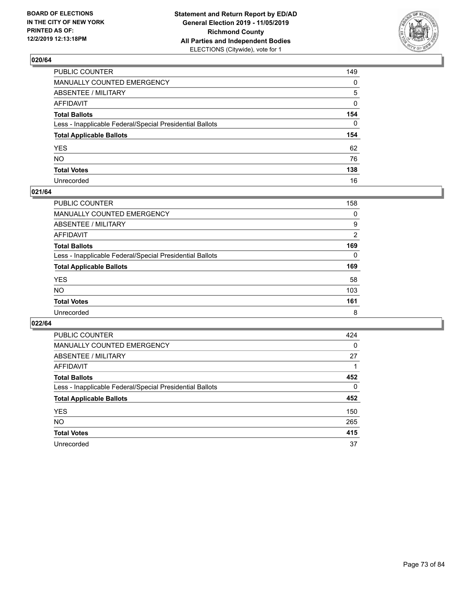

| PUBLIC COUNTER                                           | 149          |
|----------------------------------------------------------|--------------|
| MANUALLY COUNTED EMERGENCY                               | $\mathbf{0}$ |
| ABSENTEE / MILITARY                                      | 5            |
| AFFIDAVIT                                                | 0            |
| Total Ballots                                            | 154          |
| Less - Inapplicable Federal/Special Presidential Ballots | $\Omega$     |
| <b>Total Applicable Ballots</b>                          | 154          |
| YES                                                      | 62           |
| NO.                                                      | 76           |
| <b>Total Votes</b>                                       | 138          |
| Unrecorded                                               | 16           |

### **021/64**

| <b>PUBLIC COUNTER</b>                                    | 158      |
|----------------------------------------------------------|----------|
| <b>MANUALLY COUNTED EMERGENCY</b>                        | $\Omega$ |
| ABSENTEE / MILITARY                                      | 9        |
| AFFIDAVIT                                                | 2        |
| <b>Total Ballots</b>                                     | 169      |
| Less - Inapplicable Federal/Special Presidential Ballots | $\Omega$ |
| <b>Total Applicable Ballots</b>                          | 169      |
| <b>YES</b>                                               | 58       |
| <b>NO</b>                                                | 103      |
| <b>Total Votes</b>                                       | 161      |
| Unrecorded                                               | 8        |

| PUBLIC COUNTER                                           | 424      |
|----------------------------------------------------------|----------|
| MANUALLY COUNTED EMERGENCY                               | $\Omega$ |
| ABSENTEE / MILITARY                                      | 27       |
| AFFIDAVIT                                                |          |
| <b>Total Ballots</b>                                     | 452      |
| Less - Inapplicable Federal/Special Presidential Ballots | $\Omega$ |
| <b>Total Applicable Ballots</b>                          | 452      |
| <b>YES</b>                                               | 150      |
| NO.                                                      | 265      |
| <b>Total Votes</b>                                       | 415      |
| Unrecorded                                               | 37       |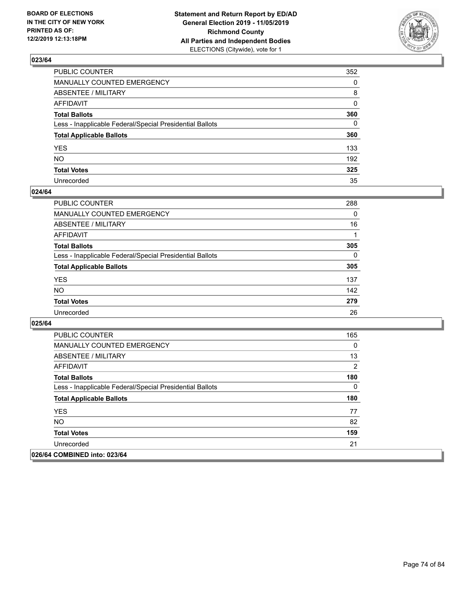

| PUBLIC COUNTER                                           | 352          |
|----------------------------------------------------------|--------------|
| MANUALLY COUNTED EMERGENCY                               | $\mathbf{0}$ |
| ABSENTEE / MILITARY                                      | 8            |
| AFFIDAVIT                                                | $\mathbf{0}$ |
| Total Ballots                                            | 360          |
| Less - Inapplicable Federal/Special Presidential Ballots | $\mathbf{0}$ |
| <b>Total Applicable Ballots</b>                          | 360          |
| YES                                                      | 133          |
| NO.                                                      | 192          |
| <b>Total Votes</b>                                       | 325          |
| Unrecorded                                               | 35           |

### **024/64**

| PUBLIC COUNTER                                           | 288      |
|----------------------------------------------------------|----------|
| <b>MANUALLY COUNTED EMERGENCY</b>                        | $\Omega$ |
| <b>ABSENTEE / MILITARY</b>                               | 16       |
| <b>AFFIDAVIT</b>                                         |          |
| <b>Total Ballots</b>                                     | 305      |
| Less - Inapplicable Federal/Special Presidential Ballots | $\Omega$ |
| <b>Total Applicable Ballots</b>                          | 305      |
| <b>YES</b>                                               | 137      |
| <b>NO</b>                                                | 142      |
| <b>Total Votes</b>                                       | 279      |
| Unrecorded                                               | 26       |

| <b>PUBLIC COUNTER</b>                                    | 165      |
|----------------------------------------------------------|----------|
| <b>MANUALLY COUNTED EMERGENCY</b>                        | $\Omega$ |
| ABSENTEE / MILITARY                                      | 13       |
| AFFIDAVIT                                                | 2        |
| <b>Total Ballots</b>                                     | 180      |
| Less - Inapplicable Federal/Special Presidential Ballots | 0        |
| <b>Total Applicable Ballots</b>                          | 180      |
| <b>YES</b>                                               | 77       |
| NO.                                                      | 82       |
| <b>Total Votes</b>                                       | 159      |
| Unrecorded                                               | 21       |
| 026/64 COMBINED into: 023/64                             |          |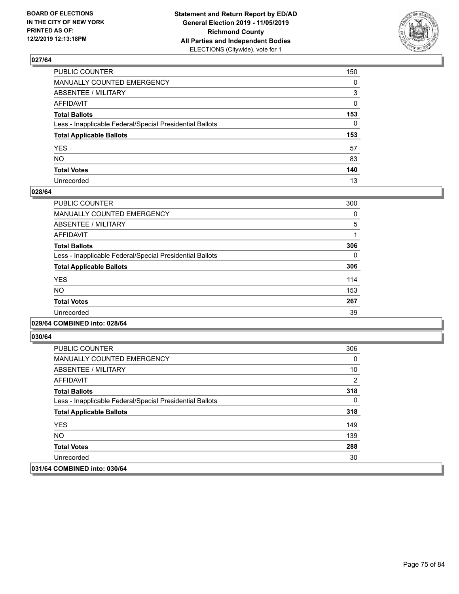

| PUBLIC COUNTER                                           | 150          |
|----------------------------------------------------------|--------------|
| MANUALLY COUNTED EMERGENCY                               | $\mathbf{0}$ |
| ABSENTEE / MILITARY                                      | 3            |
| AFFIDAVIT                                                | $\mathbf{0}$ |
| Total Ballots                                            | 153          |
| Less - Inapplicable Federal/Special Presidential Ballots | $\mathbf{0}$ |
| <b>Total Applicable Ballots</b>                          | 153          |
| YES                                                      | 57           |
| NO.                                                      | 83           |
| <b>Total Votes</b>                                       | 140          |
| Unrecorded                                               | 13           |

### **028/64**

| PUBLIC COUNTER                                           | 300      |
|----------------------------------------------------------|----------|
| <b>MANUALLY COUNTED EMERGENCY</b>                        | 0        |
| <b>ABSENTEE / MILITARY</b>                               | 5        |
| <b>AFFIDAVIT</b>                                         |          |
| <b>Total Ballots</b>                                     | 306      |
| Less - Inapplicable Federal/Special Presidential Ballots | $\Omega$ |
| <b>Total Applicable Ballots</b>                          | 306      |
| <b>YES</b>                                               | 114      |
| NO.                                                      | 153      |
| <b>Total Votes</b>                                       | 267      |
| Unrecorded                                               | 39       |
|                                                          |          |

### **029/64 COMBINED into: 028/64**

| PUBLIC COUNTER                                           | 306 |
|----------------------------------------------------------|-----|
| <b>MANUALLY COUNTED EMERGENCY</b>                        | 0   |
| ABSENTEE / MILITARY                                      | 10  |
| AFFIDAVIT                                                | 2   |
| <b>Total Ballots</b>                                     | 318 |
| Less - Inapplicable Federal/Special Presidential Ballots | 0   |
| <b>Total Applicable Ballots</b>                          | 318 |
| <b>YES</b>                                               | 149 |
| NO.                                                      | 139 |
| <b>Total Votes</b>                                       | 288 |
| Unrecorded                                               | 30  |
| 031/64 COMBINED into: 030/64                             |     |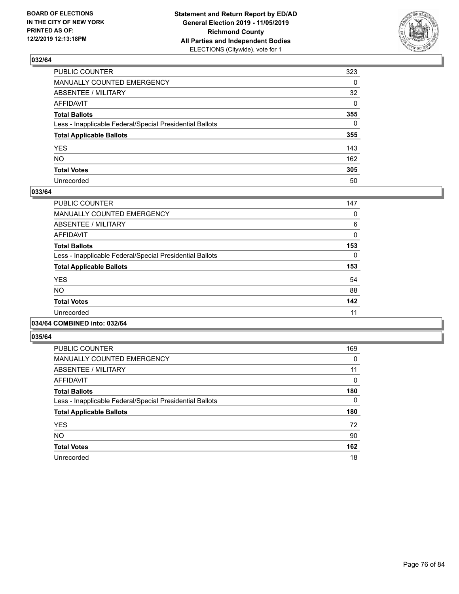

| PUBLIC COUNTER                                           | 323          |
|----------------------------------------------------------|--------------|
| MANUALLY COUNTED EMERGENCY                               | $\Omega$     |
| ABSENTEE / MILITARY                                      | 32           |
| AFFIDAVIT                                                | $\mathbf{0}$ |
| Total Ballots                                            | 355          |
| Less - Inapplicable Federal/Special Presidential Ballots | $\Omega$     |
| <b>Total Applicable Ballots</b>                          | 355          |
| YES                                                      | 143          |
| NO.                                                      | 162          |
| <b>Total Votes</b>                                       | 305          |
| Unrecorded                                               | 50           |

### **033/64**

| PUBLIC COUNTER                                           | 147      |
|----------------------------------------------------------|----------|
| <b>MANUALLY COUNTED EMERGENCY</b>                        | 0        |
| ABSENTEE / MILITARY                                      | 6        |
| <b>AFFIDAVIT</b>                                         | 0        |
| <b>Total Ballots</b>                                     | 153      |
| Less - Inapplicable Federal/Special Presidential Ballots | $\Omega$ |
| <b>Total Applicable Ballots</b>                          | 153      |
| <b>YES</b>                                               | 54       |
| <b>NO</b>                                                | 88       |
| <b>Total Votes</b>                                       | 142      |
| Unrecorded                                               | 11       |
|                                                          |          |

# **034/64 COMBINED into: 032/64**

| <b>PUBLIC COUNTER</b>                                    | 169      |
|----------------------------------------------------------|----------|
| <b>MANUALLY COUNTED EMERGENCY</b>                        | 0        |
| ABSENTEE / MILITARY                                      | 11       |
| <b>AFFIDAVIT</b>                                         | $\Omega$ |
| <b>Total Ballots</b>                                     | 180      |
| Less - Inapplicable Federal/Special Presidential Ballots | 0        |
| <b>Total Applicable Ballots</b>                          | 180      |
| <b>YES</b>                                               | 72       |
| <b>NO</b>                                                | 90       |
| <b>Total Votes</b>                                       | 162      |
| Unrecorded                                               | 18       |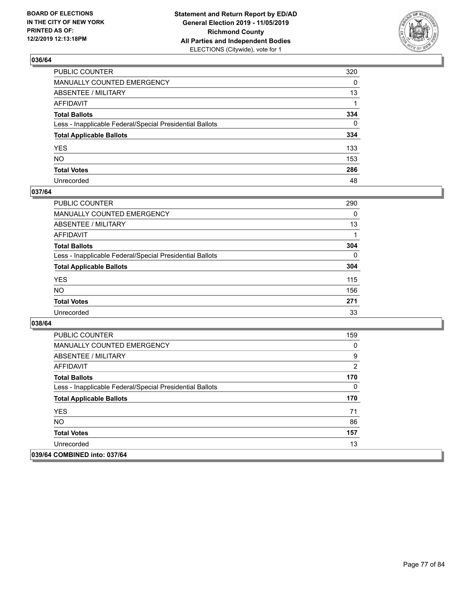

| PUBLIC COUNTER                                           | 320 |
|----------------------------------------------------------|-----|
| MANUALLY COUNTED EMERGENCY                               | 0   |
| ABSENTEE / MILITARY                                      | 13  |
| AFFIDAVIT                                                | 1   |
| Total Ballots                                            | 334 |
| Less - Inapplicable Federal/Special Presidential Ballots | 0   |
| <b>Total Applicable Ballots</b>                          | 334 |
| YES                                                      | 133 |
| NO.                                                      | 153 |
| <b>Total Votes</b>                                       | 286 |
| Unrecorded                                               | 48  |

### **037/64**

| <b>PUBLIC COUNTER</b>                                    | 290      |
|----------------------------------------------------------|----------|
| <b>MANUALLY COUNTED EMERGENCY</b>                        | $\Omega$ |
| ABSENTEE / MILITARY                                      | 13       |
| AFFIDAVIT                                                |          |
| <b>Total Ballots</b>                                     | 304      |
| Less - Inapplicable Federal/Special Presidential Ballots | $\Omega$ |
| <b>Total Applicable Ballots</b>                          | 304      |
| <b>YES</b>                                               | 115      |
| <b>NO</b>                                                | 156      |
| <b>Total Votes</b>                                       | 271      |
| Unrecorded                                               | 33       |

| <b>PUBLIC COUNTER</b>                                    | 159 |
|----------------------------------------------------------|-----|
| <b>MANUALLY COUNTED EMERGENCY</b>                        | 0   |
| ABSENTEE / MILITARY                                      | 9   |
| AFFIDAVIT                                                | 2   |
| <b>Total Ballots</b>                                     | 170 |
| Less - Inapplicable Federal/Special Presidential Ballots | 0   |
| <b>Total Applicable Ballots</b>                          | 170 |
| <b>YES</b>                                               | 71  |
| NO.                                                      | 86  |
| <b>Total Votes</b>                                       | 157 |
| Unrecorded                                               | 13  |
| 039/64 COMBINED into: 037/64                             |     |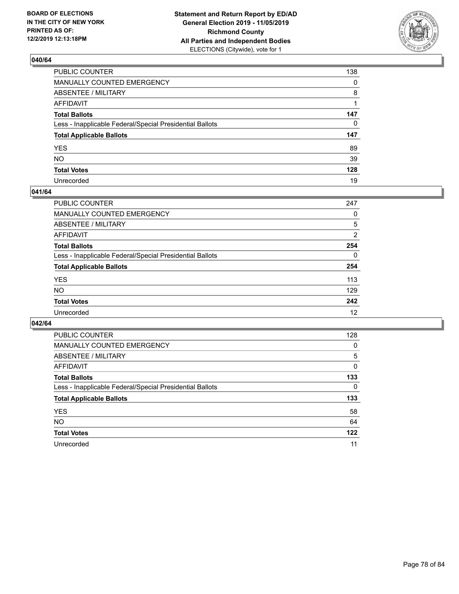

| PUBLIC COUNTER                                           | 138          |
|----------------------------------------------------------|--------------|
| MANUALLY COUNTED EMERGENCY                               | $\mathbf{0}$ |
| ABSENTEE / MILITARY                                      | 8            |
| AFFIDAVIT                                                |              |
| Total Ballots                                            | 147          |
| Less - Inapplicable Federal/Special Presidential Ballots | 0            |
| <b>Total Applicable Ballots</b>                          | 147          |
| YES                                                      | 89           |
| NO.                                                      | 39           |
| <b>Total Votes</b>                                       | 128          |
| Unrecorded                                               | 19           |

### **041/64**

| PUBLIC COUNTER                                           | 247 |
|----------------------------------------------------------|-----|
| <b>MANUALLY COUNTED EMERGENCY</b>                        | 0   |
| ABSENTEE / MILITARY                                      | 5   |
| AFFIDAVIT                                                | 2   |
| <b>Total Ballots</b>                                     | 254 |
| Less - Inapplicable Federal/Special Presidential Ballots | 0   |
| <b>Total Applicable Ballots</b>                          | 254 |
| <b>YES</b>                                               | 113 |
| <b>NO</b>                                                | 129 |
| <b>Total Votes</b>                                       | 242 |
| Unrecorded                                               | 12  |

| PUBLIC COUNTER                                           | 128      |
|----------------------------------------------------------|----------|
| <b>MANUALLY COUNTED EMERGENCY</b>                        | $\Omega$ |
| ABSENTEE / MILITARY                                      | 5        |
| AFFIDAVIT                                                | 0        |
| <b>Total Ballots</b>                                     | 133      |
| Less - Inapplicable Federal/Special Presidential Ballots | $\Omega$ |
| <b>Total Applicable Ballots</b>                          | 133      |
| <b>YES</b>                                               | 58       |
| <b>NO</b>                                                | 64       |
| <b>Total Votes</b>                                       | 122      |
| Unrecorded                                               | 11       |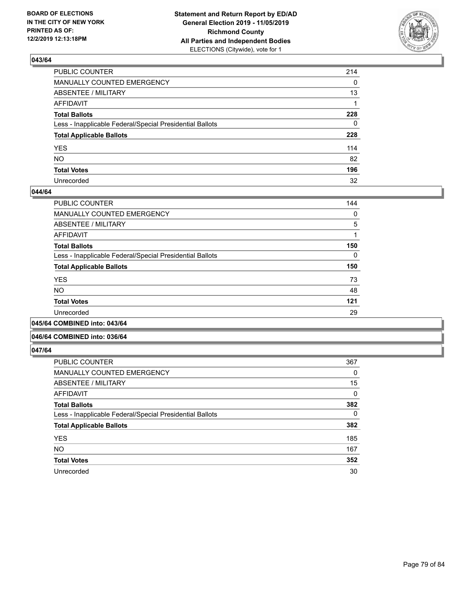

| PUBLIC COUNTER                                           | 214          |
|----------------------------------------------------------|--------------|
| MANUALLY COUNTED EMERGENCY                               | $\mathbf{0}$ |
| ABSENTEE / MILITARY                                      | 13           |
| AFFIDAVIT                                                |              |
| Total Ballots                                            | 228          |
| Less - Inapplicable Federal/Special Presidential Ballots | $\mathbf{0}$ |
| <b>Total Applicable Ballots</b>                          | 228          |
| YES                                                      | 114          |
| NΟ                                                       | 82           |
| <b>Total Votes</b>                                       | 196          |
| Unrecorded                                               | 32           |

### **044/64**

| PUBLIC COUNTER                                           | 144      |
|----------------------------------------------------------|----------|
| MANUALLY COUNTED EMERGENCY                               | 0        |
| ABSENTEE / MILITARY                                      | 5        |
| AFFIDAVIT                                                |          |
| <b>Total Ballots</b>                                     | 150      |
| Less - Inapplicable Federal/Special Presidential Ballots | $\Omega$ |
| <b>Total Applicable Ballots</b>                          | 150      |
| <b>YES</b>                                               | 73       |
| <b>NO</b>                                                | 48       |
| <b>Total Votes</b>                                       | 121      |
| Unrecorded                                               | 29       |
| __ _ _ _ _                                               |          |

#### **045/64 COMBINED into: 043/64**

### **046/64 COMBINED into: 036/64**

| <b>PUBLIC COUNTER</b>                                    | 367      |
|----------------------------------------------------------|----------|
| <b>MANUALLY COUNTED EMERGENCY</b>                        | 0        |
| ABSENTEE / MILITARY                                      | 15       |
| AFFIDAVIT                                                | 0        |
| <b>Total Ballots</b>                                     | 382      |
| Less - Inapplicable Federal/Special Presidential Ballots | $\Omega$ |
| <b>Total Applicable Ballots</b>                          | 382      |
| <b>YES</b>                                               | 185      |
| <b>NO</b>                                                | 167      |
| <b>Total Votes</b>                                       | 352      |
| Unrecorded                                               | 30       |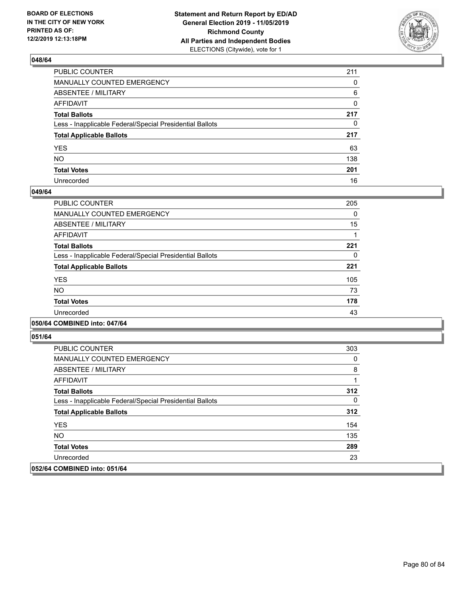

| PUBLIC COUNTER                                           | 211          |
|----------------------------------------------------------|--------------|
| MANUALLY COUNTED EMERGENCY                               | $\mathbf{0}$ |
| ABSENTEE / MILITARY                                      | 6            |
| AFFIDAVIT                                                | 0            |
| Total Ballots                                            | 217          |
| Less - Inapplicable Federal/Special Presidential Ballots | $\mathbf{0}$ |
| <b>Total Applicable Ballots</b>                          | 217          |
| YES                                                      | 63           |
| NO.                                                      | 138          |
| <b>Total Votes</b>                                       | 201          |
| Unrecorded                                               | 16           |

### **049/64**

| PUBLIC COUNTER                                           | 205      |
|----------------------------------------------------------|----------|
| MANUALLY COUNTED EMERGENCY                               | $\Omega$ |
| ABSENTEE / MILITARY                                      | 15       |
| AFFIDAVIT                                                |          |
| <b>Total Ballots</b>                                     | 221      |
| Less - Inapplicable Federal/Special Presidential Ballots | 0        |
| <b>Total Applicable Ballots</b>                          | 221      |
| <b>YES</b>                                               | 105      |
| NO.                                                      | 73       |
| <b>Total Votes</b>                                       | 178      |
| Unrecorded                                               | 43       |
|                                                          |          |

### **050/64 COMBINED into: 047/64**

| PUBLIC COUNTER                                           | 303 |
|----------------------------------------------------------|-----|
| <b>MANUALLY COUNTED EMERGENCY</b>                        | 0   |
| ABSENTEE / MILITARY                                      | 8   |
| AFFIDAVIT                                                |     |
| <b>Total Ballots</b>                                     | 312 |
| Less - Inapplicable Federal/Special Presidential Ballots | 0   |
| <b>Total Applicable Ballots</b>                          | 312 |
| <b>YES</b>                                               | 154 |
| NO.                                                      | 135 |
| <b>Total Votes</b>                                       | 289 |
| Unrecorded                                               | 23  |
| 052/64 COMBINED into: 051/64                             |     |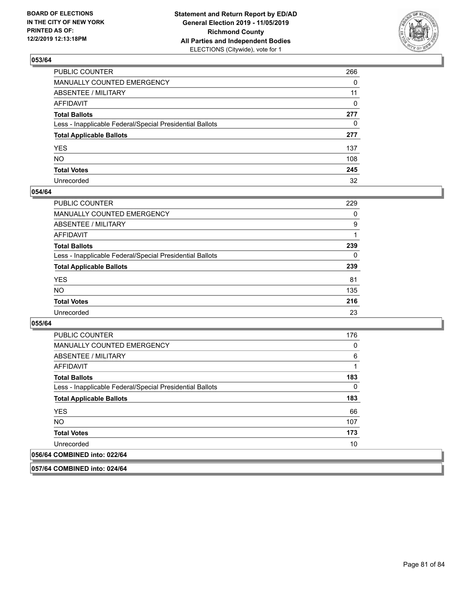

| PUBLIC COUNTER                                           | 266          |
|----------------------------------------------------------|--------------|
| MANUALLY COUNTED EMERGENCY                               | $\Omega$     |
| ABSENTEE / MILITARY                                      | 11           |
| AFFIDAVIT                                                | $\Omega$     |
| Total Ballots                                            | 277          |
| Less - Inapplicable Federal/Special Presidential Ballots | $\mathbf{0}$ |
| <b>Total Applicable Ballots</b>                          | 277          |
| YES                                                      | 137          |
| NO.                                                      | 108          |
| <b>Total Votes</b>                                       | 245          |
| Unrecorded                                               | 32           |

### **054/64**

| <b>PUBLIC COUNTER</b>                                    | 229      |
|----------------------------------------------------------|----------|
| <b>MANUALLY COUNTED EMERGENCY</b>                        | 0        |
| ABSENTEE / MILITARY                                      | 9        |
| AFFIDAVIT                                                |          |
| <b>Total Ballots</b>                                     | 239      |
| Less - Inapplicable Federal/Special Presidential Ballots | $\Omega$ |
| <b>Total Applicable Ballots</b>                          | 239      |
| <b>YES</b>                                               | 81       |
| <b>NO</b>                                                | 135      |
| <b>Total Votes</b>                                       | 216      |
| Unrecorded                                               | 23       |

**055/64** 

| PUBLIC COUNTER                                           | 176 |
|----------------------------------------------------------|-----|
| MANUALLY COUNTED EMERGENCY                               | 0   |
| ABSENTEE / MILITARY                                      | 6   |
| AFFIDAVIT                                                | 1   |
| <b>Total Ballots</b>                                     | 183 |
| Less - Inapplicable Federal/Special Presidential Ballots | 0   |
| <b>Total Applicable Ballots</b>                          | 183 |
| <b>YES</b>                                               | 66  |
| NO.                                                      | 107 |
| <b>Total Votes</b>                                       | 173 |
| Unrecorded                                               | 10  |
| 056/64 COMBINED into: 022/64                             |     |

**057/64 COMBINED into: 024/64**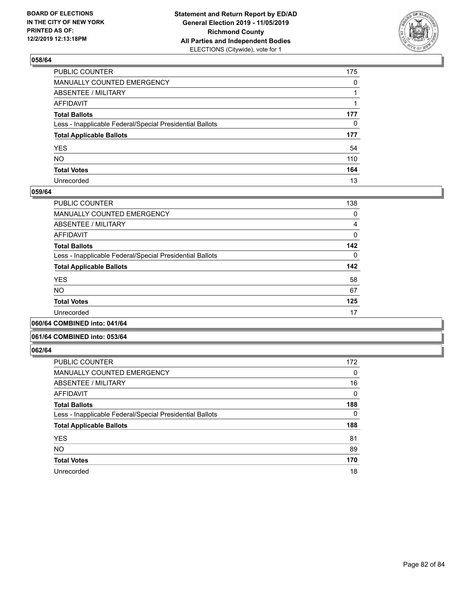

| PUBLIC COUNTER                                           | 175          |
|----------------------------------------------------------|--------------|
| MANUALLY COUNTED EMERGENCY                               | $\mathbf{0}$ |
| ABSENTEE / MILITARY                                      |              |
| AFFIDAVIT                                                |              |
| Total Ballots                                            | 177          |
| Less - Inapplicable Federal/Special Presidential Ballots | $\mathbf{0}$ |
| <b>Total Applicable Ballots</b>                          | 177          |
| YES                                                      | 54           |
| NO.                                                      | 110          |
| <b>Total Votes</b>                                       | 164          |
| Unrecorded                                               | 13           |

### **059/64**

| PUBLIC COUNTER                                           | 138      |
|----------------------------------------------------------|----------|
| MANUALLY COUNTED EMERGENCY                               | 0        |
| ABSENTEE / MILITARY                                      | 4        |
| AFFIDAVIT                                                | $\Omega$ |
| <b>Total Ballots</b>                                     | 142      |
| Less - Inapplicable Federal/Special Presidential Ballots | $\Omega$ |
| <b>Total Applicable Ballots</b>                          | 142      |
| <b>YES</b>                                               | 58       |
| <b>NO</b>                                                | 67       |
| <b>Total Votes</b>                                       | 125      |
| Unrecorded                                               | 17       |
| .<br>__ _ _ _ _                                          |          |

### **060/64 COMBINED into: 041/64**

### **061/64 COMBINED into: 053/64**

| <b>PUBLIC COUNTER</b>                                    | 172      |
|----------------------------------------------------------|----------|
| <b>MANUALLY COUNTED EMERGENCY</b>                        | 0        |
| ABSENTEE / MILITARY                                      | 16       |
| AFFIDAVIT                                                | 0        |
| <b>Total Ballots</b>                                     | 188      |
| Less - Inapplicable Federal/Special Presidential Ballots | $\Omega$ |
| <b>Total Applicable Ballots</b>                          | 188      |
| <b>YES</b>                                               | 81       |
| <b>NO</b>                                                | 89       |
| <b>Total Votes</b>                                       | 170      |
| Unrecorded                                               | 18       |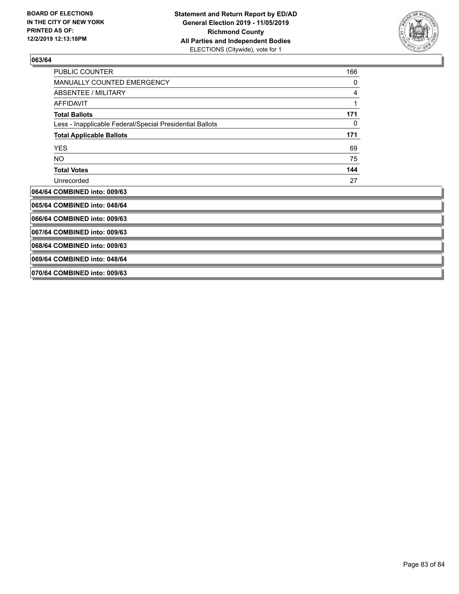

| PUBLIC COUNTER                                           | 166 |
|----------------------------------------------------------|-----|
| <b>MANUALLY COUNTED EMERGENCY</b>                        | 0   |
| ABSENTEE / MILITARY                                      | 4   |
| <b>AFFIDAVIT</b>                                         | 1   |
| <b>Total Ballots</b>                                     | 171 |
| Less - Inapplicable Federal/Special Presidential Ballots | 0   |
| <b>Total Applicable Ballots</b>                          | 171 |
| <b>YES</b>                                               | 69  |
| NO.                                                      | 75  |
| <b>Total Votes</b>                                       | 144 |
| Unrecorded                                               | 27  |
| 064/64 COMBINED into: 009/63                             |     |
| 065/64 COMBINED into: 048/64                             |     |
| 066/64 COMBINED into: 009/63                             |     |
| 067/64 COMBINED into: 009/63                             |     |
| 068/64 COMBINED into: 009/63                             |     |
| 069/64 COMBINED into: 048/64                             |     |
| 070/64 COMBINED into: 009/63                             |     |